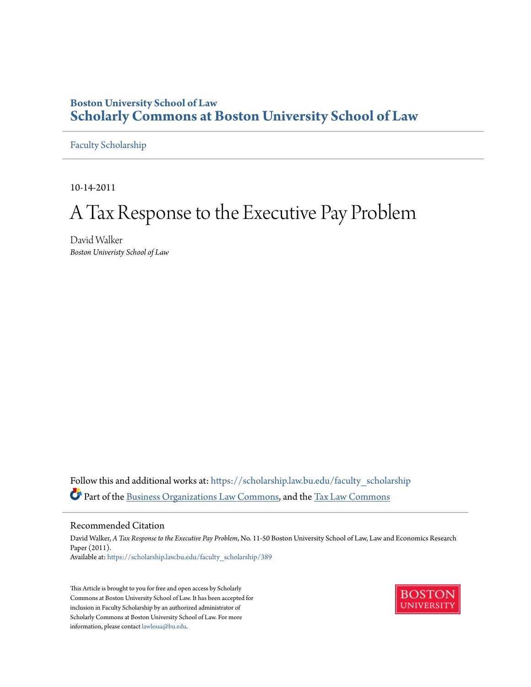# **Boston University School of Law [Scholarly Commons at Boston University School of Law](https://scholarship.law.bu.edu?utm_source=scholarship.law.bu.edu%2Ffaculty_scholarship%2F389&utm_medium=PDF&utm_campaign=PDFCoverPages)**

[Faculty Scholarship](https://scholarship.law.bu.edu/faculty_scholarship?utm_source=scholarship.law.bu.edu%2Ffaculty_scholarship%2F389&utm_medium=PDF&utm_campaign=PDFCoverPages)

10-14-2011

# A Tax Response to the Executive Pay Problem

David Walker *Boston Univeristy School of Law*

Follow this and additional works at: [https://scholarship.law.bu.edu/faculty\\_scholarship](https://scholarship.law.bu.edu/faculty_scholarship?utm_source=scholarship.law.bu.edu%2Ffaculty_scholarship%2F389&utm_medium=PDF&utm_campaign=PDFCoverPages) Part of the [Business Organizations Law Commons,](http://network.bepress.com/hgg/discipline/900?utm_source=scholarship.law.bu.edu%2Ffaculty_scholarship%2F389&utm_medium=PDF&utm_campaign=PDFCoverPages) and the [Tax Law Commons](http://network.bepress.com/hgg/discipline/898?utm_source=scholarship.law.bu.edu%2Ffaculty_scholarship%2F389&utm_medium=PDF&utm_campaign=PDFCoverPages)

#### Recommended Citation

David Walker, *A Tax Response to the Executive Pay Problem*, No. 11-50 Boston University School of Law, Law and Economics Research Paper (2011). Available at: [https://scholarship.law.bu.edu/faculty\\_scholarship/389](https://scholarship.law.bu.edu/faculty_scholarship/389?utm_source=scholarship.law.bu.edu%2Ffaculty_scholarship%2F389&utm_medium=PDF&utm_campaign=PDFCoverPages)

This Article is brought to you for free and open access by Scholarly Commons at Boston University School of Law. It has been accepted for inclusion in Faculty Scholarship by an authorized administrator of Scholarly Commons at Boston University School of Law. For more information, please contact [lawlessa@bu.edu.](mailto:lawlessa@bu.edu)

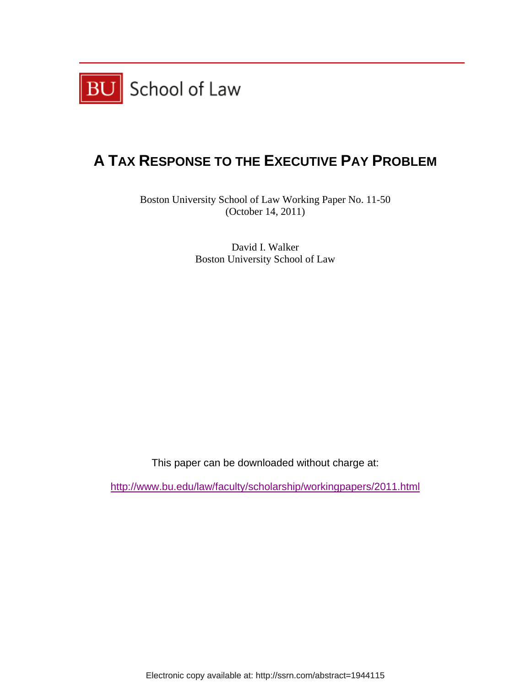

# **A TAX RESPONSE TO THE EXECUTIVE PAY PROBLEM**

Boston University School of Law Working Paper No. 11-50 (October 14, 2011)

> David I. Walker Boston University School of Law

This paper can be downloaded without charge at:

http://www.bu.edu/law/faculty/scholarship/workingpapers/2011.html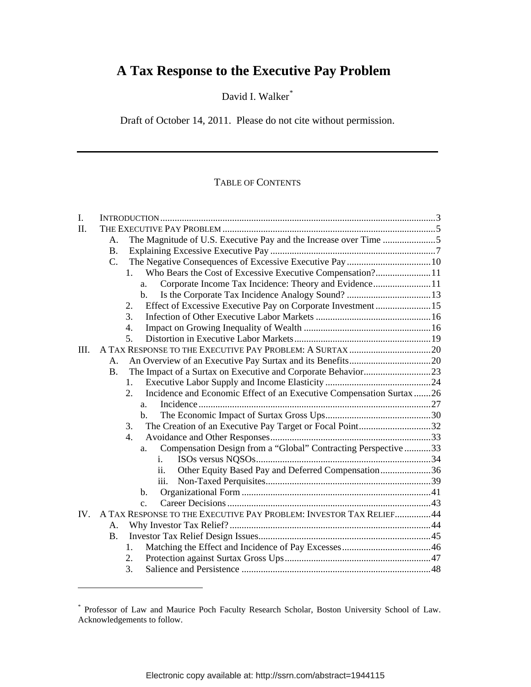David I. Walker[\\*](#page-2-0)

Draft of October 14, 2011. Please do not cite without permission.

# TABLE OF CONTENTS

| $\mathbf{I}$ . |                                                                            |  |
|----------------|----------------------------------------------------------------------------|--|
| II.            |                                                                            |  |
|                | The Magnitude of U.S. Executive Pay and the Increase over Time 5<br>A.     |  |
|                | <b>B.</b>                                                                  |  |
|                | $C_{\cdot}$                                                                |  |
|                | Who Bears the Cost of Excessive Executive Compensation?11<br>$\mathbf{1}$  |  |
|                | Corporate Income Tax Incidence: Theory and Evidence11<br>a.                |  |
|                | $h_{\cdot}$                                                                |  |
|                | Effect of Excessive Executive Pay on Corporate Investment15<br>2.          |  |
|                | $\mathcal{F}$                                                              |  |
|                | 4.                                                                         |  |
|                | 5.                                                                         |  |
| III.           |                                                                            |  |
|                | A.                                                                         |  |
|                | <b>B.</b>                                                                  |  |
|                | $\mathbf{1}$ .                                                             |  |
|                | Incidence and Economic Effect of an Executive Compensation Surtax 26<br>2. |  |
|                | a <sub>z</sub>                                                             |  |
|                | $\mathbf{b}$ .                                                             |  |
|                | The Creation of an Executive Pay Target or Focal Point32<br>3.             |  |
|                | 4.                                                                         |  |
|                | Compensation Design from a "Global" Contracting Perspective 33<br>a.       |  |
|                | i.                                                                         |  |
|                | Other Equity Based Pay and Deferred Compensation36<br>11.                  |  |
|                | iii.                                                                       |  |
|                | $\mathbf{b}$ .                                                             |  |
|                | C <sub>1</sub>                                                             |  |
| IV.            | A TAX RESPONSE TO THE EXECUTIVE PAY PROBLEM: INVESTOR TAX RELIEF44         |  |
|                | A <sub>1</sub>                                                             |  |
|                | <b>B.</b>                                                                  |  |
|                | $\mathbf{1}$ .                                                             |  |
|                | 2.                                                                         |  |
|                | 3.                                                                         |  |

<span id="page-2-0"></span><sup>\*</sup> Professor of Law and Maurice Poch Faculty Research Scholar, Boston University School of Law. Acknowledgements to follow.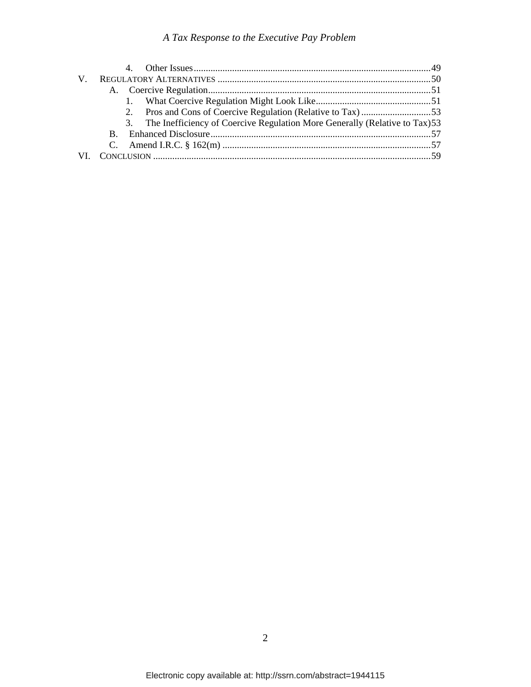| $V_{\perp}$ |                                                                                |  |
|-------------|--------------------------------------------------------------------------------|--|
|             |                                                                                |  |
|             |                                                                                |  |
|             |                                                                                |  |
|             | 3. The Inefficiency of Coercive Regulation More Generally (Relative to Tax) 53 |  |
|             |                                                                                |  |
|             |                                                                                |  |
|             |                                                                                |  |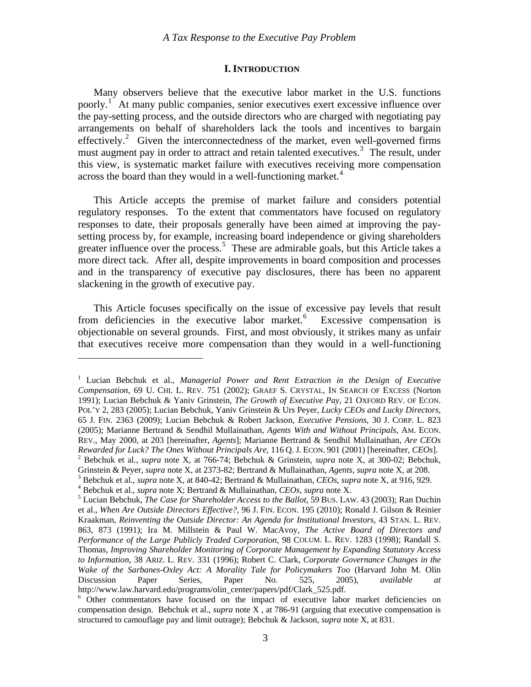#### **I. INTRODUCTION**

<span id="page-4-0"></span> Many observers believe that the executive labor market in the U.S. functions poorly.<sup>[1](#page-4-1)</sup> At many public companies, senior executives exert excessive influence over the pay-setting process, and the outside directors who are charged with negotiating pay arrangements on behalf of shareholders lack the tools and incentives to bargain effectively.<sup>[2](#page-4-2)</sup> Given the interconnectedness of the market, even well-governed firms must augment pay in order to attract and retain talented executives.<sup>[3](#page-4-3)</sup> The result, under this view, is systematic market failure with executives receiving more compensation across the board than they would in a well-functioning market.<sup>[4](#page-4-4)</sup>

 This Article accepts the premise of market failure and considers potential regulatory responses. To the extent that commentators have focused on regulatory responses to date, their proposals generally have been aimed at improving the paysetting process by, for example, increasing board independence or giving shareholders greater influence over the process.<sup>[5](#page-4-5)</sup> These are admirable goals, but this Article takes a more direct tack. After all, despite improvements in board composition and processes and in the transparency of executive pay disclosures, there has been no apparent slackening in the growth of executive pay.

 This Article focuses specifically on the issue of excessive pay levels that result from deficiencies in the executive labor market.<sup>[6](#page-4-6)</sup> Excessive compensation is objectionable on several grounds. First, and most obviously, it strikes many as unfair that executives receive more compensation than they would in a well-functioning

<span id="page-4-1"></span><sup>&</sup>lt;sup>1</sup> Lucian Bebchuk et al., *Managerial Power and Rent Extraction in the Design of Executive Compensation*, 69 U. CHI. L. REV. 751 (2002); GRAEF S. CRYSTAL, IN SEARCH OF EXCESS (Norton 1991); Lucian Bebchuk & Yaniv Grinstein, *The Growth of Executive Pay*, 21 OXFORD REV. OF ECON. POL'Y 2, 283 (2005); Lucian Bebchuk, Yaniv Grinstein & Urs Peyer, *Lucky CEOs and Lucky Directors*, 65 J. FIN. 2363 (2009); Lucian Bebchuk & Robert Jackson, *Executive Pensions*, 30 J. CORP. L. 823 (2005); Marianne Bertrand & Sendhil Mullainathan, *Agents With and Without Principals*, AM. ECON. REV., May 2000, at 203 [hereinafter, *Agents*]; Marianne Bertrand & Sendhil Mullainathan, *Are CEOs Rewarded for Luck? The Ones Without Principals Are*, 116 Q. J. ECON. 901 (2001) [hereinafter, *CEOs*]. 2 Bebchuk et al., *supra* note X, at 766-74; Bebchuk & Grinstein, *supra* note X, at 300-02; Bebchuk, Grinstein & Peyer, *supra* note X, at 2373-82; Bertrand & Mullainathan, *Agents*, *supra* note X, at 208. 3

<span id="page-4-3"></span><span id="page-4-2"></span>Bebchuk et al., *supra* note X, at 840-42; Bertrand & Mullainathan, *CEOs*, *supra* note X, at 916, 929. 4

<span id="page-4-4"></span>Bebchuk et al., *supra* note X; Bertrand & Mullainathan, *CEOs*, *supra* note X. 5

<span id="page-4-5"></span>Lucian Bebchuk, *The Case for Shareholder Access to the Ballot*, 59 BUS. LAW. 43 (2003); Ran Duchin et al., *When Are Outside Directors Effective?*, 96 J. FIN. ECON. 195 (2010); Ronald J. Gilson & Reinier Kraakman, *Reinventing the Outside Director: An Agenda for Institutional Investors*, 43 STAN. L. REV. 863, 873 (1991); Ira M. Millstein & Paul W. MacAvoy, *The Active Board of Directors and Performance of the Large Publicly Traded Corporation*, 98 COLUM. L. REV. 1283 (1998); Randall S. Thomas, *Improving Shareholder Monitoring of Corporate Management by Expanding Statutory Access to Information*, 38 ARIZ. L. REV. 331 (1996); Robert C. Clark, *Corporate Governance Changes in the Wake of the Sarbanes-Oxley Act: A Morality Tale for Policymakers Too* (Harvard John M. Olin Discussion Paper Series, Paper No. 525, 2005), *available at*  http://www.law.harvard.edu/programs/olin\_center/papers/pdf/Clark\_525.pdf.

<span id="page-4-6"></span><sup>&</sup>lt;sup>6</sup> Other commentators have focused on the impact of executive labor market deficiencies on compensation design. Bebchuk et al., *supra* note X , at 786-91 (arguing that executive compensation is structured to camouflage pay and limit outrage); Bebchuk & Jackson, *supra* note X, at 831.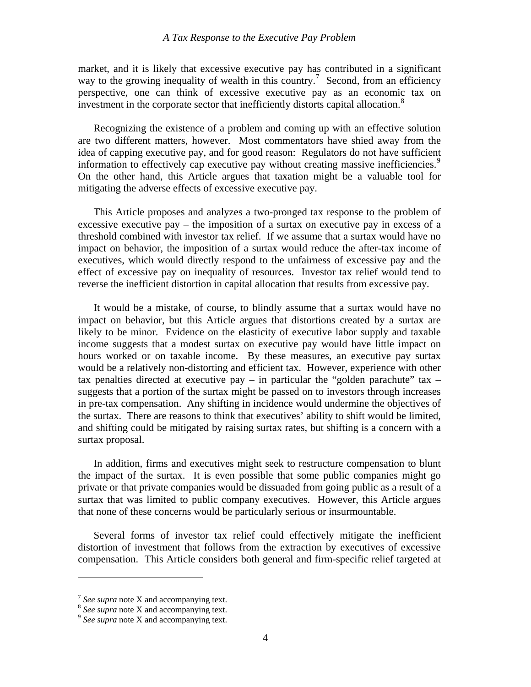market, and it is likely that excessive executive pay has contributed in a significant way to the growing inequality of wealth in this country.<sup>[7](#page-5-0)</sup> Second, from an efficiency perspective, one can think of excessive executive pay as an economic tax on investment in the corporate sector that inefficiently distorts capital allocation.<sup>[8](#page-5-1)</sup>

 Recognizing the existence of a problem and coming up with an effective solution are two different matters, however. Most commentators have shied away from the idea of capping executive pay, and for good reason: Regulators do not have sufficient information to effectively cap executive pay without creating massive inefficiencies.<sup>[9](#page-5-2)</sup> On the other hand, this Article argues that taxation might be a valuable tool for mitigating the adverse effects of excessive executive pay.

 This Article proposes and analyzes a two-pronged tax response to the problem of excessive executive pay – the imposition of a surtax on executive pay in excess of a threshold combined with investor tax relief. If we assume that a surtax would have no impact on behavior, the imposition of a surtax would reduce the after-tax income of executives, which would directly respond to the unfairness of excessive pay and the effect of excessive pay on inequality of resources. Investor tax relief would tend to reverse the inefficient distortion in capital allocation that results from excessive pay.

 It would be a mistake, of course, to blindly assume that a surtax would have no impact on behavior, but this Article argues that distortions created by a surtax are likely to be minor. Evidence on the elasticity of executive labor supply and taxable income suggests that a modest surtax on executive pay would have little impact on hours worked or on taxable income. By these measures, an executive pay surtax would be a relatively non-distorting and efficient tax. However, experience with other tax penalties directed at executive pay – in particular the "golden parachute" tax – suggests that a portion of the surtax might be passed on to investors through increases in pre-tax compensation. Any shifting in incidence would undermine the objectives of the surtax. There are reasons to think that executives' ability to shift would be limited, and shifting could be mitigated by raising surtax rates, but shifting is a concern with a surtax proposal.

 In addition, firms and executives might seek to restructure compensation to blunt the impact of the surtax. It is even possible that some public companies might go private or that private companies would be dissuaded from going public as a result of a surtax that was limited to public company executives. However, this Article argues that none of these concerns would be particularly serious or insurmountable.

 Several forms of investor tax relief could effectively mitigate the inefficient distortion of investment that follows from the extraction by executives of excessive compensation. This Article considers both general and firm-specific relief targeted at

<u>.</u>

<span id="page-5-1"></span><span id="page-5-0"></span><sup>7</sup> *See supra* note X and accompanying text. 8 *See supra* note X and accompanying text. 9 *See supra* note X and accompanying text.

<span id="page-5-2"></span>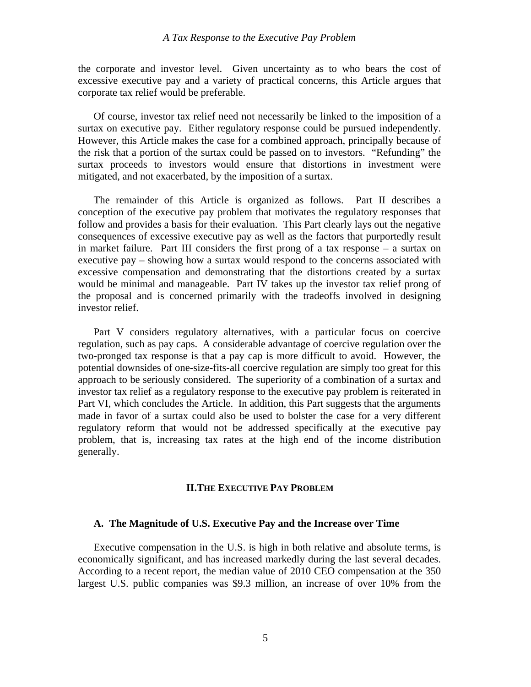<span id="page-6-0"></span>the corporate and investor level. Given uncertainty as to who bears the cost of excessive executive pay and a variety of practical concerns, this Article argues that corporate tax relief would be preferable.

 Of course, investor tax relief need not necessarily be linked to the imposition of a surtax on executive pay. Either regulatory response could be pursued independently. However, this Article makes the case for a combined approach, principally because of the risk that a portion of the surtax could be passed on to investors. "Refunding" the surtax proceeds to investors would ensure that distortions in investment were mitigated, and not exacerbated, by the imposition of a surtax.

 The remainder of this Article is organized as follows. Part II describes a conception of the executive pay problem that motivates the regulatory responses that follow and provides a basis for their evaluation. This Part clearly lays out the negative consequences of excessive executive pay as well as the factors that purportedly result in market failure. Part III considers the first prong of a tax response – a surtax on executive pay – showing how a surtax would respond to the concerns associated with excessive compensation and demonstrating that the distortions created by a surtax would be minimal and manageable. Part IV takes up the investor tax relief prong of the proposal and is concerned primarily with the tradeoffs involved in designing investor relief.

 Part V considers regulatory alternatives, with a particular focus on coercive regulation, such as pay caps. A considerable advantage of coercive regulation over the two-pronged tax response is that a pay cap is more difficult to avoid. However, the potential downsides of one-size-fits-all coercive regulation are simply too great for this approach to be seriously considered. The superiority of a combination of a surtax and investor tax relief as a regulatory response to the executive pay problem is reiterated in Part VI, which concludes the Article. In addition, this Part suggests that the arguments made in favor of a surtax could also be used to bolster the case for a very different regulatory reform that would not be addressed specifically at the executive pay problem, that is, increasing tax rates at the high end of the income distribution generally.

#### **II.THE EXECUTIVE PAY PROBLEM**

#### **A. The Magnitude of U.S. Executive Pay and the Increase over Time**

 Executive compensation in the U.S. is high in both relative and absolute terms, is economically significant, and has increased markedly during the last several decades. According to a recent report, the median value of 2010 CEO compensation at the 350 largest U.S. public companies was \$9.3 million, an increase of over 10% from the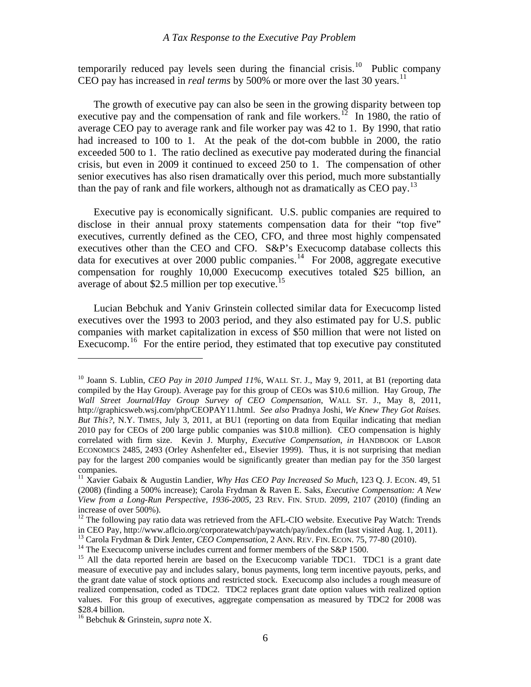temporarily reduced pay levels seen during the financial crisis.<sup>[10](#page-7-0)</sup> Public company CEO pay has increased in *real terms* by 500% or more over the last 30 years.<sup>[11](#page-7-1)</sup>

 The growth of executive pay can also be seen in the growing disparity between top executive pay and the compensation of rank and file workers.<sup>[12](#page-7-2)</sup> In 1980, the ratio of average CEO pay to average rank and file worker pay was 42 to 1. By 1990, that ratio had increased to 100 to 1. At the peak of the dot-com bubble in 2000, the ratio exceeded 500 to 1. The ratio declined as executive pay moderated during the financial crisis, but even in 2009 it continued to exceed 250 to 1. The compensation of other senior executives has also risen dramatically over this period, much more substantially than the pay of rank and file workers, although not as dramatically as CEO pay.<sup>[13](#page-7-3)</sup>

 Executive pay is economically significant. U.S. public companies are required to disclose in their annual proxy statements compensation data for their "top five" executives, currently defined as the CEO, CFO, and three most highly compensated executives other than the CEO and CFO. S&P's Execucomp database collects this data for executives at over 2000 public companies.<sup>[14](#page-7-4)</sup> For 2008, aggregate executive compensation for roughly 10,000 Execucomp executives totaled \$25 billion, an average of about \$2.5 million per top executive.<sup>[15](#page-7-5)</sup>

 Lucian Bebchuk and Yaniv Grinstein collected similar data for Execucomp listed executives over the 1993 to 2003 period, and they also estimated pay for U.S. public companies with market capitalization in excess of \$50 million that were not listed on Execucomp.<sup>[16](#page-7-6)</sup> For the entire period, they estimated that top executive pay constituted

<span id="page-7-0"></span><sup>10</sup> Joann S. Lublin, *CEO Pay in 2010 Jumped 11%*, WALL ST. J., May 9, 2011, at B1 (reporting data compiled by the Hay Group). Average pay for this group of CEOs was \$10.6 million. Hay Group, *The Wall Street Journal/Hay Group Survey of CEO Compensation*, WALL ST. J., May 8, 2011, http://graphicsweb.wsj.com/php/CEOPAY11.html. *See also* Pradnya Joshi, *We Knew They Got Raises. But This?,* N.Y. TIMES, July 3, 2011, at BU1 (reporting on data from Equilar indicating that median 2010 pay for CEOs of 200 large public companies was \$10.8 million). CEO compensation is highly correlated with firm size. Kevin J. Murphy, *Executive Compensation*, *in* HANDBOOK OF LABOR ECONOMICS 2485, 2493 (Orley Ashenfelter ed., Elsevier 1999). Thus, it is not surprising that median pay for the largest 200 companies would be significantly greater than median pay for the 350 largest companies.

<span id="page-7-1"></span><sup>&</sup>lt;sup>11</sup> Xavier Gabaix & Augustin Landier, *Why Has CEO Pay Increased So Much*, 123 Q. J. ECON. 49, 51 (2008) (finding a 500% increase); Carola Frydman & Raven E. Saks, *Executive Compensation: A New View from a Long-Run Perspective, 1936-2005*, 23 REV. FIN. STUD. 2099, 2107 (2010) (finding an increase of over 500%).

<span id="page-7-2"></span><sup>&</sup>lt;sup>12</sup> The following pay ratio data was retrieved from the AFL-CIO website. Executive Pay Watch: Trends in CEO Pay, http://www.aflcio.org/corporatewatch/paywatch/pay/index.cfm (last visited Aug. 1, 2011).<br><sup>13</sup> Carola Frydman & Dirk Jenter, *CEO Compensation*, 2 ANN. REV. FIN. ECON. 75, 77-80 (2010).

<span id="page-7-4"></span><span id="page-7-3"></span><sup>&</sup>lt;sup>14</sup> The Execucomp universe includes current and former members of the S&P 1500.

<span id="page-7-5"></span><sup>&</sup>lt;sup>15</sup> All the data reported herein are based on the Execucomp variable TDC1. TDC1 is a grant date measure of executive pay and includes salary, bonus payments, long term incentive payouts, perks, and the grant date value of stock options and restricted stock. Execucomp also includes a rough measure of realized compensation, coded as TDC2. TDC2 replaces grant date option values with realized option values. For this group of executives, aggregate compensation as measured by TDC2 for 2008 was \$28.4 billion.

<span id="page-7-6"></span><sup>16</sup> Bebchuk & Grinstein, *supra* note X.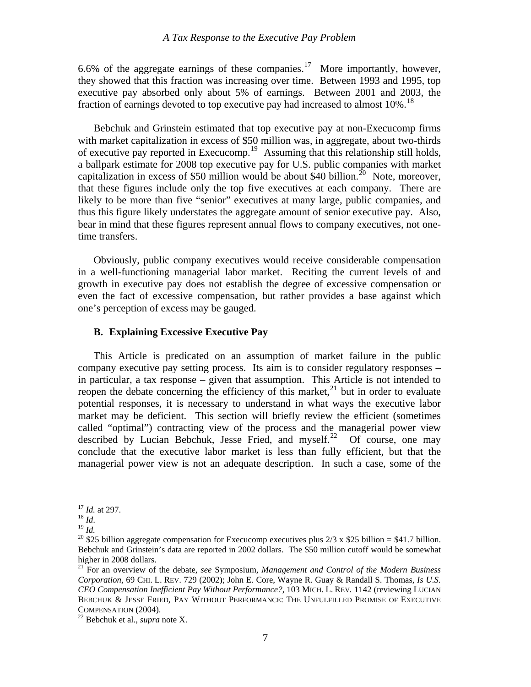<span id="page-8-0"></span>6.6% of the aggregate earnings of these companies.<sup>[17](#page-8-1)</sup> More importantly, however, they showed that this fraction was increasing over time. Between 1993 and 1995, top executive pay absorbed only about 5% of earnings. Between 2001 and 2003, the fraction of earnings devoted to top executive pay had increased to almost  $10\%$ .<sup>[18](#page-8-2)</sup>

 Bebchuk and Grinstein estimated that top executive pay at non-Execucomp firms with market capitalization in excess of \$50 million was, in aggregate, about two-thirds of executive pay reported in Execucomp.[19](#page-8-3) Assuming that this relationship still holds, a ballpark estimate for 2008 top executive pay for U.S. public companies with market capitalization in excess of \$50 million would be about  $$40$  billion.<sup>[20](#page-8-4)</sup> Note, moreover, that these figures include only the top five executives at each company. There are likely to be more than five "senior" executives at many large, public companies, and thus this figure likely understates the aggregate amount of senior executive pay. Also, bear in mind that these figures represent annual flows to company executives, not onetime transfers.

 Obviously, public company executives would receive considerable compensation in a well-functioning managerial labor market. Reciting the current levels of and growth in executive pay does not establish the degree of excessive compensation or even the fact of excessive compensation, but rather provides a base against which one's perception of excess may be gauged.

#### **B. Explaining Excessive Executive Pay**

 This Article is predicated on an assumption of market failure in the public company executive pay setting process. Its aim is to consider regulatory responses – in particular, a tax response – given that assumption. This Article is not intended to reopen the debate concerning the efficiency of this market, $^{21}$  $^{21}$  $^{21}$  but in order to evaluate potential responses, it is necessary to understand in what ways the executive labor market may be deficient. This section will briefly review the efficient (sometimes called "optimal") contracting view of the process and the managerial power view described by Lucian Bebchuk, Jesse Fried, and myself.<sup>[22](#page-8-6)</sup> Of course, one may conclude that the executive labor market is less than fully efficient, but that the managerial power view is not an adequate description. In such a case, some of the

<span id="page-8-4"></span><span id="page-8-3"></span>

<span id="page-8-2"></span><span id="page-8-1"></span><sup>&</sup>lt;sup>17</sup> *Id.* at 297.<br><sup>18</sup> *Id.*<br><sup>19</sup> *Id.* 20 \$25 billion aggregate compensation for Execucomp executives plus 2/3 x \$25 billion = \$41.7 billion. Bebchuk and Grinstein's data are reported in 2002 dollars. The \$50 million cutoff would be somewhat higher in 2008 dollars.

<span id="page-8-5"></span><sup>21</sup> For an overview of the debate, *see* Symposium, *Management and Control of the Modern Business Corporation*, 69 CHI. L. REV. 729 (2002); John E. Core, Wayne R. Guay & Randall S. Thomas, *Is U.S. CEO Compensation Inefficient Pay Without Performance?*, 103 MICH. L. REV*.* 1142 (reviewing LUCIAN BEBCHUK & JESSE FRIED, PAY WITHOUT PERFORMANCE: THE UNFULFILLED PROMISE OF EXECUTIVE COMPENSATION (2004). 22 Bebchuk et al., *supra* note X.

<span id="page-8-6"></span>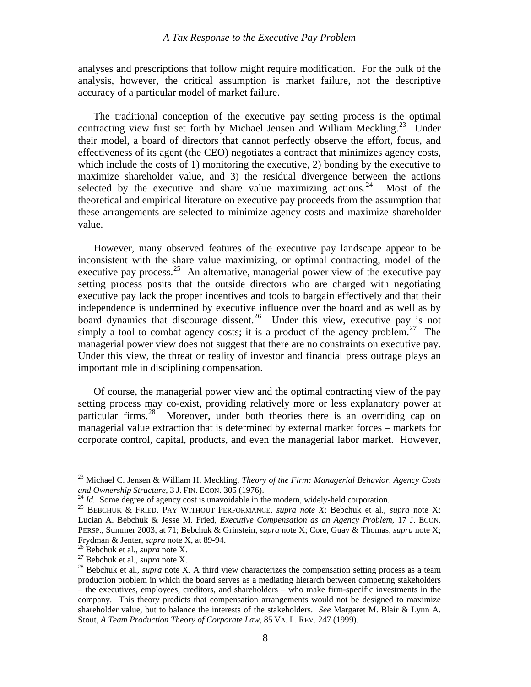analyses and prescriptions that follow might require modification. For the bulk of the analysis, however, the critical assumption is market failure, not the descriptive accuracy of a particular model of market failure.

 The traditional conception of the executive pay setting process is the optimal contracting view first set forth by Michael Jensen and William Meckling.<sup>[23](#page-9-0)</sup> Under their model, a board of directors that cannot perfectly observe the effort, focus, and effectiveness of its agent (the CEO) negotiates a contract that minimizes agency costs, which include the costs of 1) monitoring the executive, 2) bonding by the executive to maximize shareholder value, and 3) the residual divergence between the actions selected by the executive and share value maximizing actions.<sup>[24](#page-9-1)</sup> Most of the theoretical and empirical literature on executive pay proceeds from the assumption that these arrangements are selected to minimize agency costs and maximize shareholder value.

 However, many observed features of the executive pay landscape appear to be inconsistent with the share value maximizing, or optimal contracting, model of the executive pay process.<sup>[25](#page-9-2)</sup> An alternative, managerial power view of the executive pay setting process posits that the outside directors who are charged with negotiating executive pay lack the proper incentives and tools to bargain effectively and that their independence is undermined by executive influence over the board and as well as by board dynamics that discourage dissent.<sup>[26](#page-9-3)</sup> Under this view, executive pay is not simply a tool to combat agency costs; it is a product of the agency problem.<sup>[27](#page-9-4)</sup> The managerial power view does not suggest that there are no constraints on executive pay. Under this view, the threat or reality of investor and financial press outrage plays an important role in disciplining compensation.

 Of course, the managerial power view and the optimal contracting view of the pay setting process may co-exist, providing relatively more or less explanatory power at particular firms.<sup>[28](#page-9-5)</sup> Moreover, under both theories there is an overriding cap on managerial value extraction that is determined by external market forces – markets for corporate control, capital, products, and even the managerial labor market. However,

<u>.</u>

<span id="page-9-0"></span><sup>23</sup> Michael C. Jensen & William H. Meckling, *Theory of the Firm: Managerial Behavior, Agency Costs*  and Ownership Structure, 3 J. FIN. ECON. 305 (1976).<br><sup>24</sup> Id. Some degree of agency cost is unavoidable in the modern, widely-held corporation.<br><sup>25</sup> BEBCHUK & FRIED, PAY WITHOUT PERFORMANCE, *supra note X*; Bebchuk et al.

<span id="page-9-1"></span>

<span id="page-9-2"></span>Lucian A. Bebchuk & Jesse M. Fried, *Executive Compensation as an Agency Problem*, 17 J. ECON. PERSP., Summer 2003, at 71; Bebchuk & Grinstein, *supra* note X; Core, Guay & Thomas, *supra* note X;

<span id="page-9-5"></span><span id="page-9-4"></span>

<span id="page-9-3"></span>Frydman & Jenter, *supra* note X, at 89-94.<br><sup>26</sup> Bebchuk et al., *supra* note X.<br><sup>27</sup> Bebchuk et al., *supra* note X.<br><sup>28</sup> Bebchuk et al., *supra* note X. A third view characterizes the compensation setting process as a t production problem in which the board serves as a mediating hierarch between competing stakeholders – the executives, employees, creditors, and shareholders – who make firm-specific investments in the company. This theory predicts that compensation arrangements would not be designed to maximize shareholder value, but to balance the interests of the stakeholders. *See* Margaret M. Blair & Lynn A. Stout, *A Team Production Theory of Corporate Law*, 85 VA. L. REV. 247 (1999).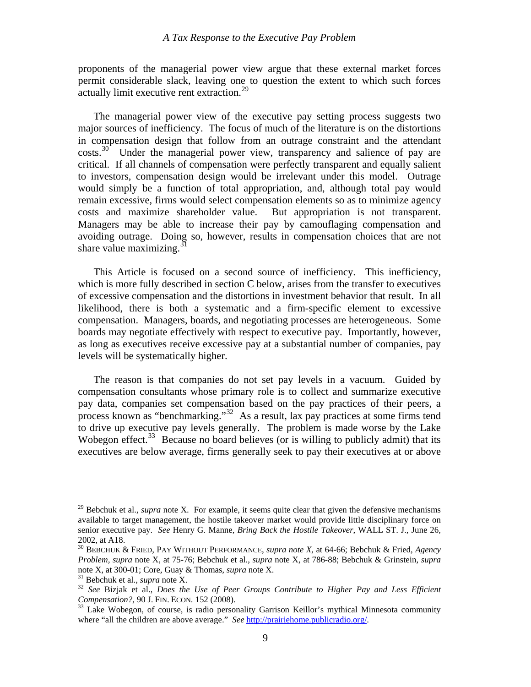proponents of the managerial power view argue that these external market forces permit considerable slack, leaving one to question the extent to which such forces actually limit executive rent extraction.<sup>[29](#page-10-0)</sup>

 The managerial power view of the executive pay setting process suggests two major sources of inefficiency. The focus of much of the literature is on the distortions in compensation design that follow from an outrage constraint and the attendant costs.<sup>[30](#page-10-1)</sup> Under the managerial power view, transparency and salience of pay are critical. If all channels of compensation were perfectly transparent and equally salient to investors, compensation design would be irrelevant under this model. Outrage would simply be a function of total appropriation, and, although total pay would remain excessive, firms would select compensation elements so as to minimize agency costs and maximize shareholder value. But appropriation is not transparent. Managers may be able to increase their pay by camouflaging compensation and avoiding outrage. Doing so, however, results in compensation choices that are not share value maximizing. $3$ 

 This Article is focused on a second source of inefficiency. This inefficiency, which is more fully described in section C below, arises from the transfer to executives of excessive compensation and the distortions in investment behavior that result. In all likelihood, there is both a systematic and a firm-specific element to excessive compensation. Managers, boards, and negotiating processes are heterogeneous. Some boards may negotiate effectively with respect to executive pay. Importantly, however, as long as executives receive excessive pay at a substantial number of companies, pay levels will be systematically higher.

 The reason is that companies do not set pay levels in a vacuum. Guided by compensation consultants whose primary role is to collect and summarize executive pay data, companies set compensation based on the pay practices of their peers, a process known as "benchmarking."[32](#page-10-3) As a result, lax pay practices at some firms tend to drive up executive pay levels generally. The problem is made worse by the Lake Wobegon effect.<sup>[33](#page-10-4)</sup> Because no board believes (or is willing to publicly admit) that its executives are below average, firms generally seek to pay their executives at or above

<u>.</u>

<span id="page-10-0"></span><sup>29</sup> Bebchuk et al., *supra* note X. For example, it seems quite clear that given the defensive mechanisms available to target management, the hostile takeover market would provide little disciplinary force on senior executive pay. *See* Henry G. Manne, *Bring Back the Hostile Takeover*, WALL ST. J., June 26, 2002, at A18.

<span id="page-10-1"></span><sup>30</sup> BEBCHUK & FRIED, PAY WITHOUT PERFORMANCE, *supra note X,* at 64-66; Bebchuk & Fried, *Agency Problem, supra* note X, at 75-76; Bebchuk et al., *supra* note X, at 786-88; Bebchuk & Grinstein, *supra*

<span id="page-10-3"></span>

<span id="page-10-2"></span>note X, at 300-01; Core, Guay & Thomas, *supra* note X.<br><sup>31</sup> Bebchuk et al., *supra* note X.<br><sup>32</sup> *See* Bizjak et al., *Does the Use of Peer Groups Contribute to Higher Pay and Less Efficient Compensation?, 90 J. FIN. ECON* 

<span id="page-10-4"></span><sup>&</sup>lt;sup>33</sup> Lake Wobegon, of course, is radio personality Garrison Keillor's mythical Minnesota community where "all the children are above average." *See* <http://prairiehome.publicradio.org/>.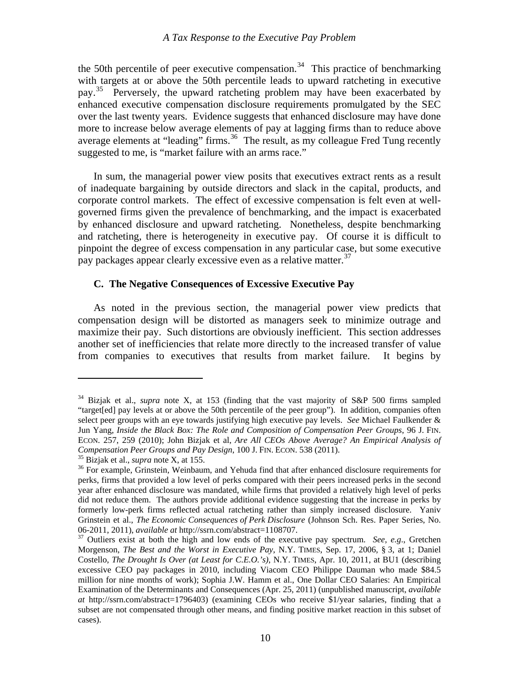<span id="page-11-0"></span>the 50th percentile of peer executive compensation.<sup>[34](#page-11-1)</sup> This practice of benchmarking with targets at or above the 50th percentile leads to upward ratcheting in executive pay.<sup>[35](#page-11-2)</sup> Perversely, the upward ratcheting problem may have been exacerbated by enhanced executive compensation disclosure requirements promulgated by the SEC over the last twenty years. Evidence suggests that enhanced disclosure may have done more to increase below average elements of pay at lagging firms than to reduce above average elements at "leading" firms.<sup>[36](#page-11-3)</sup> The result, as my colleague Fred Tung recently suggested to me, is "market failure with an arms race."

 In sum, the managerial power view posits that executives extract rents as a result of inadequate bargaining by outside directors and slack in the capital, products, and corporate control markets. The effect of excessive compensation is felt even at wellgoverned firms given the prevalence of benchmarking, and the impact is exacerbated by enhanced disclosure and upward ratcheting. Nonetheless, despite benchmarking and ratcheting, there is heterogeneity in executive pay. Of course it is difficult to pinpoint the degree of excess compensation in any particular case, but some executive pay packages appear clearly excessive even as a relative matter.<sup>[37](#page-11-4)</sup>

#### **C. The Negative Consequences of Excessive Executive Pay**

 As noted in the previous section, the managerial power view predicts that compensation design will be distorted as managers seek to minimize outrage and maximize their pay. Such distortions are obviously inefficient. This section addresses another set of inefficiencies that relate more directly to the increased transfer of value from companies to executives that results from market failure. It begins by

<span id="page-11-1"></span><sup>34</sup> Bizjak et al., *supra* note X, at 153 (finding that the vast majority of S&P 500 firms sampled "target[ed] pay levels at or above the 50th percentile of the peer group"). In addition, companies often select peer groups with an eye towards justifying high executive pay levels. *See* Michael Faulkender & Jun Yang, *Inside the Black Box: The Role and Composition of Compensation Peer Groups*, 96 J. FIN. ECON. 257, 259 (2010); John Bizjak et al, *Are All CEOs Above Average? An Empirical Analysis of*  Compensation Peer Groups and Pay Design, 100 J. FIN. ECON. 538 (2011).<br><sup>35</sup> Bizjak et al., *supra* note X, at 155.<br><sup>36</sup> For example, Grinstein, Weinbaum, and Yehuda find that after enhanced disclosure requirements for

<span id="page-11-3"></span><span id="page-11-2"></span>perks, firms that provided a low level of perks compared with their peers increased perks in the second year after enhanced disclosure was mandated, while firms that provided a relatively high level of perks did not reduce them. The authors provide additional evidence suggesting that the increase in perks by formerly low-perk firms reflected actual ratcheting rather than simply increased disclosure. Yaniv Grinstein et al., *The Economic Consequences of Perk Disclosure* (Johnson Sch. Res. Paper Series, No. 06-2011, 2011), *available at* http://ssrn.com/abstract=1108707. 37 Outliers exist at both the high and low ends of the executive pay spectrum. *See, e.g*., Gretchen

<span id="page-11-4"></span>Morgenson, *The Best and the Worst in Executive Pay*, N.Y. TIMES, Sep. 17, 2006, § 3, at 1; Daniel Costello, *The Drought Is Over (at Least for C.E.O.'s)*, N.Y. TIMES, Apr. 10, 2011, at BU1 (describing excessive CEO pay packages in 2010, including Viacom CEO Philippe Dauman who made \$84.5 million for nine months of work); Sophia J.W. Hamm et al., One Dollar CEO Salaries: An Empirical Examination of the Determinants and Consequences (Apr. 25, 2011) (unpublished manuscript, *available at* http://ssrn.com/abstract=1796403) (examining CEOs who receive \$1/year salaries, finding that a subset are not compensated through other means, and finding positive market reaction in this subset of cases).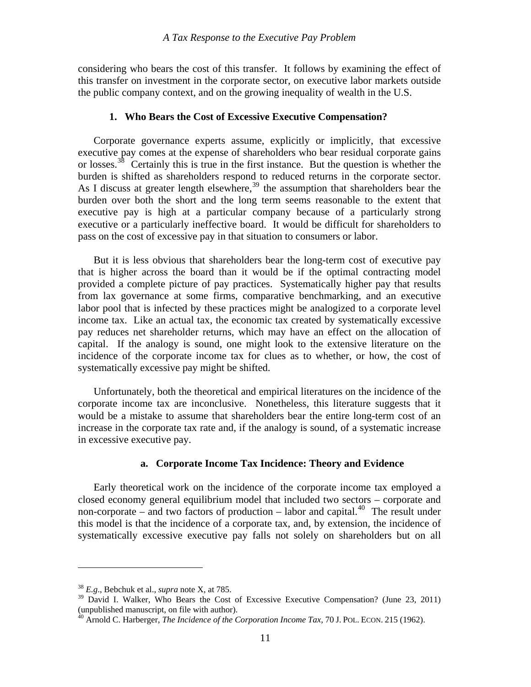<span id="page-12-0"></span>considering who bears the cost of this transfer. It follows by examining the effect of this transfer on investment in the corporate sector, on executive labor markets outside the public company context, and on the growing inequality of wealth in the U.S.

#### **1. Who Bears the Cost of Excessive Executive Compensation?**

 Corporate governance experts assume, explicitly or implicitly, that excessive executive pay comes at the expense of shareholders who bear residual corporate gains or losses.<sup>[38](#page-12-1)</sup> Certainly this is true in the first instance. But the question is whether the burden is shifted as shareholders respond to reduced returns in the corporate sector. As I discuss at greater length elsewhere,<sup>[39](#page-12-2)</sup> the assumption that shareholders bear the burden over both the short and the long term seems reasonable to the extent that executive pay is high at a particular company because of a particularly strong executive or a particularly ineffective board. It would be difficult for shareholders to pass on the cost of excessive pay in that situation to consumers or labor.

 But it is less obvious that shareholders bear the long-term cost of executive pay that is higher across the board than it would be if the optimal contracting model provided a complete picture of pay practices. Systematically higher pay that results from lax governance at some firms, comparative benchmarking, and an executive labor pool that is infected by these practices might be analogized to a corporate level income tax. Like an actual tax, the economic tax created by systematically excessive pay reduces net shareholder returns, which may have an effect on the allocation of capital. If the analogy is sound, one might look to the extensive literature on the incidence of the corporate income tax for clues as to whether, or how, the cost of systematically excessive pay might be shifted.

 Unfortunately, both the theoretical and empirical literatures on the incidence of the corporate income tax are inconclusive. Nonetheless, this literature suggests that it would be a mistake to assume that shareholders bear the entire long-term cost of an increase in the corporate tax rate and, if the analogy is sound, of a systematic increase in excessive executive pay.

#### **a. Corporate Income Tax Incidence: Theory and Evidence**

 Early theoretical work on the incidence of the corporate income tax employed a closed economy general equilibrium model that included two sectors – corporate and non-corporate – and two factors of production – labor and capital.<sup>[40](#page-12-3)</sup> The result under this model is that the incidence of a corporate tax, and, by extension, the incidence of systematically excessive executive pay falls not solely on shareholders but on all

1

<span id="page-12-1"></span><sup>38</sup> *E.g*., Bebchuk et al., *supra* note X, at 785.

<span id="page-12-2"></span> $39$  David I. Walker, Who Bears the Cost of Excessive Executive Compensation? (June 23, 2011) (unpublished manuscript, on file with author).

<span id="page-12-3"></span><sup>40</sup> Arnold C. Harberger, *The Incidence of the Corporation Income Tax*, 70 J. POL. ECON. 215 (1962).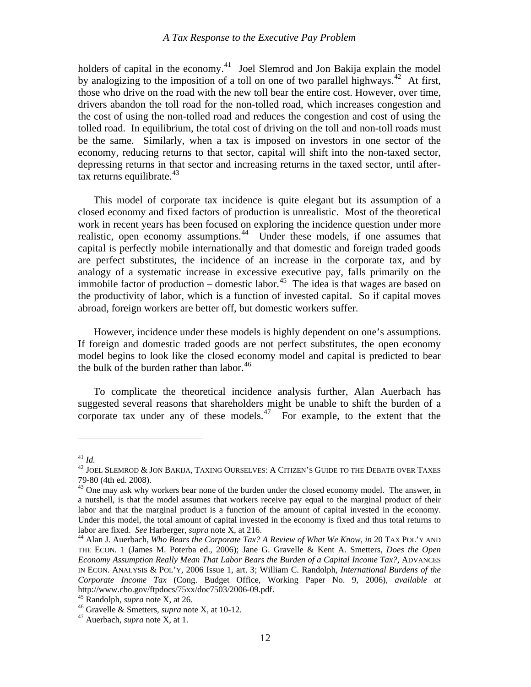holders of capital in the economy.<sup>[41](#page-13-0)</sup> Joel Slemrod and Jon Bakija explain the model by analogizing to the imposition of a toll on one of two parallel highways.<sup>[42](#page-13-1)</sup> At first, those who drive on the road with the new toll bear the entire cost. However, over time, drivers abandon the toll road for the non-tolled road, which increases congestion and the cost of using the non-tolled road and reduces the congestion and cost of using the tolled road. In equilibrium, the total cost of driving on the toll and non-toll roads must be the same. Similarly, when a tax is imposed on investors in one sector of the economy, reducing returns to that sector, capital will shift into the non-taxed sector, depressing returns in that sector and increasing returns in the taxed sector, until aftertax returns equilibrate. $43$ 

 This model of corporate tax incidence is quite elegant but its assumption of a closed economy and fixed factors of production is unrealistic. Most of the theoretical work in recent years has been focused on exploring the incidence question under more realistic, open economy assumptions.<sup>[44](#page-13-3)</sup> Under these models, if one assumes that capital is perfectly mobile internationally and that domestic and foreign traded goods are perfect substitutes, the incidence of an increase in the corporate tax, and by analogy of a systematic increase in excessive executive pay, falls primarily on the immobile factor of production – domestic labor.<sup>[45](#page-13-4)</sup> The idea is that wages are based on the productivity of labor, which is a function of invested capital. So if capital moves abroad, foreign workers are better off, but domestic workers suffer.

 However, incidence under these models is highly dependent on one's assumptions. If foreign and domestic traded goods are not perfect substitutes, the open economy model begins to look like the closed economy model and capital is predicted to bear the bulk of the burden rather than labor. $46$ 

 To complicate the theoretical incidence analysis further, Alan Auerbach has suggested several reasons that shareholders might be unable to shift the burden of a corporate tax under any of these models.<sup>[47](#page-13-6)</sup> For example, to the extent that the

<span id="page-13-1"></span><span id="page-13-0"></span><sup>&</sup>lt;sup>41</sup> *Id.*<br><sup>42</sup> Joel Slemrod & Jon Bakija, Taxing Ourselves: A Citizen's Guide to the Debate over Taxes 79-80 (4th ed. 2008).

<span id="page-13-2"></span><sup>&</sup>lt;sup>43</sup> One may ask why workers bear none of the burden under the closed economy model. The answer, in a nutshell, is that the model assumes that workers receive pay equal to the marginal product of their labor and that the marginal product is a function of the amount of capital invested in the economy. Under this model, the total amount of capital invested in the economy is fixed and thus total returns to labor are fixed. *See* Harberger, *supra* note X, at 216.<br><sup>44</sup> Alan J. Auerbach, *Who Bears the Corporate Tax? A Review of What We Know*, *in* 20 TAX POL'Y AND

<span id="page-13-3"></span>THE ECON. 1 (James M. Poterba ed., 2006); Jane G. Gravelle & Kent A. Smetters, *Does the Open Economy Assumption Really Mean That Labor Bears the Burden of a Capital Income Tax?*, ADVANCES IN ECON. ANALYSIS & POL'Y, 2006 Issue 1, art. 3; William C. Randolph, *International Burdens of the Corporate Income Tax* (Cong. Budget Office, Working Paper No. 9, 2006), *available at*  http://www.cbo.gov/ftpdocs/75xx/doc7503/2006-09.pdf.<br><sup>45</sup> Randolph, *supra* note X, at 26.

<span id="page-13-6"></span><span id="page-13-5"></span><span id="page-13-4"></span><sup>&</sup>lt;sup>46</sup> Gravelle & Smetters, *supra* note X, at 10-12.<br><sup>47</sup> Auerbach, *supra* note X, at 1.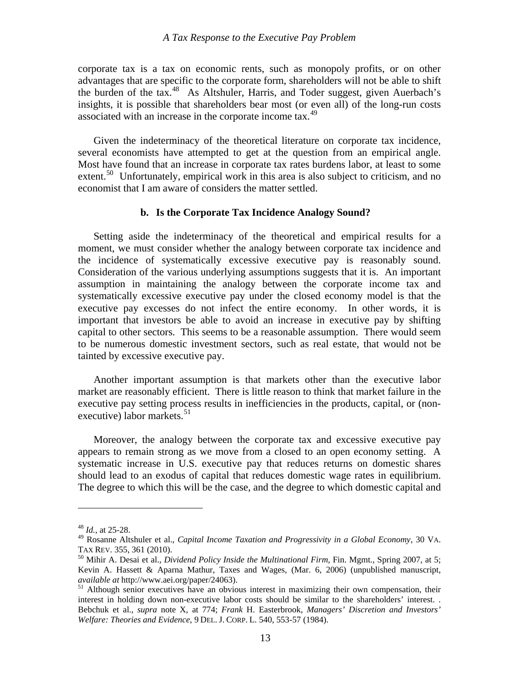<span id="page-14-0"></span>corporate tax is a tax on economic rents, such as monopoly profits, or on other advantages that are specific to the corporate form, shareholders will not be able to shift the burden of the tax.[48](#page-14-1) As Altshuler, Harris, and Toder suggest, given Auerbach's insights, it is possible that shareholders bear most (or even all) of the long-run costs associated with an increase in the corporate income tax.<sup>[49](#page-14-2)</sup>

 Given the indeterminacy of the theoretical literature on corporate tax incidence, several economists have attempted to get at the question from an empirical angle. Most have found that an increase in corporate tax rates burdens labor, at least to some extent.<sup>[50](#page-14-3)</sup> Unfortunately, empirical work in this area is also subject to criticism, and no economist that I am aware of considers the matter settled.

#### **b. Is the Corporate Tax Incidence Analogy Sound?**

 Setting aside the indeterminacy of the theoretical and empirical results for a moment, we must consider whether the analogy between corporate tax incidence and the incidence of systematically excessive executive pay is reasonably sound. Consideration of the various underlying assumptions suggests that it is. An important assumption in maintaining the analogy between the corporate income tax and systematically excessive executive pay under the closed economy model is that the executive pay excesses do not infect the entire economy. In other words, it is important that investors be able to avoid an increase in executive pay by shifting capital to other sectors. This seems to be a reasonable assumption. There would seem to be numerous domestic investment sectors, such as real estate, that would not be tainted by excessive executive pay.

 Another important assumption is that markets other than the executive labor market are reasonably efficient. There is little reason to think that market failure in the executive pay setting process results in inefficiencies in the products, capital, or (nonexecutive) labor markets. $51$ 

 Moreover, the analogy between the corporate tax and excessive executive pay appears to remain strong as we move from a closed to an open economy setting. A systematic increase in U.S. executive pay that reduces returns on domestic shares should lead to an exodus of capital that reduces domestic wage rates in equilibrium. The degree to which this will be the case, and the degree to which domestic capital and

<span id="page-14-1"></span><sup>48</sup> *Id.*, at 25-28.

<span id="page-14-2"></span><sup>49</sup> Rosanne Altshuler et al., *Capital Income Taxation and Progressivity in a Global Economy*, 30 VA. TAX REV. 355, 361 (2010).<br><sup>50</sup> Mihir A. Desai et al., *Dividend Policy Inside the Multinational Firm*, Fin. Mgmt., Spring 2007, at 5;

<span id="page-14-3"></span>Kevin A. Hassett & Aparna Mathur, Taxes and Wages, (Mar. 6, 2006) (unpublished manuscript, *available at* http://www.aei.org/paper/24063).

<span id="page-14-4"></span><sup>&</sup>lt;sup>51</sup> Although senior executives have an obvious interest in maximizing their own compensation, their interest in holding down non-executive labor costs should be similar to the shareholders' interest. . Bebchuk et al., *supra* note X, at 774; *Frank* H. Easterbrook, *Managers' Discretion and Investors' Welfare: Theories and Evidence*, 9 DEL. J. CORP. L. 540, 553-57 (1984).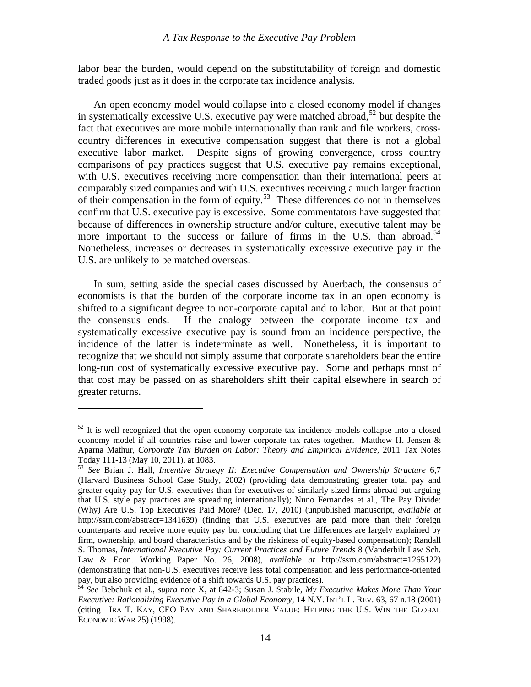labor bear the burden, would depend on the substitutability of foreign and domestic traded goods just as it does in the corporate tax incidence analysis.

 An open economy model would collapse into a closed economy model if changes in systematically excessive U.S. executive pay were matched abroad,  $52$  but despite the fact that executives are more mobile internationally than rank and file workers, crosscountry differences in executive compensation suggest that there is not a global executive labor market. Despite signs of growing convergence, cross country comparisons of pay practices suggest that U.S. executive pay remains exceptional, with U.S. executives receiving more compensation than their international peers at comparably sized companies and with U.S. executives receiving a much larger fraction of their compensation in the form of equity.<sup>[53](#page-15-1)</sup> These differences do not in themselves confirm that U.S. executive pay is excessive. Some commentators have suggested that because of differences in ownership structure and/or culture, executive talent may be more important to the success or failure of firms in the U.S. than abroad.<sup>[54](#page-15-2)</sup> Nonetheless, increases or decreases in systematically excessive executive pay in the U.S. are unlikely to be matched overseas.

 In sum, setting aside the special cases discussed by Auerbach, the consensus of economists is that the burden of the corporate income tax in an open economy is shifted to a significant degree to non-corporate capital and to labor. But at that point the consensus ends. If the analogy between the corporate income tax and systematically excessive executive pay is sound from an incidence perspective, the incidence of the latter is indeterminate as well. Nonetheless, it is important to recognize that we should not simply assume that corporate shareholders bear the entire long-run cost of systematically excessive executive pay. Some and perhaps most of that cost may be passed on as shareholders shift their capital elsewhere in search of greater returns.

1

<span id="page-15-0"></span> $52$  It is well recognized that the open economy corporate tax incidence models collapse into a closed economy model if all countries raise and lower corporate tax rates together. Matthew H. Jensen & Aparna Mathur, *Corporate Tax Burden on Labor: Theory and Empirical Evidence*, 2011 Tax Notes Today 111-13 (May 10, 2011), at 1083.

<span id="page-15-1"></span><sup>53</sup> *See* Brian J. Hall, *Incentive Strategy II: Executive Compensation and Ownership Structure* 6,7 (Harvard Business School Case Study, 2002) (providing data demonstrating greater total pay and greater equity pay for U.S. executives than for executives of similarly sized firms abroad but arguing that U.S. style pay practices are spreading internationally); Nuno Fernandes et al., The Pay Divide: (Why) Are U.S. Top Executives Paid More? (Dec. 17, 2010) (unpublished manuscript, *available at* http://ssrn.com/abstract=1341639) (finding that U.S. executives are paid more than their foreign counterparts and receive more equity pay but concluding that the differences are largely explained by firm, ownership, and board characteristics and by the riskiness of equity-based compensation); Randall S. Thomas, *International Executive Pay: Current Practices and Future Trends* 8 (Vanderbilt Law Sch. Law & Econ. Working Paper No. 26, 2008), *available at* http://ssrn.com/abstract=1265122) (demonstrating that non-U.S. executives receive less total compensation and less performance-oriented pay, but also providing evidence of a shift towards U.S. pay practices). 54 *See* Bebchuk et al., *supra* note X, at 842-3; Susan J. Stabile, *My Executive Makes More Than Your* 

<span id="page-15-2"></span>*Executive: Rationalizing Executive Pay in a Global Economy*, 14 N.Y. INT'L L. REV. 63, 67 n.18 (2001) (citing IRA T. KAY, CEO PAY AND SHAREHOLDER VALUE: HELPING THE U.S. WIN THE GLOBAL ECONOMIC WAR 25) (1998).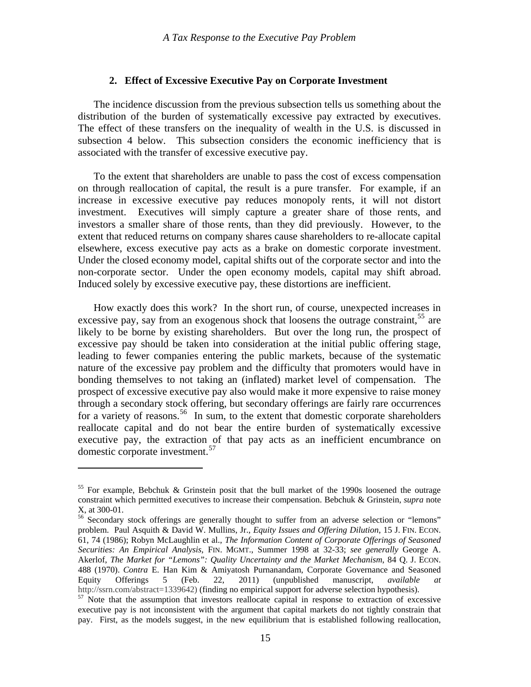#### **2. Effect of Excessive Executive Pay on Corporate Investment**

<span id="page-16-0"></span> The incidence discussion from the previous subsection tells us something about the distribution of the burden of systematically excessive pay extracted by executives. The effect of these transfers on the inequality of wealth in the U.S. is discussed in subsection 4 below. This subsection considers the economic inefficiency that is associated with the transfer of excessive executive pay.

 To the extent that shareholders are unable to pass the cost of excess compensation on through reallocation of capital, the result is a pure transfer. For example, if an increase in excessive executive pay reduces monopoly rents, it will not distort investment. Executives will simply capture a greater share of those rents, and investors a smaller share of those rents, than they did previously. However, to the extent that reduced returns on company shares cause shareholders to re-allocate capital elsewhere, excess executive pay acts as a brake on domestic corporate investment. Under the closed economy model, capital shifts out of the corporate sector and into the non-corporate sector. Under the open economy models, capital may shift abroad. Induced solely by excessive executive pay, these distortions are inefficient.

 How exactly does this work? In the short run, of course, unexpected increases in excessive pay, say from an exogenous shock that loosens the outrage constraint.<sup>[55](#page-16-1)</sup> are likely to be borne by existing shareholders. But over the long run, the prospect of excessive pay should be taken into consideration at the initial public offering stage, leading to fewer companies entering the public markets, because of the systematic nature of the excessive pay problem and the difficulty that promoters would have in bonding themselves to not taking an (inflated) market level of compensation. The prospect of excessive executive pay also would make it more expensive to raise money through a secondary stock offering, but secondary offerings are fairly rare occurrences for a variety of reasons.<sup>[56](#page-16-2)</sup> In sum, to the extent that domestic corporate shareholders reallocate capital and do not bear the entire burden of systematically excessive executive pay, the extraction of that pay acts as an inefficient encumbrance on domestic corporate investment.<sup>[57](#page-16-3)</sup>

<span id="page-16-1"></span><sup>&</sup>lt;sup>55</sup> For example, Bebchuk & Grinstein posit that the bull market of the 1990s loosened the outrage constraint which permitted executives to increase their compensation. Bebchuk & Grinstein, *supra* note X, at 300-01.

<span id="page-16-2"></span><sup>&</sup>lt;sup>56</sup> Secondary stock offerings are generally thought to suffer from an adverse selection or "lemons" problem. Paul Asquith & David W. Mullins, Jr., *Equity Issues and Offering Dilution*, 15 J. FIN. ECON. 61, 74 (1986); Robyn McLaughlin et al., *The Information Content of Corporate Offerings of Seasoned Securities: An Empirical Analysis*, FIN. MGMT., Summer 1998 at 32-33; *see generally* George A. Akerlof, *The Market for "Lemons": Quality Uncertainty and the Market Mechanism*, 84 Q. J. ECON. 488 (1970). *Contra* E. Han Kim & Amiyatosh Purnanandam, Corporate Governance and Seasoned Equity Offerings 5 (Feb. 22, 2011) (unpublished manuscript, *available at* http://ssrn.com/abstract=1339642) (finding no empirical support for adverse selection hypothesis).

<span id="page-16-3"></span> $h<sup>57</sup>$  Note that the assumption that investors reallocate capital in response to extraction of excessive executive pay is not inconsistent with the argument that capital markets do not tightly constrain that pay. First, as the models suggest, in the new equilibrium that is established following reallocation,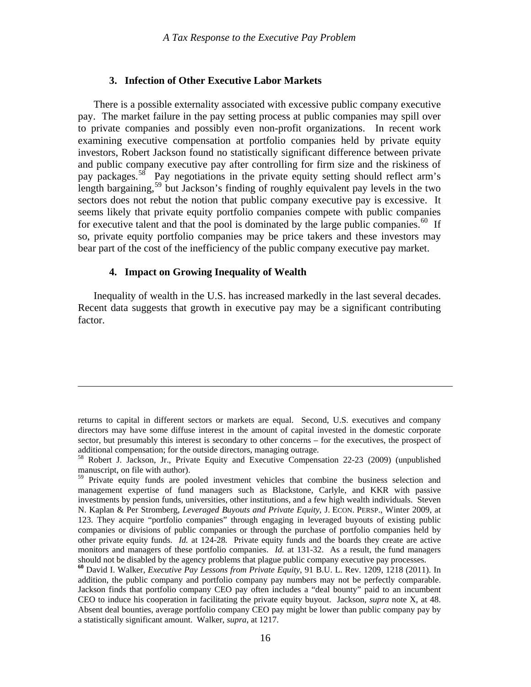#### **3. Infection of Other Executive Labor Markets**

<span id="page-17-0"></span> There is a possible externality associated with excessive public company executive pay. The market failure in the pay setting process at public companies may spill over to private companies and possibly even non-profit organizations. In recent work examining executive compensation at portfolio companies held by private equity investors, Robert Jackson found no statistically significant difference between private and public company executive pay after controlling for firm size and the riskiness of pay packages.[58](#page-17-1) Pay negotiations in the private equity setting should reflect arm's length bargaining,<sup>[59](#page-17-2)</sup> but Jackson's finding of roughly equivalent pay levels in the two sectors does not rebut the notion that public company executive pay is excessive. It seems likely that private equity portfolio companies compete with public companies for executive talent and that the pool is dominated by the large public companies.<sup>[60](#page-17-3)</sup> If so, private equity portfolio companies may be price takers and these investors may bear part of the cost of the inefficiency of the public company executive pay market.

#### **4. Impact on Growing Inequality of Wealth**

 $\overline{a}$ 

 Inequality of wealth in the U.S. has increased markedly in the last several decades. Recent data suggests that growth in executive pay may be a significant contributing factor.

returns to capital in different sectors or markets are equal. Second, U.S. executives and company directors may have some diffuse interest in the amount of capital invested in the domestic corporate sector, but presumably this interest is secondary to other concerns – for the executives, the prospect of additional compensation; for the outside directors, managing outrage.

<span id="page-17-1"></span><sup>58</sup> Robert J. Jackson, Jr., Private Equity and Executive Compensation 22-23 (2009) (unpublished manuscript, on file with author).

<span id="page-17-2"></span><sup>&</sup>lt;sup>59</sup> Private equity funds are pooled investment vehicles that combine the business selection and management expertise of fund managers such as Blackstone, Carlyle, and KKR with passive investments by pension funds, universities, other institutions, and a few high wealth individuals. Steven N. Kaplan & Per Stromberg, *Leveraged Buyouts and Private Equity*, J. ECON. PERSP., Winter 2009, at 123. They acquire "portfolio companies" through engaging in leveraged buyouts of existing public companies or divisions of public companies or through the purchase of portfolio companies held by other private equity funds. *Id.* at 124-28*.* Private equity funds and the boards they create are active monitors and managers of these portfolio companies. *Id.* at 131-32. As a result, the fund managers should not be disabled by the agency problems that plague public company executive pay processes.

<span id="page-17-3"></span>**<sup>60</sup>** David I. Walker, *Executive Pay Lessons from Private Equity*, 91 B.U. L. Rev. 1209, 1218 (2011). In addition, the public company and portfolio company pay numbers may not be perfectly comparable. Jackson finds that portfolio company CEO pay often includes a "deal bounty" paid to an incumbent CEO to induce his cooperation in facilitating the private equity buyout. Jackson, *supra* note X, at 48. Absent deal bounties, average portfolio company CEO pay might be lower than public company pay by a statistically significant amount. Walker, *supra*, at 1217.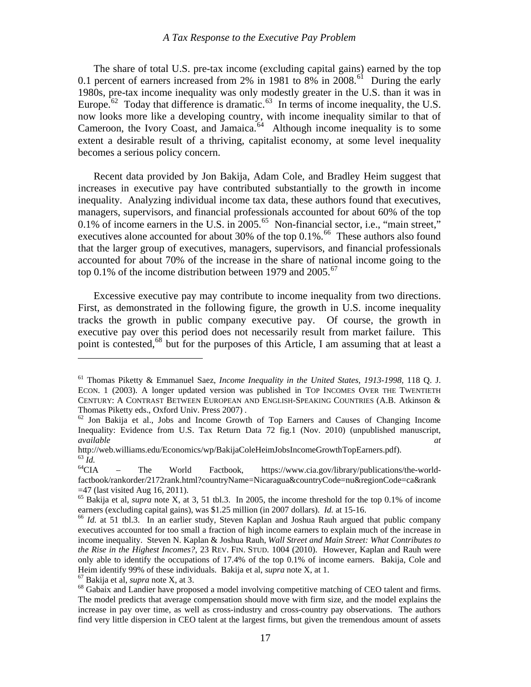The share of total U.S. pre-tax income (excluding capital gains) earned by the top 0.1 percent of earners increased from 2% in 1981 to 8% in 2008.<sup>[61](#page-18-0)</sup> During the early 1980s, pre-tax income inequality was only modestly greater in the U.S. than it was in Europe.<sup> $62$ </sup> Today that difference is dramatic.<sup> $63$ </sup> In terms of income inequality, the U.S. now looks more like a developing country, with income inequality similar to that of Cameroon, the Ivory Coast, and Jamaica.<sup>64</sup> Although income inequality is to some extent a desirable result of a thriving, capitalist economy, at some level inequality becomes a serious policy concern.

 Recent data provided by Jon Bakija, Adam Cole, and Bradley Heim suggest that increases in executive pay have contributed substantially to the growth in income inequality. Analyzing individual income tax data, these authors found that executives, managers, supervisors, and financial professionals accounted for about 60% of the top 0.1% of income earners in the U.S. in  $2005$ .<sup>[65](#page-18-4)</sup> Non-financial sector, i.e., "main street," executives alone accounted for about 30% of the top  $0.1\%$ .<sup>[66](#page-18-5)</sup> These authors also found that the larger group of executives, managers, supervisors, and financial professionals accounted for about 70% of the increase in the share of national income going to the top 0.1% of the income distribution between 1979 and 2005.<sup>[67](#page-18-6)</sup>

 Excessive executive pay may contribute to income inequality from two directions. First, as demonstrated in the following figure, the growth in U.S. income inequality tracks the growth in public company executive pay. Of course, the growth in executive pay over this period does not necessarily result from market failure. This point is contested,  $68$  but for the purposes of this Article, I am assuming that at least a

<span id="page-18-6"></span>

<span id="page-18-0"></span><sup>61</sup> Thomas Piketty & Emmanuel Saez, *Income Inequality in the United States, 1913-1998*, 118 Q. J. ECON. 1 (2003). A longer updated version was published in TOP INCOMES OVER THE TWENTIETH CENTURY: A CONTRAST BETWEEN EUROPEAN AND ENGLISH-SPEAKING COUNTRIES (A.B. Atkinson & Thomas Piketty eds., Oxford Univ. Press 2007).<br><sup>62</sup> Jon Bakija et al., Jobs and Income Growth of Top Earners and Causes of Changing Income

<span id="page-18-1"></span>Inequality: Evidence from U.S. Tax Return Data 72 fig.1 (Nov. 2010) (unpublished manuscript, *available at*

<span id="page-18-2"></span>http://web.williams.edu/Economics/wp/BakijaColeHeimJobsIncomeGrowthTopEarners.pdf).<br>
<sup>63</sup> *Id.* – The World Factbook, https://www.cia.gov/library/publications/the-world-<br>
<sup>64</sup>CIA – The World Factbook, https://www.cia.gov/l

<span id="page-18-3"></span>factbook/rankorder/2172rank.html?countryName=Nicaragua&countryCode=nu&regionCode=ca&rank  $=47$  (last visited Aug 16, 2011).

<span id="page-18-4"></span><sup>65</sup> Bakija et al, *supra* note X, at 3, 51 tbl.3. In 2005, the income threshold for the top 0.1% of income earners (excluding capital gains), was \$1.25 million (in 2007 dollars). *Id.* at 15-16. <sup>66</sup> *Id.* at 51 tbl.3. In an earlier study, Steven Kaplan and Joshua Rauh argued that public company

<span id="page-18-5"></span>executives accounted for too small a fraction of high income earners to explain much of the increase in income inequality. Steven N. Kaplan & Joshua Rauh, *Wall Street and Main Street: What Contributes to the Rise in the Highest Incomes?*, 23 REV. FIN. STUD. 1004 (2010). However, Kaplan and Rauh were only able to identify the occupations of 17.4% of the top 0.1% of income earners. Bakija, Cole and Heim identify 99% of these individuals. Bakija et al, *supra* note X, at 1.<br><sup>67</sup> Bakija et al, *supra* note X, at 3. 68 Gabaix and Landier have proposed a model involving competitive matching of CEO talent and firms.

<span id="page-18-7"></span>The model predicts that average compensation should move with firm size, and the model explains the increase in pay over time, as well as cross-industry and cross-country pay observations. The authors find very little dispersion in CEO talent at the largest firms, but given the tremendous amount of assets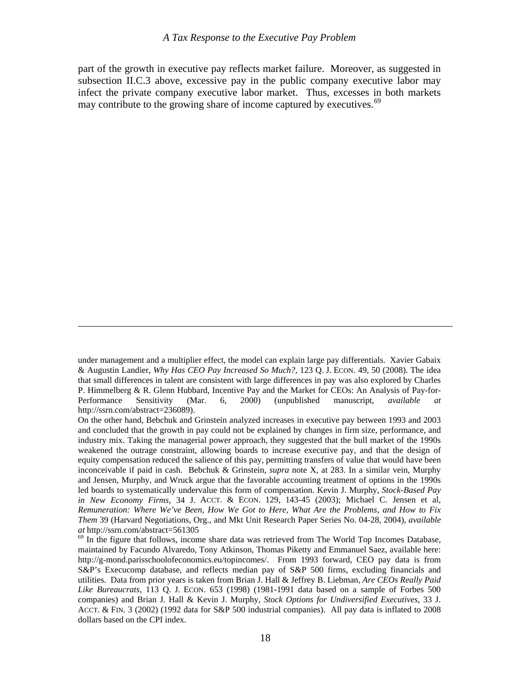part of the growth in executive pay reflects market failure. Moreover, as suggested in subsection II.C.3 above, excessive pay in the public company executive labor may infect the private company executive labor market. Thus, excesses in both markets may contribute to the growing share of income captured by executives.<sup>[69](#page-19-0)</sup>

under management and a multiplier effect, the model can explain large pay differentials. Xavier Gabaix & Augustin Landier, *Why Has CEO Pay Increased So Much?,* 123 Q. J. ECON. 49, 50 (2008). The idea that small differences in talent are consistent with large differences in pay was also explored by Charles P. Himmelberg & R. Glenn Hubbard, Incentive Pay and the Market for CEOs: An Analysis of Pay-for-Performance Sensitivity (Mar. 6, 2000) (unpublished manuscript, *available at* http://ssrn.com/abstract=236089).

On the other hand, Bebchuk and Grinstein analyzed increases in executive pay between 1993 and 2003 and concluded that the growth in pay could not be explained by changes in firm size, performance, and industry mix. Taking the managerial power approach, they suggested that the bull market of the 1990s weakened the outrage constraint, allowing boards to increase executive pay, and that the design of equity compensation reduced the salience of this pay, permitting transfers of value that would have been inconceivable if paid in cash. Bebchuk & Grinstein, *supra* note X, at 283. In a similar vein, Murphy and Jensen, Murphy, and Wruck argue that the favorable accounting treatment of options in the 1990s led boards to systematically undervalue this form of compensation. Kevin J. Murphy, *Stock-Based Pay in New Economy Firms*, 34 J. ACCT. & ECON. 129, 143-45 (2003); Michael C. Jensen et al, *Remuneration: Where We've Been, How We Got to Here, What Are the Problems, and How to Fix Them* 39 (Harvard Negotiations, Org., and Mkt Unit Research Paper Series No. 04-28, 2004), *available* 

<span id="page-19-0"></span><sup>&</sup>lt;sup>69</sup> In the figure that follows, income share data was retrieved from The World Top Incomes Database, maintained by [Facundo Alvaredo,](javascript:;) [Tony Atkinson](javascript:;), [Thomas Piketty](javascript:;) and [Emmanuel Saez](javascript:;), available here: http://g-mond.parisschoolofeconomics.eu/topincomes/. From 1993 forward, CEO pay data is from S&P's Execucomp database, and reflects median pay of S&P 500 firms, excluding financials and utilities. Data from prior years is taken from Brian J. Hall & Jeffrey B. Liebman, *Are CEOs Really Paid Like Bureaucrats*, 113 Q. J. ECON. 653 (1998) (1981-1991 data based on a sample of Forbes 500 companies) and Brian J. Hall & Kevin J. Murphy, *Stock Options for Undiversified Executives*, 33 J. ACCT. & FIN. 3 (2002) (1992 data for S&P 500 industrial companies). All pay data is inflated to 2008 dollars based on the CPI index.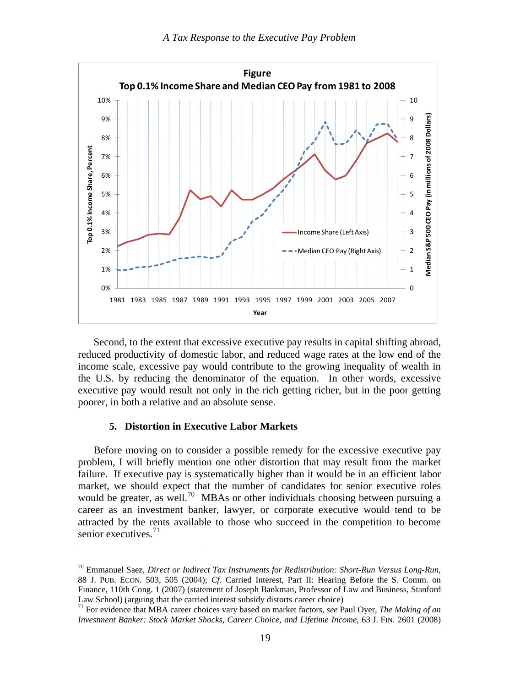<span id="page-20-0"></span>

 Second, to the extent that excessive executive pay results in capital shifting abroad, reduced productivity of domestic labor, and reduced wage rates at the low end of the income scale, excessive pay would contribute to the growing inequality of wealth in the U.S. by reducing the denominator of the equation. In other words, excessive executive pay would result not only in the rich getting richer, but in the poor getting poorer, in both a relative and an absolute sense.

#### **5. Distortion in Executive Labor Markets**

<u>.</u>

 Before moving on to consider a possible remedy for the excessive executive pay problem, I will briefly mention one other distortion that may result from the market failure. If executive pay is systematically higher than it would be in an efficient labor market, we should expect that the number of candidates for senior executive roles would be greater, as well.<sup>[70](#page-20-1)</sup> MBAs or other individuals choosing between pursuing a career as an investment banker, lawyer, or corporate executive would tend to be attracted by the rents available to those who succeed in the competition to become senior executives. $71$ 

<span id="page-20-1"></span><sup>70</sup> Emmanuel Saez, *Direct or Indirect Tax Instruments for Redistribution: Short-Run Versus Long-Run*, 88 J. PUB. ECON. 503, 505 (2004); *Cf*. Carried Interest, Part II: Hearing Before the S. Comm. on Finance, 110th Cong. 1 (2007) (statement of Joseph Bankman, Professor of Law and Business, Stanford Law School) (arguing that the carried interest subsidy distorts career choice) 71 For evidence that MBA career choices vary based on market factors, *see* Paul Oyer, *The Making of an* 

<span id="page-20-2"></span>*Investment Banker: Stock Market Shocks, Career Choice, and Lifetime Income*, 63 J. FIN. 2601 (2008)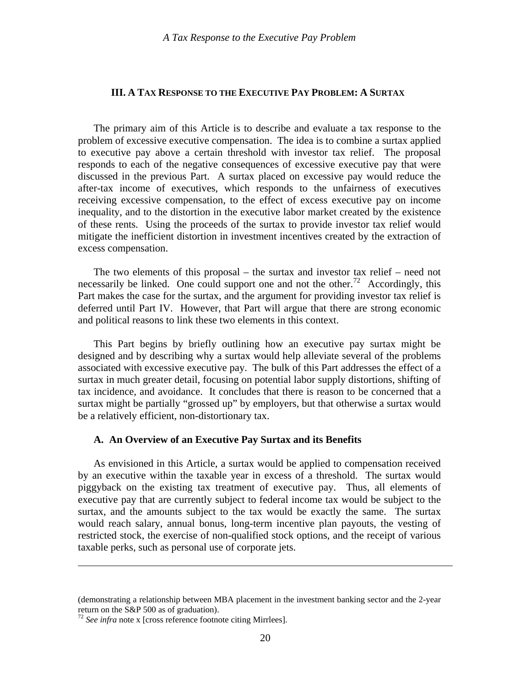#### <span id="page-21-0"></span>**III. A TAX RESPONSE TO THE EXECUTIVE PAY PROBLEM: A SURTAX**

 The primary aim of this Article is to describe and evaluate a tax response to the problem of excessive executive compensation. The idea is to combine a surtax applied to executive pay above a certain threshold with investor tax relief. The proposal responds to each of the negative consequences of excessive executive pay that were discussed in the previous Part. A surtax placed on excessive pay would reduce the after-tax income of executives, which responds to the unfairness of executives receiving excessive compensation, to the effect of excess executive pay on income inequality, and to the distortion in the executive labor market created by the existence of these rents. Using the proceeds of the surtax to provide investor tax relief would mitigate the inefficient distortion in investment incentives created by the extraction of excess compensation.

 The two elements of this proposal – the surtax and investor tax relief – need not necessarily be linked. One could support one and not the other.<sup>[72](#page-21-1)</sup> Accordingly, this Part makes the case for the surtax, and the argument for providing investor tax relief is deferred until Part IV. However, that Part will argue that there are strong economic and political reasons to link these two elements in this context.

 This Part begins by briefly outlining how an executive pay surtax might be designed and by describing why a surtax would help alleviate several of the problems associated with excessive executive pay. The bulk of this Part addresses the effect of a surtax in much greater detail, focusing on potential labor supply distortions, shifting of tax incidence, and avoidance. It concludes that there is reason to be concerned that a surtax might be partially "grossed up" by employers, but that otherwise a surtax would be a relatively efficient, non-distortionary tax.

#### **A. An Overview of an Executive Pay Surtax and its Benefits**

 As envisioned in this Article, a surtax would be applied to compensation received by an executive within the taxable year in excess of a threshold. The surtax would piggyback on the existing tax treatment of executive pay. Thus, all elements of executive pay that are currently subject to federal income tax would be subject to the surtax, and the amounts subject to the tax would be exactly the same. The surtax would reach salary, annual bonus, long-term incentive plan payouts, the vesting of restricted stock, the exercise of non-qualified stock options, and the receipt of various taxable perks, such as personal use of corporate jets.

<sup>(</sup>demonstrating a relationship between MBA placement in the investment banking sector and the 2-year return on the S&P 500 as of graduation).

<span id="page-21-1"></span><sup>72</sup> *See infra* note x [cross reference footnote citing Mirrlees].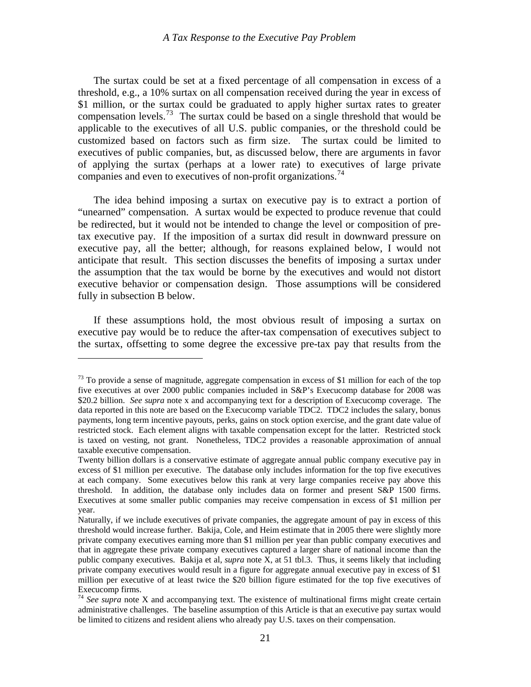The surtax could be set at a fixed percentage of all compensation in excess of a threshold, e.g., a 10% surtax on all compensation received during the year in excess of \$1 million, or the surtax could be graduated to apply higher surtax rates to greater compensation levels.<sup>[73](#page-22-0)</sup> The surtax could be based on a single threshold that would be applicable to the executives of all U.S. public companies, or the threshold could be customized based on factors such as firm size. The surtax could be limited to executives of public companies, but, as discussed below, there are arguments in favor of applying the surtax (perhaps at a lower rate) to executives of large private companies and even to executives of non-profit organizations.<sup>[74](#page-22-1)</sup>

 The idea behind imposing a surtax on executive pay is to extract a portion of "unearned" compensation. A surtax would be expected to produce revenue that could be redirected, but it would not be intended to change the level or composition of pretax executive pay. If the imposition of a surtax did result in downward pressure on executive pay, all the better; although, for reasons explained below, I would not anticipate that result. This section discusses the benefits of imposing a surtax under the assumption that the tax would be borne by the executives and would not distort executive behavior or compensation design. Those assumptions will be considered fully in subsection B below.

 If these assumptions hold, the most obvious result of imposing a surtax on executive pay would be to reduce the after-tax compensation of executives subject to the surtax, offsetting to some degree the excessive pre-tax pay that results from the

<span id="page-22-0"></span> $73$  To provide a sense of magnitude, aggregate compensation in excess of \$1 million for each of the top five executives at over 2000 public companies included in S&P's Execucomp database for 2008 was \$20.2 billion. *See supra* note x and accompanying text for a description of Execucomp coverage. The data reported in this note are based on the Execucomp variable TDC2. TDC2 includes the salary, bonus payments, long term incentive payouts, perks, gains on stock option exercise, and the grant date value of restricted stock. Each element aligns with taxable compensation except for the latter. Restricted stock is taxed on vesting, not grant. Nonetheless, TDC2 provides a reasonable approximation of annual taxable executive compensation.

Twenty billion dollars is a conservative estimate of aggregate annual public company executive pay in excess of \$1 million per executive. The database only includes information for the top five executives at each company. Some executives below this rank at very large companies receive pay above this threshold. In addition, the database only includes data on former and present S&P 1500 firms. Executives at some smaller public companies may receive compensation in excess of \$1 million per year.

Naturally, if we include executives of private companies, the aggregate amount of pay in excess of this threshold would increase further. Bakija, Cole, and Heim estimate that in 2005 there were slightly more private company executives earning more than \$1 million per year than public company executives and that in aggregate these private company executives captured a larger share of national income than the public company executives. Bakija et al, *supra* note X, at 51 tbl.3. Thus, it seems likely that including private company executives would result in a figure for aggregate annual executive pay in excess of \$1 million per executive of at least twice the \$20 billion figure estimated for the top five executives of Execucomp firms.

<span id="page-22-1"></span><sup>&</sup>lt;sup>74</sup> See supra note X and accompanying text. The existence of multinational firms might create certain administrative challenges. The baseline assumption of this Article is that an executive pay surtax would be limited to citizens and resident aliens who already pay U.S. taxes on their compensation.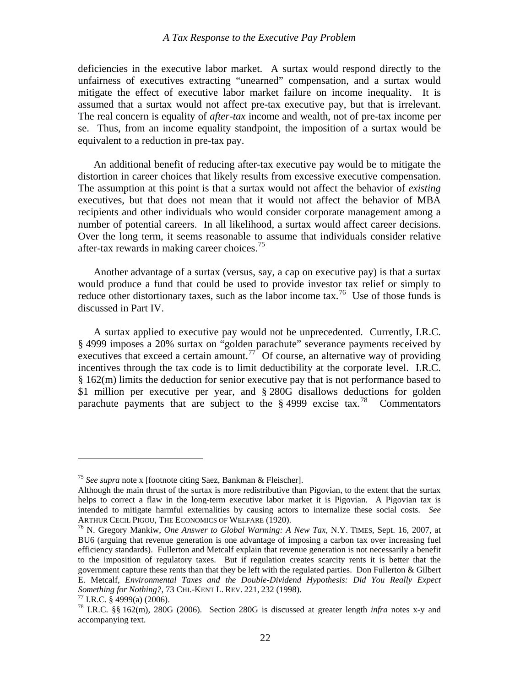deficiencies in the executive labor market. A surtax would respond directly to the unfairness of executives extracting "unearned" compensation, and a surtax would mitigate the effect of executive labor market failure on income inequality. It is assumed that a surtax would not affect pre-tax executive pay, but that is irrelevant. The real concern is equality of *after-tax* income and wealth, not of pre-tax income per se. Thus, from an income equality standpoint, the imposition of a surtax would be equivalent to a reduction in pre-tax pay.

 An additional benefit of reducing after-tax executive pay would be to mitigate the distortion in career choices that likely results from excessive executive compensation. The assumption at this point is that a surtax would not affect the behavior of *existing* executives, but that does not mean that it would not affect the behavior of MBA recipients and other individuals who would consider corporate management among a number of potential careers. In all likelihood, a surtax would affect career decisions. Over the long term, it seems reasonable to assume that individuals consider relative after-tax rewards in making career choices.<sup>[75](#page-23-0)</sup>

 Another advantage of a surtax (versus, say, a cap on executive pay) is that a surtax would produce a fund that could be used to provide investor tax relief or simply to reduce other distortionary taxes, such as the labor income tax.<sup>[76](#page-23-1)</sup> Use of those funds is discussed in Part IV.

 A surtax applied to executive pay would not be unprecedented. Currently, I.R.C. § 4999 imposes a 20% surtax on "golden parachute" severance payments received by executives that exceed a certain amount.<sup>[77](#page-23-2)</sup> Of course, an alternative way of providing incentives through the tax code is to limit deductibility at the corporate level. I.R.C. § 162(m) limits the deduction for senior executive pay that is not performance based to \$1 million per executive per year, and § 280G disallows deductions for golden parachute payments that are subject to the  $\S$  4999 excise tax.<sup>[78](#page-23-3)</sup> Commentators

<span id="page-23-0"></span><sup>75</sup> *See supra* note x [footnote citing Saez, Bankman & Fleischer].

Although the main thrust of the surtax is more redistributive than Pigovian, to the extent that the surtax helps to correct a flaw in the long-term executive labor market it is Pigovian. A Pigovian tax is intended to mitigate harmful externalities by causing actors to internalize these social costs. *See* ARTHUR CECIL PIGOU, THE ECONOMICS OF WELFARE (1920).<br><sup>76</sup> N. Gregory Mankiw, *One Answer to Global Warming: A New Tax*, N.Y. TIMES, Sept. 16, 2007, at

<span id="page-23-1"></span>BU6 (arguing that revenue generation is one advantage of imposing a carbon tax over increasing fuel efficiency standards). Fullerton and Metcalf explain that revenue generation is not necessarily a benefit to the imposition of regulatory taxes. But if regulation creates scarcity rents it is better that the government capture these rents than that they be left with the regulated parties. Don Fullerton & Gilbert E. Metcalf, *Environmental Taxes and the Double-Dividend Hypothesis: Did You Really Expect Something for Nothing?*, 73 CHI.-KENT L. REV. 221, 232 (1998). <sup>77</sup> I.R.C. § 4999(a) (2006).

<span id="page-23-3"></span><span id="page-23-2"></span><sup>78</sup> I.R.C. §§ 162(m), 280G (2006).Section 280G is discussed at greater length *infra* notes x-y and accompanying text.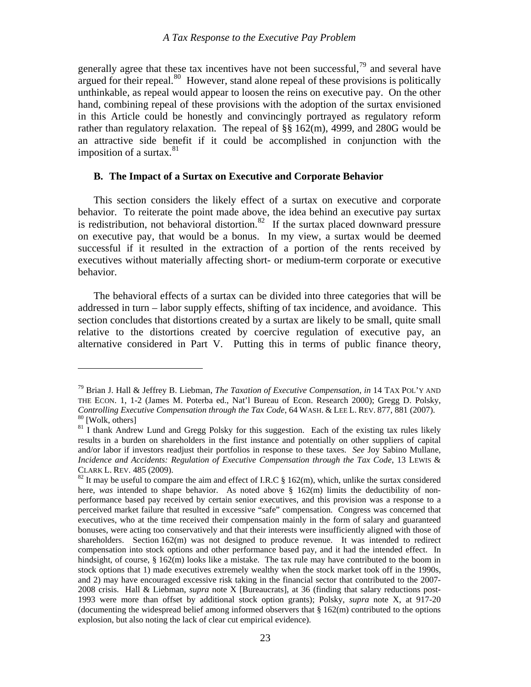<span id="page-24-0"></span>generally agree that these tax incentives have not been successful,  $\frac{79}{2}$  $\frac{79}{2}$  $\frac{79}{2}$  and several have argued for their repeal. $80$  However, stand alone repeal of these provisions is politically unthinkable, as repeal would appear to loosen the reins on executive pay. On the other hand, combining repeal of these provisions with the adoption of the surtax envisioned in this Article could be honestly and convincingly portrayed as regulatory reform rather than regulatory relaxation. The repeal of §§ 162(m), 4999, and 280G would be an attractive side benefit if it could be accomplished in conjunction with the imposition of a surtax. $81$ 

#### **B. The Impact of a Surtax on Executive and Corporate Behavior**

 This section considers the likely effect of a surtax on executive and corporate behavior. To reiterate the point made above, the idea behind an executive pay surtax is redistribution, not behavioral distortion.<sup>[82](#page-24-4)</sup> If the surtax placed downward pressure on executive pay, that would be a bonus. In my view, a surtax would be deemed successful if it resulted in the extraction of a portion of the rents received by executives without materially affecting short- or medium-term corporate or executive behavior.

 The behavioral effects of a surtax can be divided into three categories that will be addressed in turn – labor supply effects, shifting of tax incidence, and avoidance. This section concludes that distortions created by a surtax are likely to be small, quite small relative to the distortions created by coercive regulation of executive pay, an alternative considered in Part V. Putting this in terms of public finance theory,

<span id="page-24-1"></span><sup>79</sup> Brian J. Hall & Jeffrey B. Liebman, *The Taxation of Executive Compensation*, *in* 14 TAX POL'Y AND THE ECON. 1, 1-2 (James M. Poterba ed., Nat'l Bureau of Econ. Research 2000); Gregg D. Polsky, *Controlling Executive Compensation through the Tax Code*, 64 WASH. & LEE L. REV. 877, 881 (2007). <sup>80</sup> [Wolk, others]

<span id="page-24-3"></span><span id="page-24-2"></span><sup>&</sup>lt;sup>81</sup> I thank Andrew Lund and Gregg Polsky for this suggestion. Each of the existing tax rules likely results in a burden on shareholders in the first instance and potentially on other suppliers of capital and/or labor if investors readjust their portfolios in response to these taxes. *See* Joy Sabino Mullane, *Incidence and Accidents: Regulation of Executive Compensation through the Tax Code*, 13 LEWIS & CLARK L. REV. 485 (2009).<br><sup>82</sup> It may be useful to compare the aim and effect of I.R.C § 162(m), which, unlike the surtax considered

<span id="page-24-4"></span>here, *was* intended to shape behavior. As noted above § 162(m) limits the deductibility of nonperformance based pay received by certain senior executives, and this provision was a response to a perceived market failure that resulted in excessive "safe" compensation. Congress was concerned that executives, who at the time received their compensation mainly in the form of salary and guaranteed bonuses, were acting too conservatively and that their interests were insufficiently aligned with those of shareholders. Section 162(m) was not designed to produce revenue. It was intended to redirect compensation into stock options and other performance based pay, and it had the intended effect. In hindsight, of course, § 162(m) looks like a mistake. The tax rule may have contributed to the boom in stock options that 1) made executives extremely wealthy when the stock market took off in the 1990s, and 2) may have encouraged excessive risk taking in the financial sector that contributed to the 2007- 2008 crisis. Hall & Liebman, *supra* note X [Bureaucrats], at 36 (finding that salary reductions post-1993 were more than offset by additional stock option grants); Polsky, *supra* note X, at 917-20 (documenting the widespread belief among informed observers that § 162(m) contributed to the options explosion, but also noting the lack of clear cut empirical evidence).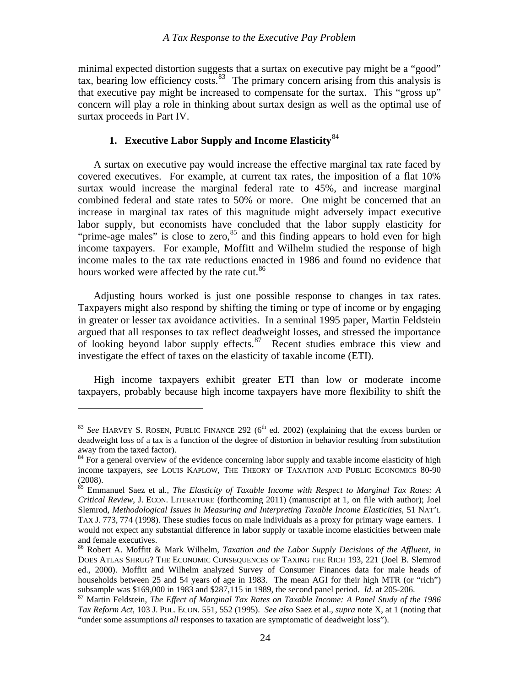<span id="page-25-0"></span>minimal expected distortion suggests that a surtax on executive pay might be a "good" tax, bearing low efficiency costs.<sup>[83](#page-25-1)</sup> The primary concern arising from this analysis is that executive pay might be increased to compensate for the surtax. This "gross up" concern will play a role in thinking about surtax design as well as the optimal use of surtax proceeds in Part IV.

# **1. Executive Labor Supply and Income Elasticity**[84](#page-25-2)

 A surtax on executive pay would increase the effective marginal tax rate faced by covered executives. For example, at current tax rates, the imposition of a flat 10% surtax would increase the marginal federal rate to 45%, and increase marginal combined federal and state rates to 50% or more. One might be concerned that an increase in marginal tax rates of this magnitude might adversely impact executive labor supply, but economists have concluded that the labor supply elasticity for "prime-age males" is close to zero,  $85$  and this finding appears to hold even for high income taxpayers. For example, Moffitt and Wilhelm studied the response of high income males to the tax rate reductions enacted in 1986 and found no evidence that hours worked were affected by the rate cut.<sup>[86](#page-25-4)</sup>

 Adjusting hours worked is just one possible response to changes in tax rates. Taxpayers might also respond by shifting the timing or type of income or by engaging in greater or lesser tax avoidance activities. In a seminal 1995 paper, Martin Feldstein argued that all responses to tax reflect deadweight losses, and stressed the importance of looking beyond labor supply effects.[87](#page-25-5) Recent studies embrace this view and investigate the effect of taxes on the elasticity of taxable income (ETI).

 High income taxpayers exhibit greater ETI than low or moderate income taxpayers, probably because high income taxpayers have more flexibility to shift the

<span id="page-25-1"></span> $83$  *See* HARVEY S. ROSEN, PUBLIC FINANCE 292 ( $6<sup>th</sup>$  ed. 2002) (explaining that the excess burden or deadweight loss of a tax is a function of the degree of distortion in behavior resulting from substitution away from the taxed factor).

<span id="page-25-2"></span><sup>&</sup>lt;sup>84</sup> For a general overview of the evidence concerning labor supply and taxable income elasticity of high income taxpayers, *see* LOUIS KAPLOW, THE THEORY OF TAXATION AND PUBLIC ECONOMICS 80-90 (2008).

<span id="page-25-3"></span><sup>85</sup> Emmanuel Saez et al., *The Elasticity of Taxable Income with Respect to Marginal Tax Rates: A Critical Review*, J. ECON. LITERATURE (forthcoming 2011) (manuscript at 1, on file with author); Joel Slemrod, *Methodological Issues in Measuring and Interpreting Taxable Income Elasticities*, 51 NAT'L TAX J. 773, 774 (1998). These studies focus on male individuals as a proxy for primary wage earners. I would not expect any substantial difference in labor supply or taxable income elasticities between male and female executives.

<span id="page-25-4"></span><sup>86</sup> Robert A. Moffitt & Mark Wilhelm, *Taxation and the Labor Supply Decisions of the Affluent*, *in* DOES ATLAS SHRUG? THE ECONOMIC CONSEQUENCES OF TAXING THE RICH 193, 221 (Joel B. Slemrod ed., 2000). Moffitt and Wilhelm analyzed Survey of Consumer Finances data for male heads of households between 25 and 54 years of age in 1983. The mean AGI for their high MTR (or "rich")

<span id="page-25-5"></span>subsample was \$169,000 in 1983 and \$287,115 in 1989, the second panel period. *Id.* at 205-206. 87 Martin Feldstein, *The Effect of Marginal Tax Rates on Taxable Income: A Panel Study of the 1986 Tax Reform Act*, 103 J. POL. ECON. 551, 552 (1995). *See also* Saez et al., *supra* note X, at 1 (noting that "under some assumptions *all* responses to taxation are symptomatic of deadweight loss").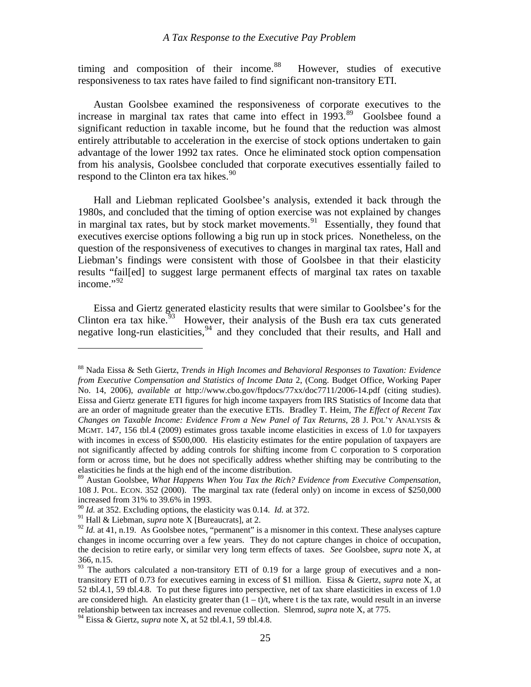timing and composition of their income.<sup>[88](#page-26-0)</sup> However, studies of executive responsiveness to tax rates have failed to find significant non-transitory ETI.

 Austan Goolsbee examined the responsiveness of corporate executives to the increase in marginal tax rates that came into effect in  $1993$ .<sup>[89](#page-26-1)</sup> Goolsbee found a significant reduction in taxable income, but he found that the reduction was almost entirely attributable to acceleration in the exercise of stock options undertaken to gain advantage of the lower 1992 tax rates. Once he eliminated stock option compensation from his analysis, Goolsbee concluded that corporate executives essentially failed to respond to the Clinton era tax hikes.<sup>[90](#page-26-2)</sup>

 Hall and Liebman replicated Goolsbee's analysis, extended it back through the 1980s, and concluded that the timing of option exercise was not explained by changes in marginal tax rates, but by stock market movements.<sup>[91](#page-26-3)</sup> Essentially, they found that executives exercise options following a big run up in stock prices. Nonetheless, on the question of the responsiveness of executives to changes in marginal tax rates, Hall and Liebman's findings were consistent with those of Goolsbee in that their elasticity results "fail[ed] to suggest large permanent effects of marginal tax rates on taxable income." $^{92}$  $^{92}$  $^{92}$ 

 Eissa and Giertz generated elasticity results that were similar to Goolsbee's for the Clinton era tax hike.<sup>[93](#page-26-5)</sup> However, their analysis of the Bush era tax cuts generated negative long-run elasticities,  $94$  and they concluded that their results, and Hall and

<span id="page-26-0"></span><sup>88</sup> Nada Eissa & Seth Giertz, *Trends in High Incomes and Behavioral Responses to Taxation: Evidence from Executive Compensation and Statistics of Income Data* 2, (Cong. Budget Office, Working Paper No. 14, 2006), *available at* http://www.cbo.gov/ftpdocs/77xx/doc7711/2006-14.pdf (citing studies). Eissa and Giertz generate ETI figures for high income taxpayers from IRS Statistics of Income data that are an order of magnitude greater than the executive ETIs. Bradley T. Heim, *The Effect of Recent Tax Changes on Taxable Income: Evidence From a New Panel of Tax Returns*, 28 J. POL'Y ANALYSIS & MGMT. 147, 156 tbl.4 (2009) estimates gross taxable income elasticities in excess of 1.0 for taxpayers with incomes in excess of \$500,000. His elasticity estimates for the entire population of taxpayers are not significantly affected by adding controls for shifting income from C corporation to S corporation form or across time, but he does not specifically address whether shifting may be contributing to the elasticities he finds at the high end of the income distribution.

<span id="page-26-1"></span><sup>89</sup> Austan Goolsbee, *What Happens When You Tax the Rich? Evidence from Executive Compensation*, 108 J. POL. ECON. 352 (2000). The marginal tax rate (federal only) on income in excess of \$250,000 increased from 31% to 39.6% in 1993.

<sup>90</sup> *Id.* at 352. Excluding options, the elasticity was 0.14. *Id.* at 372.

<span id="page-26-3"></span><span id="page-26-2"></span><sup>91</sup> Hall & Liebman, *supra* note X [Bureaucrats], at 2.

<span id="page-26-4"></span> $92$  *Id.* at 41, n.19. As Goolsbee notes, "permanent" is a misnomer in this context. These analyses capture changes in income occurring over a few years. They do not capture changes in choice of occupation, the decision to retire early, or similar very long term effects of taxes. *See* Goolsbee, *supra* note X, at 366, n.15.

<span id="page-26-5"></span> $93$  The authors calculated a non-transitory ETI of 0.19 for a large group of executives and a nontransitory ETI of 0.73 for executives earning in excess of \$1 million. Eissa & Giertz, *supra* note X, at 52 tbl.4.1, 59 tbl.4.8. To put these figures into perspective, net of tax share elasticities in excess of 1.0 are considered high. An elasticity greater than  $(1 - t)/t$ , where t is the tax rate, would result in an inverse relationship between tax increases and revenue collection. Slemrod, *supra* note X, at 775.

<span id="page-26-6"></span><sup>94</sup> Eissa & Giertz, *supra* note X, at 52 tbl.4.1, 59 tbl.4.8.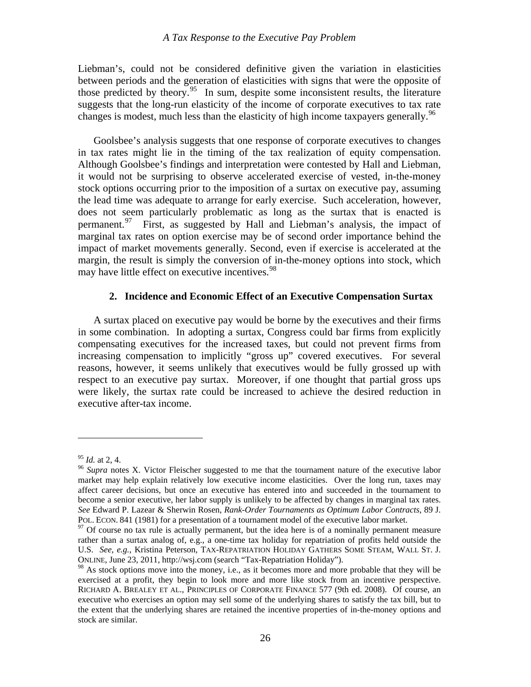<span id="page-27-0"></span>Liebman's, could not be considered definitive given the variation in elasticities between periods and the generation of elasticities with signs that were the opposite of those predicted by theory.<sup>[95](#page-27-1)</sup> In sum, despite some inconsistent results, the literature suggests that the long-run elasticity of the income of corporate executives to tax rate changes is modest, much less than the elasticity of high income taxpayers generally.  $96$ 

 Goolsbee's analysis suggests that one response of corporate executives to changes in tax rates might lie in the timing of the tax realization of equity compensation. Although Goolsbee's findings and interpretation were contested by Hall and Liebman, it would not be surprising to observe accelerated exercise of vested, in-the-money stock options occurring prior to the imposition of a surtax on executive pay, assuming the lead time was adequate to arrange for early exercise. Such acceleration, however, does not seem particularly problematic as long as the surtax that is enacted is permanent.<sup>[97](#page-27-3)</sup> First, as suggested by Hall and Liebman's analysis, the impact of marginal tax rates on option exercise may be of second order importance behind the impact of market movements generally. Second, even if exercise is accelerated at the margin, the result is simply the conversion of in-the-money options into stock, which may have little effect on executive incentives.<sup>[98](#page-27-4)</sup>

#### **2. Incidence and Economic Effect of an Executive Compensation Surtax**

 A surtax placed on executive pay would be borne by the executives and their firms in some combination. In adopting a surtax, Congress could bar firms from explicitly compensating executives for the increased taxes, but could not prevent firms from increasing compensation to implicitly "gross up" covered executives. For several reasons, however, it seems unlikely that executives would be fully grossed up with respect to an executive pay surtax. Moreover, if one thought that partial gross ups were likely, the surtax rate could be increased to achieve the desired reduction in executive after-tax income.

<span id="page-27-2"></span><span id="page-27-1"></span><sup>95</sup> *Id.* at 2, 4. 96 *Supra* notes X. Victor Fleischer suggested to me that the tournament nature of the executive labor market may help explain relatively low executive income elasticities. Over the long run, taxes may affect career decisions, but once an executive has entered into and succeeded in the tournament to become a senior executive, her labor supply is unlikely to be affected by changes in marginal tax rates. *See* Edward P. Lazear & Sherwin Rosen, *Rank-Order Tournaments as Optimum Labor Contracts*, 89 J. POL. ECON. 841 (1981) for a presentation of a tournament model of the executive labor market.<br><sup>97</sup> Of course no tax rule is actually permanent, but the idea here is of a nominally permanent measure

<span id="page-27-3"></span>rather than a surtax analog of, e.g., a one-time tax holiday for repatriation of profits held outside the U.S. *See*, *e.g.*, Kristina Peterson, TAX-REPATRIATION HOLIDAY GATHERS SOME STEAM, WALL ST. J. ONLINE, June 23, 2011, http://wsj.com (search "Tax-Repatriation Holiday").

<span id="page-27-4"></span><sup>&</sup>lt;sup>98</sup> As stock options move into the money, i.e., as it becomes more and more probable that they will be exercised at a profit, they begin to look more and more like stock from an incentive perspective. RICHARD A. BREALEY ET AL., PRINCIPLES OF CORPORATE FINANCE 577 (9th ed. 2008). Of course, an executive who exercises an option may sell some of the underlying shares to satisfy the tax bill, but to the extent that the underlying shares are retained the incentive properties of in-the-money options and stock are similar.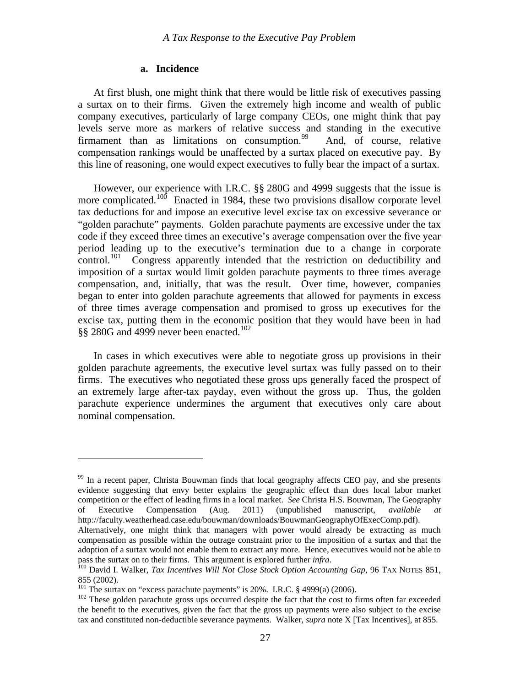#### **a. Incidence**

<span id="page-28-0"></span> At first blush, one might think that there would be little risk of executives passing a surtax on to their firms. Given the extremely high income and wealth of public company executives, particularly of large company CEOs, one might think that pay levels serve more as markers of relative success and standing in the executive firmament than as limitations on consumption.<sup>[99](#page-28-1)</sup> And, of course, relative compensation rankings would be unaffected by a surtax placed on executive pay. By this line of reasoning, one would expect executives to fully bear the impact of a surtax.

 However, our experience with I.R.C. §§ 280G and 4999 suggests that the issue is more complicated.<sup>[100](#page-28-2)</sup> Enacted in 1984, these two provisions disallow corporate level tax deductions for and impose an executive level excise tax on excessive severance or "golden parachute" payments. Golden parachute payments are excessive under the tax code if they exceed three times an executive's average compensation over the five year period leading up to the executive's termination due to a change in corporate control.<sup>[101](#page-28-3)</sup> Congress apparently intended that the restriction on deductibility and imposition of a surtax would limit golden parachute payments to three times average compensation, and, initially, that was the result. Over time, however, companies began to enter into golden parachute agreements that allowed for payments in excess of three times average compensation and promised to gross up executives for the excise tax, putting them in the economic position that they would have been in had §§ 280G and 4999 never been enacted.<sup>[102](#page-28-4)</sup>

 In cases in which executives were able to negotiate gross up provisions in their golden parachute agreements, the executive level surtax was fully passed on to their firms. The executives who negotiated these gross ups generally faced the prospect of an extremely large after-tax payday, even without the gross up. Thus, the golden parachute experience undermines the argument that executives only care about nominal compensation.

<span id="page-28-1"></span><sup>&</sup>lt;sup>99</sup> In a recent paper, Christa Bouwman finds that local geography affects CEO pay, and she presents evidence suggesting that envy better explains the geographic effect than does local labor market competition or the effect of leading firms in a local market. *See* Christa H.S. Bouwman, The Geography of Executive Compensation (Aug. 2011) (unpublished manuscript, *available at* http://faculty.weatherhead.case.edu/bouwman/downloads/BouwmanGeographyOfExecComp.pdf). Alternatively, one might think that managers with power would already be extracting as much compensation as possible within the outrage constraint prior to the imposition of a surtax and that the adoption of a surtax would not enable them to extract any more. Hence, executives would not be able to

<span id="page-28-2"></span>pass the surtax on to their firms. This argument is explored further *infra*.<br><sup>100</sup> David I. Walker, *Tax Incentives Will Not Close Stock Option Accounting Gap*, 96 TAX NOTES 851,

<sup>855 (2002).&</sup>lt;br><sup>101</sup> The surtax on "excess parachute payments" is 20%. I.R.C. § 4999(a) (2006).

<span id="page-28-4"></span><span id="page-28-3"></span><sup>&</sup>lt;sup>102</sup> These golden parachute gross ups occurred despite the fact that the cost to firms often far exceeded the benefit to the executives, given the fact that the gross up payments were also subject to the excise tax and constituted non-deductible severance payments. Walker, *supra* note X [Tax Incentives], at 855.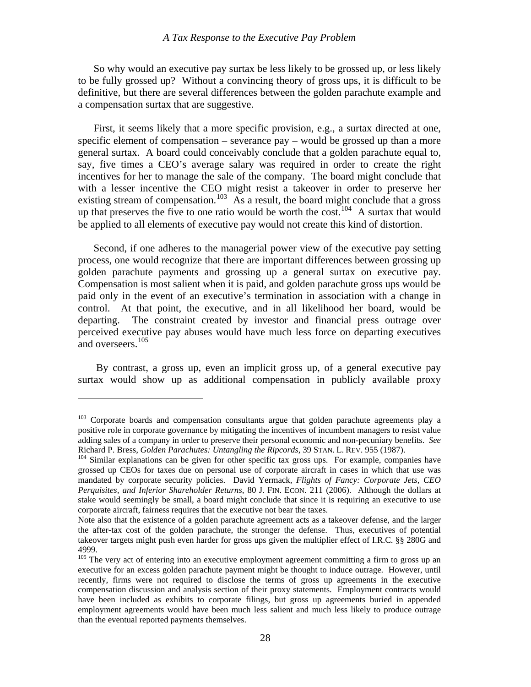So why would an executive pay surtax be less likely to be grossed up, or less likely to be fully grossed up? Without a convincing theory of gross ups, it is difficult to be definitive, but there are several differences between the golden parachute example and a compensation surtax that are suggestive.

 First, it seems likely that a more specific provision, e.g., a surtax directed at one, specific element of compensation – severance pay – would be grossed up than a more general surtax. A board could conceivably conclude that a golden parachute equal to, say, five times a CEO's average salary was required in order to create the right incentives for her to manage the sale of the company. The board might conclude that with a lesser incentive the CEO might resist a takeover in order to preserve her existing stream of compensation.<sup>[103](#page-29-0)</sup> As a result, the board might conclude that a gross up that preserves the five to one ratio would be worth the cost.<sup>[104](#page-29-1)</sup> A surtax that would be applied to all elements of executive pay would not create this kind of distortion.

 Second, if one adheres to the managerial power view of the executive pay setting process, one would recognize that there are important differences between grossing up golden parachute payments and grossing up a general surtax on executive pay. Compensation is most salient when it is paid, and golden parachute gross ups would be paid only in the event of an executive's termination in association with a change in control. At that point, the executive, and in all likelihood her board, would be departing. The constraint created by investor and financial press outrage over perceived executive pay abuses would have much less force on departing executives and overseers.<sup>[105](#page-29-2)</sup>

 By contrast, a gross up, even an implicit gross up, of a general executive pay surtax would show up as additional compensation in publicly available proxy

<span id="page-29-0"></span><sup>&</sup>lt;sup>103</sup> Corporate boards and compensation consultants argue that golden parachute agreements play a positive role in corporate governance by mitigating the incentives of incumbent managers to resist value adding sales of a company in order to preserve their personal economic and non-pecuniary benefits. *See* Richard P. Bress, *Golden Parachutes: Untangling the Ripcords*, 39 STAN. L. REV. 955 (1987).<br><sup>104</sup> Similar explanations can be given for other specific tax gross ups. For example, companies have

<span id="page-29-1"></span>grossed up CEOs for taxes due on personal use of corporate aircraft in cases in which that use was mandated by corporate security policies. David Yermack, *Flights of Fancy: Corporate Jets, CEO Perquisites, and Inferior Shareholder Returns*, 80 J. FIN. ECON. 211 (2006). Although the dollars at stake would seemingly be small, a board might conclude that since it is requiring an executive to use corporate aircraft, fairness requires that the executive not bear the taxes.

Note also that the existence of a golden parachute agreement acts as a takeover defense, and the larger the after-tax cost of the golden parachute, the stronger the defense. Thus, executives of potential takeover targets might push even harder for gross ups given the multiplier effect of I.R.C. §§ 280G and 4999.

<span id="page-29-2"></span><sup>&</sup>lt;sup>105</sup> The very act of entering into an executive employment agreement committing a firm to gross up an executive for an excess golden parachute payment might be thought to induce outrage. However, until recently, firms were not required to disclose the terms of gross up agreements in the executive compensation discussion and analysis section of their proxy statements. Employment contracts would have been included as exhibits to corporate filings, but gross up agreements buried in appended employment agreements would have been much less salient and much less likely to produce outrage than the eventual reported payments themselves.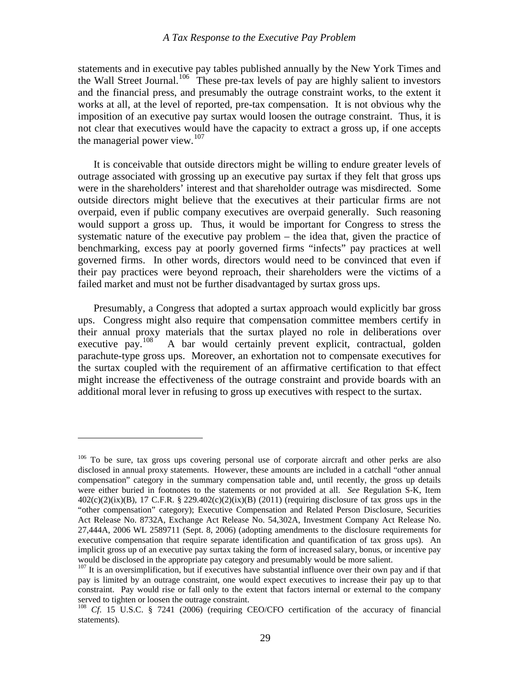statements and in executive pay tables published annually by the New York Times and the Wall Street Journal.<sup>[106](#page-30-0)</sup> These pre-tax levels of pay are highly salient to investors and the financial press, and presumably the outrage constraint works, to the extent it works at all, at the level of reported, pre-tax compensation. It is not obvious why the imposition of an executive pay surtax would loosen the outrage constraint. Thus, it is not clear that executives would have the capacity to extract a gross up, if one accepts the managerial power view. $107$ 

 It is conceivable that outside directors might be willing to endure greater levels of outrage associated with grossing up an executive pay surtax if they felt that gross ups were in the shareholders' interest and that shareholder outrage was misdirected. Some outside directors might believe that the executives at their particular firms are not overpaid, even if public company executives are overpaid generally. Such reasoning would support a gross up. Thus, it would be important for Congress to stress the systematic nature of the executive pay problem – the idea that, given the practice of benchmarking, excess pay at poorly governed firms "infects" pay practices at well governed firms. In other words, directors would need to be convinced that even if their pay practices were beyond reproach, their shareholders were the victims of a failed market and must not be further disadvantaged by surtax gross ups.

 Presumably, a Congress that adopted a surtax approach would explicitly bar gross ups. Congress might also require that compensation committee members certify in their annual proxy materials that the surtax played no role in deliberations over executive pay.<sup>[108](#page-30-2)</sup> A bar would certainly prevent explicit, contractual, golden parachute-type gross ups. Moreover, an exhortation not to compensate executives for the surtax coupled with the requirement of an affirmative certification to that effect might increase the effectiveness of the outrage constraint and provide boards with an additional moral lever in refusing to gross up executives with respect to the surtax.

<span id="page-30-0"></span><sup>&</sup>lt;sup>106</sup> To be sure, tax gross ups covering personal use of corporate aircraft and other perks are also disclosed in annual proxy statements. However, these amounts are included in a catchall "other annual compensation" category in the summary compensation table and, until recently, the gross up details were either buried in footnotes to the statements or not provided at all. *See* Regulation S-K, Item  $402(c)(2)(ix)(B)$ , 17 C.F.R. § 229.402 $(c)(2)(ix)(B)$  (2011) (requiring disclosure of tax gross ups in the "other compensation" category); Executive Compensation and Related Person Disclosure, Securities Act Release No. 8732A, Exchange Act Release No. 54,302A, Investment Company Act Release No. 27,444A, 2006 WL 2589711 (Sept. 8, 2006) (adopting amendments to the disclosure requirements for executive compensation that require separate identification and quantification of tax gross ups). An implicit gross up of an executive pay surtax taking the form of increased salary, bonus, or incentive pay would be disclosed in the appropriate pay category and presumably would be more salient.

<span id="page-30-1"></span><sup>&</sup>lt;sup>107</sup> It is an oversimplification, but if executives have substantial influence over their own pay and if that pay is limited by an outrage constraint, one would expect executives to increase their pay up to that constraint. Pay would rise or fall only to the extent that factors internal or external to the company served to tighten or loosen the outrage constraint.

<span id="page-30-2"></span><sup>&</sup>lt;sup>108</sup> *Cf.* 15 U.S.C. § 7241 (2006) (requiring CEO/CFO certification of the accuracy of financial statements).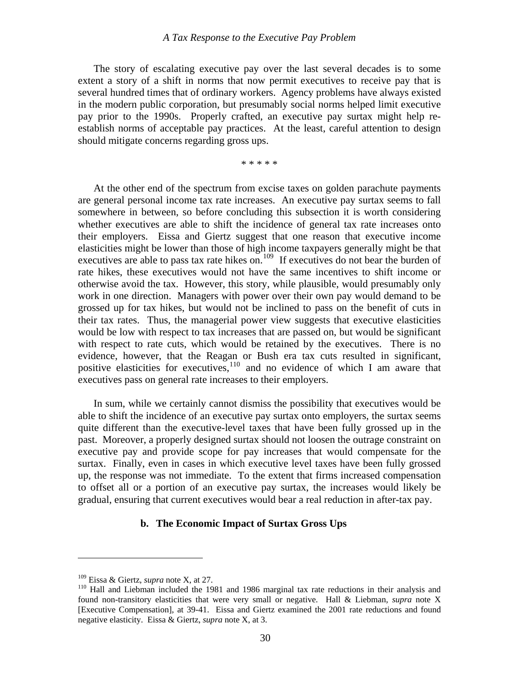<span id="page-31-0"></span> The story of escalating executive pay over the last several decades is to some extent a story of a shift in norms that now permit executives to receive pay that is several hundred times that of ordinary workers. Agency problems have always existed in the modern public corporation, but presumably social norms helped limit executive pay prior to the 1990s. Properly crafted, an executive pay surtax might help reestablish norms of acceptable pay practices. At the least, careful attention to design should mitigate concerns regarding gross ups.

\* \* \* \* \*

 At the other end of the spectrum from excise taxes on golden parachute payments are general personal income tax rate increases. An executive pay surtax seems to fall somewhere in between, so before concluding this subsection it is worth considering whether executives are able to shift the incidence of general tax rate increases onto their employers. Eissa and Giertz suggest that one reason that executive income elasticities might be lower than those of high income taxpayers generally might be that executives are able to pass tax rate hikes on.<sup>[109](#page-31-1)</sup> If executives do not bear the burden of rate hikes, these executives would not have the same incentives to shift income or otherwise avoid the tax. However, this story, while plausible, would presumably only work in one direction. Managers with power over their own pay would demand to be grossed up for tax hikes, but would not be inclined to pass on the benefit of cuts in their tax rates. Thus, the managerial power view suggests that executive elasticities would be low with respect to tax increases that are passed on, but would be significant with respect to rate cuts, which would be retained by the executives. There is no evidence, however, that the Reagan or Bush era tax cuts resulted in significant, positive elasticities for executives, $110$  and no evidence of which I am aware that executives pass on general rate increases to their employers.

 In sum, while we certainly cannot dismiss the possibility that executives would be able to shift the incidence of an executive pay surtax onto employers, the surtax seems quite different than the executive-level taxes that have been fully grossed up in the past. Moreover, a properly designed surtax should not loosen the outrage constraint on executive pay and provide scope for pay increases that would compensate for the surtax. Finally, even in cases in which executive level taxes have been fully grossed up, the response was not immediate. To the extent that firms increased compensation to offset all or a portion of an executive pay surtax, the increases would likely be gradual, ensuring that current executives would bear a real reduction in after-tax pay.

#### **b. The Economic Impact of Surtax Gross Ups**

<span id="page-31-2"></span><span id="page-31-1"></span><sup>&</sup>lt;sup>109</sup> Eissa & Giertz, *supra* note X, at 27.<br><sup>110</sup> Hall and Liebman included the 1981 and 1986 marginal tax rate reductions in their analysis and found non-transitory elasticities that were very small or negative. Hall & Liebman, *supra* note X [Executive Compensation], at 39-41. Eissa and Giertz examined the 2001 rate reductions and found negative elasticity. Eissa & Giertz, *supra* note X, at 3.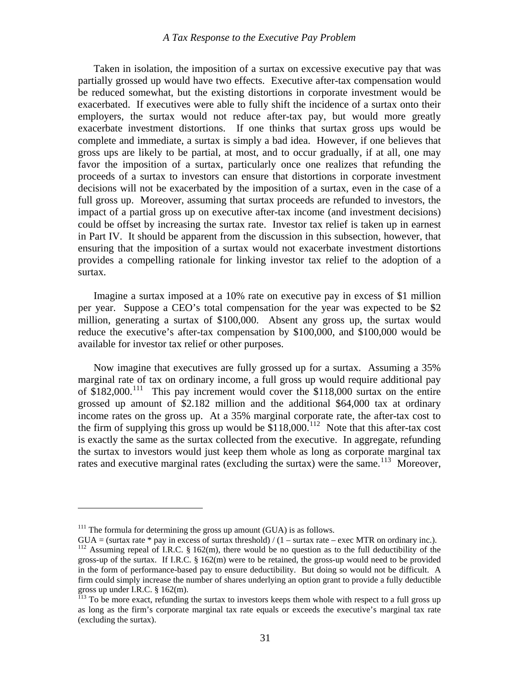Taken in isolation, the imposition of a surtax on excessive executive pay that was partially grossed up would have two effects. Executive after-tax compensation would be reduced somewhat, but the existing distortions in corporate investment would be exacerbated. If executives were able to fully shift the incidence of a surtax onto their employers, the surtax would not reduce after-tax pay, but would more greatly exacerbate investment distortions. If one thinks that surtax gross ups would be complete and immediate, a surtax is simply a bad idea. However, if one believes that gross ups are likely to be partial, at most, and to occur gradually, if at all, one may favor the imposition of a surtax, particularly once one realizes that refunding the proceeds of a surtax to investors can ensure that distortions in corporate investment decisions will not be exacerbated by the imposition of a surtax, even in the case of a full gross up. Moreover, assuming that surtax proceeds are refunded to investors, the impact of a partial gross up on executive after-tax income (and investment decisions) could be offset by increasing the surtax rate. Investor tax relief is taken up in earnest in Part IV. It should be apparent from the discussion in this subsection, however, that ensuring that the imposition of a surtax would not exacerbate investment distortions provides a compelling rationale for linking investor tax relief to the adoption of a surtax.

 Imagine a surtax imposed at a 10% rate on executive pay in excess of \$1 million per year. Suppose a CEO's total compensation for the year was expected to be \$2 million, generating a surtax of \$100,000. Absent any gross up, the surtax would reduce the executive's after-tax compensation by \$100,000, and \$100,000 would be available for investor tax relief or other purposes.

 Now imagine that executives are fully grossed up for a surtax. Assuming a 35% marginal rate of tax on ordinary income, a full gross up would require additional pay of  $$182,000$ <sup>[111](#page-32-0)</sup>. This pay increment would cover the  $$118,000$  surtax on the entire grossed up amount of \$2.182 million and the additional \$64,000 tax at ordinary income rates on the gross up. At a 35% marginal corporate rate, the after-tax cost to the firm of supplying this gross up would be  $\frac{$1,000}{112}$  $\frac{$1,000}{112}$  $\frac{$1,000}{112}$  Note that this after-tax cost is exactly the same as the surtax collected from the executive. In aggregate, refunding the surtax to investors would just keep them whole as long as corporate marginal tax rates and executive marginal rates (excluding the surtax) were the same.<sup>[113](#page-32-2)</sup> Moreover,

1

<span id="page-32-0"></span> $111$ <sup>111</sup> The formula for determining the gross up amount (GUA) is as follows.

<span id="page-32-1"></span> $GUA =$  (surtax rate \* pay in excess of surtax threshold) /  $(1 -$  surtax rate – exec MTR on ordinary inc.).  $112$  Assuming repeal of I.R.C. § 162(m), there would be no question as to the full deductibility of the gross-up of the surtax. If I.R.C. § 162(m) were to be retained, the gross-up would need to be provided in the form of performance-based pay to ensure deductibility. But doing so would not be difficult. A firm could simply increase the number of shares underlying an option grant to provide a fully deductible gross up under I.R.C. § 162(m).

<span id="page-32-2"></span> $I<sup>113</sup>$  To be more exact, refunding the surtax to investors keeps them whole with respect to a full gross up as long as the firm's corporate marginal tax rate equals or exceeds the executive's marginal tax rate (excluding the surtax).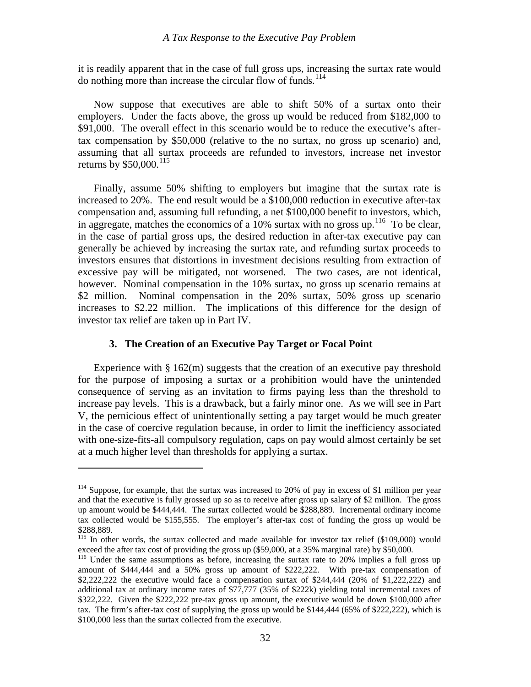<span id="page-33-0"></span>it is readily apparent that in the case of full gross ups, increasing the surtax rate would do nothing more than increase the circular flow of funds.<sup>[114](#page-33-1)</sup>

 Now suppose that executives are able to shift 50% of a surtax onto their employers. Under the facts above, the gross up would be reduced from \$182,000 to \$91,000. The overall effect in this scenario would be to reduce the executive's aftertax compensation by \$50,000 (relative to the no surtax, no gross up scenario) and, assuming that all surtax proceeds are refunded to investors, increase net investor returns by  $$50,000$ .<sup>[115](#page-33-2)</sup>

 Finally, assume 50% shifting to employers but imagine that the surtax rate is increased to 20%. The end result would be a \$100,000 reduction in executive after-tax compensation and, assuming full refunding, a net \$100,000 benefit to investors, which, in aggregate, matches the economics of a 10% surtax with no gross up.<sup>[116](#page-33-3)</sup> To be clear, in the case of partial gross ups, the desired reduction in after-tax executive pay can generally be achieved by increasing the surtax rate, and refunding surtax proceeds to investors ensures that distortions in investment decisions resulting from extraction of excessive pay will be mitigated, not worsened. The two cases, are not identical, however. Nominal compensation in the 10% surtax, no gross up scenario remains at \$2 million. Nominal compensation in the 20% surtax, 50% gross up scenario increases to \$2.22 million. The implications of this difference for the design of investor tax relief are taken up in Part IV.

# **3. The Creation of an Executive Pay Target or Focal Point**

1

Experience with  $\S 162(m)$  suggests that the creation of an executive pay threshold for the purpose of imposing a surtax or a prohibition would have the unintended consequence of serving as an invitation to firms paying less than the threshold to increase pay levels. This is a drawback, but a fairly minor one. As we will see in Part V, the pernicious effect of unintentionally setting a pay target would be much greater in the case of coercive regulation because, in order to limit the inefficiency associated with one-size-fits-all compulsory regulation, caps on pay would almost certainly be set at a much higher level than thresholds for applying a surtax.

<span id="page-33-1"></span><sup>&</sup>lt;sup>114</sup> Suppose, for example, that the surtax was increased to 20% of pay in excess of \$1 million per year and that the executive is fully grossed up so as to receive after gross up salary of \$2 million. The gross up amount would be \$444,444. The surtax collected would be \$288,889. Incremental ordinary income tax collected would be \$155,555. The employer's after-tax cost of funding the gross up would be \$288,889.

<span id="page-33-2"></span><sup>&</sup>lt;sup>115</sup> In other words, the surtax collected and made available for investor tax relief (\$109,000) would exceed the after tax cost of providing the gross up (\$59,000, at a 35% marginal rate) by \$50,000.<br><sup>116</sup> Under the same assumptions as before, increasing the surtax rate to 20% implies a full gross up

<span id="page-33-3"></span>amount of \$444,444 and a 50% gross up amount of \$222,222. With pre-tax compensation of \$2,222,222 the executive would face a compensation surtax of \$244,444 (20% of \$1,222,222) and additional tax at ordinary income rates of \$77,777 (35% of \$222k) yielding total incremental taxes of \$322,222. Given the \$222,222 pre-tax gross up amount, the executive would be down \$100,000 after tax. The firm's after-tax cost of supplying the gross up would be \$144,444 (65% of \$222,222), which is \$100,000 less than the surtax collected from the executive.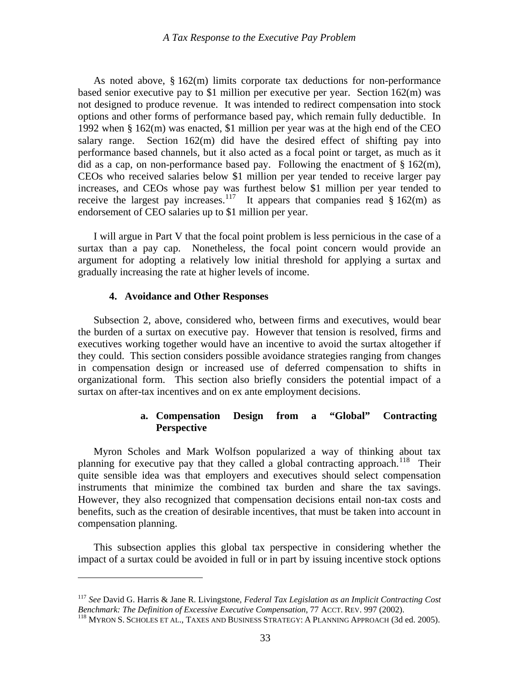<span id="page-34-0"></span> As noted above, § 162(m) limits corporate tax deductions for non-performance based senior executive pay to \$1 million per executive per year. Section 162(m) was not designed to produce revenue. It was intended to redirect compensation into stock options and other forms of performance based pay, which remain fully deductible. In 1992 when § 162(m) was enacted, \$1 million per year was at the high end of the CEO salary range. Section  $162(m)$  did have the desired effect of shifting pay into performance based channels, but it also acted as a focal point or target, as much as it did as a cap, on non-performance based pay. Following the enactment of  $\S 162(m)$ , CEOs who received salaries below \$1 million per year tended to receive larger pay increases, and CEOs whose pay was furthest below \$1 million per year tended to receive the largest pay increases.<sup>[117](#page-34-1)</sup> It appears that companies read  $\S 162(m)$  as endorsement of CEO salaries up to \$1 million per year.

 I will argue in Part V that the focal point problem is less pernicious in the case of a surtax than a pay cap. Nonetheless, the focal point concern would provide an argument for adopting a relatively low initial threshold for applying a surtax and gradually increasing the rate at higher levels of income.

#### **4. Avoidance and Other Responses**

 $\overline{a}$ 

 Subsection 2, above, considered who, between firms and executives, would bear the burden of a surtax on executive pay. However that tension is resolved, firms and executives working together would have an incentive to avoid the surtax altogether if they could. This section considers possible avoidance strategies ranging from changes in compensation design or increased use of deferred compensation to shifts in organizational form. This section also briefly considers the potential impact of a surtax on after-tax incentives and on ex ante employment decisions.

# **a. Compensation Design from a "Global" Contracting Perspective**

 Myron Scholes and Mark Wolfson popularized a way of thinking about tax planning for executive pay that they called a global contracting approach.<sup>[118](#page-34-2)</sup> Their quite sensible idea was that employers and executives should select compensation instruments that minimize the combined tax burden and share the tax savings. However, they also recognized that compensation decisions entail non-tax costs and benefits, such as the creation of desirable incentives, that must be taken into account in compensation planning.

 This subsection applies this global tax perspective in considering whether the impact of a surtax could be avoided in full or in part by issuing incentive stock options

<span id="page-34-1"></span><sup>117</sup> *See* David G. Harris & Jane R. Livingstone, *Federal Tax Legislation as an Implicit Contracting Cost Benchmark: The Definition of Excessive Executive Compensation*, 77 ACCT. REV. 997 (2002).<br><sup>118</sup> MYRON S. SCHOLES ET AL., TAXES AND BUSINESS STRATEGY: A PLANNING APPROACH (3d ed. 2005).

<span id="page-34-2"></span>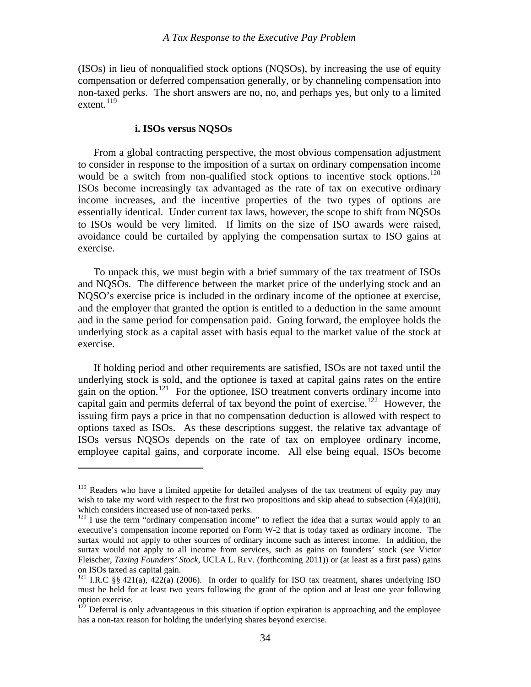<span id="page-35-0"></span>(ISOs) in lieu of nonqualified stock options (NQSOs), by increasing the use of equity compensation or deferred compensation generally, or by channeling compensation into non-taxed perks. The short answers are no, no, and perhaps yes, but only to a limited extent. $^{119}$  $^{119}$  $^{119}$ 

# **i. ISOs versus NQSOs**

 $\overline{a}$ 

 From a global contracting perspective, the most obvious compensation adjustment to consider in response to the imposition of a surtax on ordinary compensation income would be a switch from non-qualified stock options to incentive stock options.<sup>[120](#page-35-2)</sup> ISOs become increasingly tax advantaged as the rate of tax on executive ordinary income increases, and the incentive properties of the two types of options are essentially identical. Under current tax laws, however, the scope to shift from NQSOs to ISOs would be very limited. If limits on the size of ISO awards were raised, avoidance could be curtailed by applying the compensation surtax to ISO gains at exercise.

 To unpack this, we must begin with a brief summary of the tax treatment of ISOs and NQSOs. The difference between the market price of the underlying stock and an NQSO's exercise price is included in the ordinary income of the optionee at exercise, and the employer that granted the option is entitled to a deduction in the same amount and in the same period for compensation paid. Going forward, the employee holds the underlying stock as a capital asset with basis equal to the market value of the stock at exercise.

 If holding period and other requirements are satisfied, ISOs are not taxed until the underlying stock is sold, and the optionee is taxed at capital gains rates on the entire gain on the option.<sup>[121](#page-35-3)</sup> For the optionee, ISO treatment converts ordinary income into capital gain and permits deferral of tax beyond the point of exercise.<sup>[122](#page-35-4)</sup> However, the issuing firm pays a price in that no compensation deduction is allowed with respect to options taxed as ISOs. As these descriptions suggest, the relative tax advantage of ISOs versus NQSOs depends on the rate of tax on employee ordinary income, employee capital gains, and corporate income. All else being equal, ISOs become

<span id="page-35-1"></span><sup>&</sup>lt;sup>119</sup> Readers who have a limited appetite for detailed analyses of the tax treatment of equity pay may wish to take my word with respect to the first two propositions and skip ahead to subsection (4)(a)(iii), which considers increased use of non-taxed perks.

<span id="page-35-2"></span><sup>&</sup>lt;sup>120</sup> I use the term "ordinary compensation income" to reflect the idea that a surtax would apply to an executive's compensation income reported on Form W-2 that is today taxed as ordinary income. The surtax would not apply to other sources of ordinary income such as interest income. In addition, the surtax would not apply to all income from services, such as gains on founders' stock (*see* Victor Fleischer, *Taxing Founders' Stock*, UCLA L. REV. (forthcoming 2011)) or (at least as a first pass) gains on ISOs taxed as capital gain.

<span id="page-35-3"></span><sup>&</sup>lt;sup>121</sup> I.R.C §§ 421(a), 422(a) (2006). In order to qualify for ISO tax treatment, shares underlying ISO must be held for at least two years following the grant of the option and at least one year following option exercise.

<span id="page-35-4"></span> $122$  Deferral is only advantageous in this situation if option expiration is approaching and the employee has a non-tax reason for holding the underlying shares beyond exercise.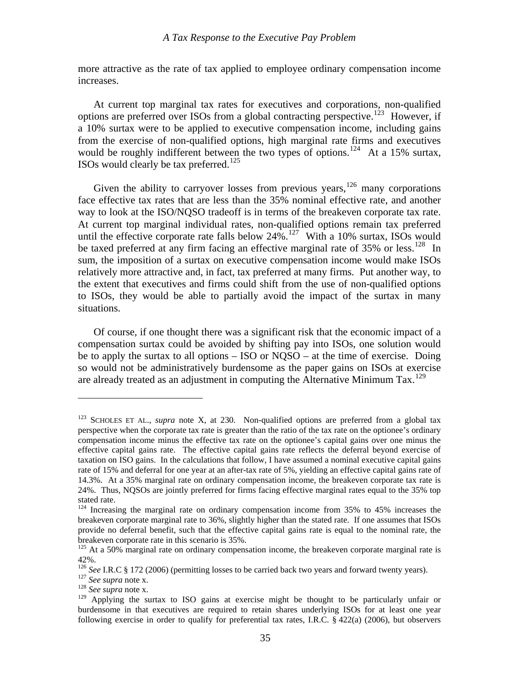more attractive as the rate of tax applied to employee ordinary compensation income increases.

 At current top marginal tax rates for executives and corporations, non-qualified options are preferred over ISOs from a global contracting perspective.<sup>[123](#page-36-0)</sup> However, if a 10% surtax were to be applied to executive compensation income, including gains from the exercise of non-qualified options, high marginal rate firms and executives would be roughly indifferent between the two types of options.<sup>[124](#page-36-1)</sup> At a 15% surtax, ISOs would clearly be tax preferred.<sup>[125](#page-36-2)</sup>

Given the ability to carryover losses from previous years,<sup>[126](#page-36-3)</sup> many corporations face effective tax rates that are less than the 35% nominal effective rate, and another way to look at the ISO/NQSO tradeoff is in terms of the breakeven corporate tax rate. At current top marginal individual rates, non-qualified options remain tax preferred until the effective corporate rate falls below  $24\%$ .<sup>[127](#page-36-4)</sup> With a 10% surtax, ISOs would be taxed preferred at any firm facing an effective marginal rate of 35% or less.<sup>[128](#page-36-5)</sup> In sum, the imposition of a surtax on executive compensation income would make ISOs relatively more attractive and, in fact, tax preferred at many firms. Put another way, to the extent that executives and firms could shift from the use of non-qualified options to ISOs, they would be able to partially avoid the impact of the surtax in many situations.

 Of course, if one thought there was a significant risk that the economic impact of a compensation surtax could be avoided by shifting pay into ISOs, one solution would be to apply the surtax to all options – ISO or NQSO – at the time of exercise. Doing so would not be administratively burdensome as the paper gains on ISOs at exercise are already treated as an adjustment in computing the Alternative Minimum  $\text{Tax.}^{129}$  $\text{Tax.}^{129}$  $\text{Tax.}^{129}$ 

<u>.</u>

<span id="page-36-0"></span><sup>&</sup>lt;sup>123</sup> SCHOLES ET AL., *supra* note X, at 230. Non-qualified options are preferred from a global tax perspective when the corporate tax rate is greater than the ratio of the tax rate on the optionee's ordinary compensation income minus the effective tax rate on the optionee's capital gains over one minus the effective capital gains rate. The effective capital gains rate reflects the deferral beyond exercise of taxation on ISO gains. In the calculations that follow, I have assumed a nominal executive capital gains rate of 15% and deferral for one year at an after-tax rate of 5%, yielding an effective capital gains rate of 14.3%. At a 35% marginal rate on ordinary compensation income, the breakeven corporate tax rate is 24%. Thus, NQSOs are jointly preferred for firms facing effective marginal rates equal to the 35% top stated rate.

<span id="page-36-1"></span> $124$  Increasing the marginal rate on ordinary compensation income from 35% to 45% increases the breakeven corporate marginal rate to 36%, slightly higher than the stated rate. If one assumes that ISOs provide no deferral benefit, such that the effective capital gains rate is equal to the nominal rate, the breakeven corporate rate in this scenario is 35%.

<span id="page-36-2"></span> $125$  At a 50% marginal rate on ordinary compensation income, the breakeven corporate marginal rate is 42%.

<span id="page-36-4"></span><span id="page-36-3"></span><sup>126</sup> *See* I.R.C § 172 (2006) (permitting losses to be carried back two years and forward twenty years). 127 *See supra* note x. 128 *See supra* note x.

<span id="page-36-6"></span><span id="page-36-5"></span><sup>&</sup>lt;sup>129</sup> Applying the surtax to ISO gains at exercise might be thought to be particularly unfair or burdensome in that executives are required to retain shares underlying ISOs for at least one year following exercise in order to qualify for preferential tax rates, I.R.C. § 422(a) (2006), but observers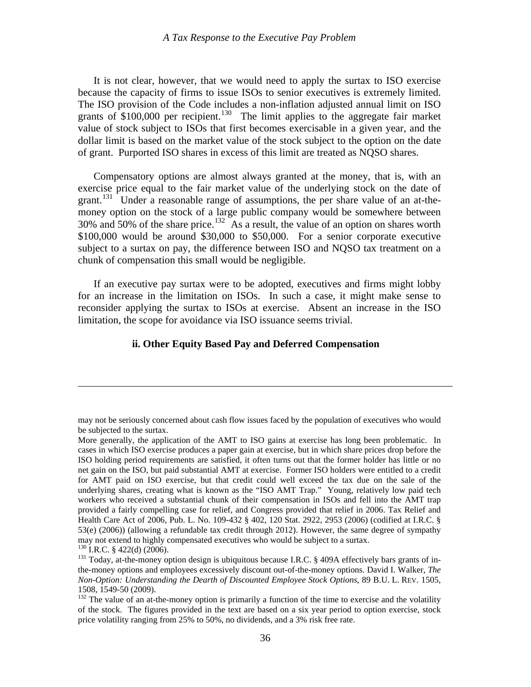<span id="page-37-0"></span> It is not clear, however, that we would need to apply the surtax to ISO exercise because the capacity of firms to issue ISOs to senior executives is extremely limited. The ISO provision of the Code includes a non-inflation adjusted annual limit on ISO grants of  $$100,000$  per recipient.<sup>[130](#page-37-1)</sup> The limit applies to the aggregate fair market value of stock subject to ISOs that first becomes exercisable in a given year, and the dollar limit is based on the market value of the stock subject to the option on the date of grant. Purported ISO shares in excess of this limit are treated as NQSO shares.

 Compensatory options are almost always granted at the money, that is, with an exercise price equal to the fair market value of the underlying stock on the date of grant.<sup>[131](#page-37-2)</sup> Under a reasonable range of assumptions, the per share value of an at-themoney option on the stock of a large public company would be somewhere between  $30\%$  and  $50\%$  of the share price.<sup>[132](#page-37-3)</sup> As a result, the value of an option on shares worth \$100,000 would be around \$30,000 to \$50,000. For a senior corporate executive subject to a surtax on pay, the difference between ISO and NQSO tax treatment on a chunk of compensation this small would be negligible.

 If an executive pay surtax were to be adopted, executives and firms might lobby for an increase in the limitation on ISOs. In such a case, it might make sense to reconsider applying the surtax to ISOs at exercise. Absent an increase in the ISO limitation, the scope for avoidance via ISO issuance seems trivial.

# **ii. Other Equity Based Pay and Deferred Compensation**

may not be seriously concerned about cash flow issues faced by the population of executives who would be subjected to the surtax.

More generally, the application of the AMT to ISO gains at exercise has long been problematic. In cases in which ISO exercise produces a paper gain at exercise, but in which share prices drop before the ISO holding period requirements are satisfied, it often turns out that the former holder has little or no net gain on the ISO, but paid substantial AMT at exercise. Former ISO holders were entitled to a credit for AMT paid on ISO exercise, but that credit could well exceed the tax due on the sale of the underlying shares, creating what is known as the "ISO AMT Trap." Young, relatively low paid tech workers who received a substantial chunk of their compensation in ISOs and fell into the AMT trap provided a fairly compelling case for relief, and Congress provided that relief in 2006. Tax Relief and Health Care Act of 2006, Pub. L. No. 109-432 § 402, 120 Stat. 2922, 2953 (2006) (codified at I.R.C. § 53(e) (2006)) (allowing a refundable tax credit through 2012). However, the same degree of sympathy may not extend to highly compensated executives who would be subject to a surtax.<br><sup>130</sup> I.R.C. § 422(d) (2006).

<span id="page-37-2"></span><span id="page-37-1"></span><sup>&</sup>lt;sup>131</sup> Today, at-the-money option design is ubiquitous because I.R.C. § 409A effectively bars grants of inthe-money options and employees excessively discount out-of-the-money options. David I. Walker, *The Non-Option: Understanding the Dearth of Discounted Employee Stock Options*, 89 B.U. L. REV. 1505, 1508, 1549-50 (2009).

<span id="page-37-3"></span> $132$  The value of an at-the-money option is primarily a function of the time to exercise and the volatility of the stock. The figures provided in the text are based on a six year period to option exercise, stock price volatility ranging from 25% to 50%, no dividends, and a 3% risk free rate.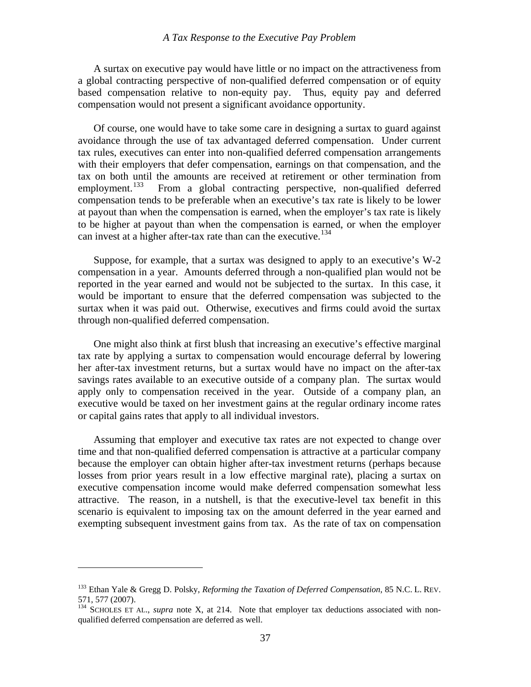A surtax on executive pay would have little or no impact on the attractiveness from a global contracting perspective of non-qualified deferred compensation or of equity based compensation relative to non-equity pay. Thus, equity pay and deferred compensation would not present a significant avoidance opportunity.

 Of course, one would have to take some care in designing a surtax to guard against avoidance through the use of tax advantaged deferred compensation. Under current tax rules, executives can enter into non-qualified deferred compensation arrangements with their employers that defer compensation, earnings on that compensation, and the tax on both until the amounts are received at retirement or other termination from employment.<sup>133</sup> From a global contracting perspective, non-qualified deferred From a global contracting perspective, non-qualified deferred compensation tends to be preferable when an executive's tax rate is likely to be lower at payout than when the compensation is earned, when the employer's tax rate is likely to be higher at payout than when the compensation is earned, or when the employer can invest at a higher after-tax rate than can the executive.<sup>[134](#page-38-1)</sup>

 Suppose, for example, that a surtax was designed to apply to an executive's W-2 compensation in a year. Amounts deferred through a non-qualified plan would not be reported in the year earned and would not be subjected to the surtax. In this case, it would be important to ensure that the deferred compensation was subjected to the surtax when it was paid out. Otherwise, executives and firms could avoid the surtax through non-qualified deferred compensation.

 One might also think at first blush that increasing an executive's effective marginal tax rate by applying a surtax to compensation would encourage deferral by lowering her after-tax investment returns, but a surtax would have no impact on the after-tax savings rates available to an executive outside of a company plan. The surtax would apply only to compensation received in the year. Outside of a company plan, an executive would be taxed on her investment gains at the regular ordinary income rates or capital gains rates that apply to all individual investors.

 Assuming that employer and executive tax rates are not expected to change over time and that non-qualified deferred compensation is attractive at a particular company because the employer can obtain higher after-tax investment returns (perhaps because losses from prior years result in a low effective marginal rate), placing a surtax on executive compensation income would make deferred compensation somewhat less attractive. The reason, in a nutshell, is that the executive-level tax benefit in this scenario is equivalent to imposing tax on the amount deferred in the year earned and exempting subsequent investment gains from tax. As the rate of tax on compensation

<span id="page-38-0"></span><sup>133</sup> Ethan Yale & Gregg D. Polsky, *Reforming the Taxation of Deferred Compensation*, 85 N.C. L. REV. 571, 577 (2007).

<span id="page-38-1"></span><sup>&</sup>lt;sup>134</sup> SCHOLES ET AL., *supra* note X, at 214. Note that employer tax deductions associated with nonqualified deferred compensation are deferred as well.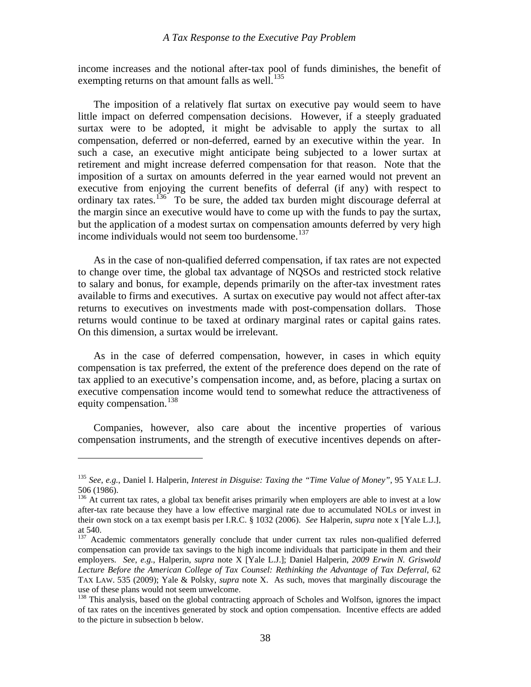income increases and the notional after-tax pool of funds diminishes, the benefit of exempting returns on that amount falls as well. $^{135}$  $^{135}$  $^{135}$ 

 The imposition of a relatively flat surtax on executive pay would seem to have little impact on deferred compensation decisions. However, if a steeply graduated surtax were to be adopted, it might be advisable to apply the surtax to all compensation, deferred or non-deferred, earned by an executive within the year. In such a case, an executive might anticipate being subjected to a lower surtax at retirement and might increase deferred compensation for that reason. Note that the imposition of a surtax on amounts deferred in the year earned would not prevent an executive from enjoying the current benefits of deferral (if any) with respect to ordinary tax rates.<sup>[136](#page-39-1)</sup> To be sure, the added tax burden might discourage deferral at the margin since an executive would have to come up with the funds to pay the surtax, but the application of a modest surtax on compensation amounts deferred by very high income individuals would not seem too burdensome.<sup>[137](#page-39-2)</sup>

 As in the case of non-qualified deferred compensation, if tax rates are not expected to change over time, the global tax advantage of NQSOs and restricted stock relative to salary and bonus, for example, depends primarily on the after-tax investment rates available to firms and executives. A surtax on executive pay would not affect after-tax returns to executives on investments made with post-compensation dollars. Those returns would continue to be taxed at ordinary marginal rates or capital gains rates. On this dimension, a surtax would be irrelevant.

 As in the case of deferred compensation, however, in cases in which equity compensation is tax preferred, the extent of the preference does depend on the rate of tax applied to an executive's compensation income, and, as before, placing a surtax on executive compensation income would tend to somewhat reduce the attractiveness of equity compensation.<sup>[138](#page-39-3)</sup>

 Companies, however, also care about the incentive properties of various compensation instruments, and the strength of executive incentives depends on after-

<u>.</u>

<span id="page-39-0"></span><sup>135</sup> *See*, *e.g.*, Daniel I. Halperin, *Interest in Disguise: Taxing the "Time Value of Money"*, 95 YALE L.J. 506 (1986).

<span id="page-39-1"></span> $136$  At current tax rates, a global tax benefit arises primarily when employers are able to invest at a low after-tax rate because they have a low effective marginal rate due to accumulated NOLs or invest in their own stock on a tax exempt basis per I.R.C. § 1032 (2006). *See* Halperin, *supra* note x [Yale L.J.], at 540.

<span id="page-39-2"></span><sup>&</sup>lt;sup>137</sup> Academic commentators generally conclude that under current tax rules non-qualified deferred compensation can provide tax savings to the high income individuals that participate in them and their employers. *See*, *e.g.*, Halperin, *supra* note X [Yale L.J.]; Daniel Halperin, *2009 Erwin N. Griswold Lecture Before the American College of Tax Counsel: Rethinking the Advantage of Tax Deferral*, 62 TAX LAW. 535 (2009); Yale & Polsky, *supra* note X. As such, moves that marginally discourage the use of these plans would not seem unwelcome.

<span id="page-39-3"></span><sup>&</sup>lt;sup>138</sup> This analysis, based on the global contracting approach of Scholes and Wolfson, ignores the impact of tax rates on the incentives generated by stock and option compensation. Incentive effects are added to the picture in subsection b below.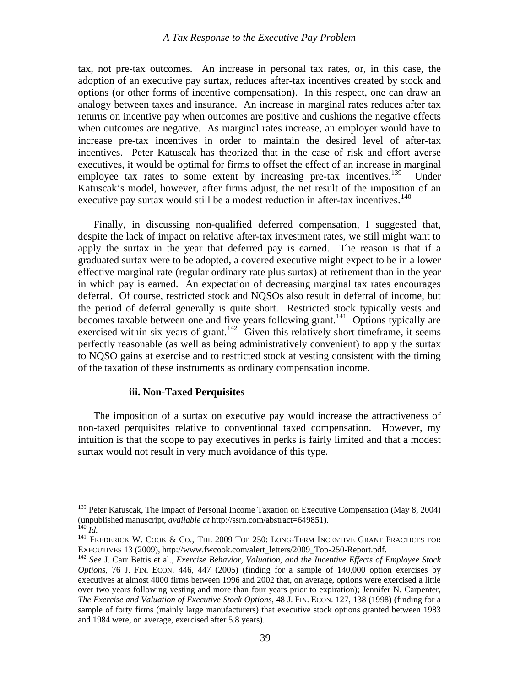<span id="page-40-0"></span>tax, not pre-tax outcomes. An increase in personal tax rates, or, in this case, the adoption of an executive pay surtax, reduces after-tax incentives created by stock and options (or other forms of incentive compensation). In this respect, one can draw an analogy between taxes and insurance. An increase in marginal rates reduces after tax returns on incentive pay when outcomes are positive and cushions the negative effects when outcomes are negative. As marginal rates increase, an employer would have to increase pre-tax incentives in order to maintain the desired level of after-tax incentives. Peter Katuscak has theorized that in the case of risk and effort averse executives, it would be optimal for firms to offset the effect of an increase in marginal employee tax rates to some extent by increasing pre-tax incentives.<sup>[139](#page-40-1)</sup> Under Katuscak's model, however, after firms adjust, the net result of the imposition of an executive pay surtax would still be a modest reduction in after-tax incentives.<sup>[140](#page-40-2)</sup>

 Finally, in discussing non-qualified deferred compensation, I suggested that, despite the lack of impact on relative after-tax investment rates, we still might want to apply the surtax in the year that deferred pay is earned. The reason is that if a graduated surtax were to be adopted, a covered executive might expect to be in a lower effective marginal rate (regular ordinary rate plus surtax) at retirement than in the year in which pay is earned. An expectation of decreasing marginal tax rates encourages deferral. Of course, restricted stock and NQSOs also result in deferral of income, but the period of deferral generally is quite short. Restricted stock typically vests and becomes taxable between one and five years following grant.<sup>[141](#page-40-3)</sup> Options typically are exercised within six years of grant.<sup>[142](#page-40-4)</sup> Given this relatively short timeframe, it seems perfectly reasonable (as well as being administratively convenient) to apply the surtax to NQSO gains at exercise and to restricted stock at vesting consistent with the timing of the taxation of these instruments as ordinary compensation income.

#### **iii. Non-Taxed Perquisites**

 The imposition of a surtax on executive pay would increase the attractiveness of non-taxed perquisites relative to conventional taxed compensation. However, my intuition is that the scope to pay executives in perks is fairly limited and that a modest surtax would not result in very much avoidance of this type.

<span id="page-40-1"></span><sup>&</sup>lt;sup>139</sup> Peter Katuscak, The Impact of Personal Income Taxation on Executive Compensation (May 8, 2004) (unpublished manuscript, *available at* http://ssrn.com/abstract=649851). 140 *Id.* 141 FREDERICK W. COOK & CO., THE 2009 TOP 250: LONG-TERM INCENTIVE GRANT PRACTICES FOR

<span id="page-40-2"></span>

<span id="page-40-3"></span>EXECUTIVES 13 (2009), http://www.fwcook.com/alert\_letters/2009\_Top-250-Report.pdf. 142 *See* J. Carr Bettis et al., *Exercise Behavior, Valuation, and the Incentive Effects of Employee Stock* 

<span id="page-40-4"></span>*Options*, 76 J. FIN. ECON. 446, 447 (2005) (finding for a sample of 140,000 option exercises by executives at almost 4000 firms between 1996 and 2002 that, on average, options were exercised a little over two years following vesting and more than four years prior to expiration); Jennifer N. Carpenter, *The Exercise and Valuation of Executive Stock Options*, 48 J. FIN. ECON. 127, 138 (1998) (finding for a sample of forty firms (mainly large manufacturers) that executive stock options granted between 1983 and 1984 were, on average, exercised after 5.8 years).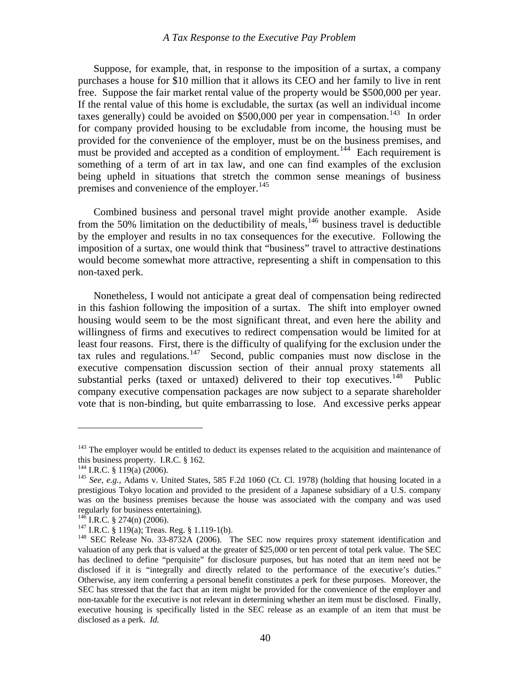Suppose, for example, that, in response to the imposition of a surtax, a company purchases a house for \$10 million that it allows its CEO and her family to live in rent free. Suppose the fair market rental value of the property would be \$500,000 per year. If the rental value of this home is excludable, the surtax (as well an individual income taxes generally) could be avoided on \$500,000 per year in compensation.<sup>[143](#page-41-0)</sup> In order for company provided housing to be excludable from income, the housing must be provided for the convenience of the employer, must be on the business premises, and must be provided and accepted as a condition of employment.<sup>[144](#page-41-1)</sup> Each requirement is something of a term of art in tax law, and one can find examples of the exclusion being upheld in situations that stretch the common sense meanings of business premises and convenience of the employer.<sup>[145](#page-41-2)</sup>

 Combined business and personal travel might provide another example. Aside from the 50% limitation on the deductibility of meals, $146$  business travel is deductible by the employer and results in no tax consequences for the executive. Following the imposition of a surtax, one would think that "business" travel to attractive destinations would become somewhat more attractive, representing a shift in compensation to this non-taxed perk.

 Nonetheless, I would not anticipate a great deal of compensation being redirected in this fashion following the imposition of a surtax. The shift into employer owned housing would seem to be the most significant threat, and even here the ability and willingness of firms and executives to redirect compensation would be limited for at least four reasons. First, there is the difficulty of qualifying for the exclusion under the tax rules and regulations.<sup>[147](#page-41-4)</sup> Second, public companies must now disclose in the executive compensation discussion section of their annual proxy statements all substantial perks (taxed or untaxed) delivered to their top executives.<sup>[148](#page-41-5)</sup> Public company executive compensation packages are now subject to a separate shareholder vote that is non-binding, but quite embarrassing to lose. And excessive perks appear

<span id="page-41-0"></span> $143$  The employer would be entitled to deduct its expenses related to the acquisition and maintenance of this business property. I.R.C. § 162.

<span id="page-41-2"></span><span id="page-41-1"></span>

<sup>&</sup>lt;sup>144</sup> I.R.C. § 119(a) (2006).<br><sup>145</sup> *See, e.g.*, Adams v. United States, 585 F.2d 1060 (Ct. Cl. 1978) (holding that housing located in a prestigious Tokyo location and provided to the president of a Japanese subsidiary of a U.S. company was on the business premises because the house was associated with the company and was used regularly for business entertaining).<br> $^{146}$  I.R.C. § 274(n) (2006).

<span id="page-41-5"></span><span id="page-41-4"></span><span id="page-41-3"></span><sup>&</sup>lt;sup>147</sup> I.R.C. § 119(a); Treas. Reg. § 1.119-1(b). <sup>148</sup> SEC Release No. 33-8732A (2006). The SEC now requires proxy statement identification and valuation of any perk that is valued at the greater of \$25,000 or ten percent of total perk value. The SEC has declined to define "perquisite" for disclosure purposes, but has noted that an item need not be disclosed if it is "integrally and directly related to the performance of the executive's duties." Otherwise, any item conferring a personal benefit constitutes a perk for these purposes. Moreover, the SEC has stressed that the fact that an item might be provided for the convenience of the employer and non-taxable for the executive is not relevant in determining whether an item must be disclosed. Finally, executive housing is specifically listed in the SEC release as an example of an item that must be disclosed as a perk. *Id.*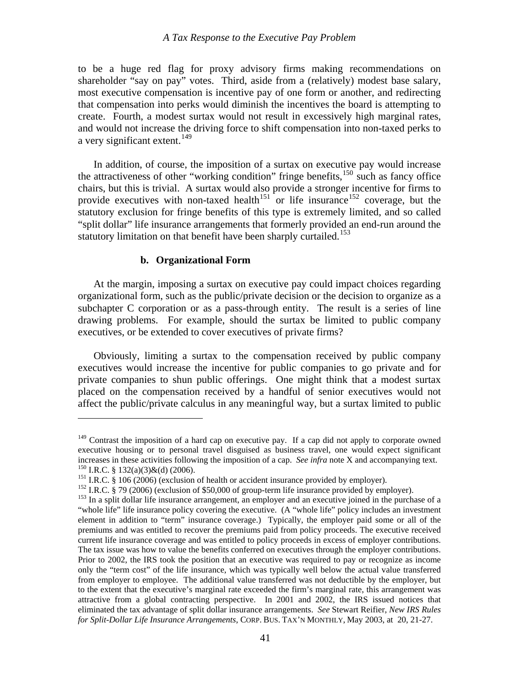<span id="page-42-0"></span>to be a huge red flag for proxy advisory firms making recommendations on shareholder "say on pay" votes. Third, aside from a (relatively) modest base salary, most executive compensation is incentive pay of one form or another, and redirecting that compensation into perks would diminish the incentives the board is attempting to create. Fourth, a modest surtax would not result in excessively high marginal rates, and would not increase the driving force to shift compensation into non-taxed perks to a very significant extent.<sup>[149](#page-42-1)</sup>

 In addition, of course, the imposition of a surtax on executive pay would increase the attractiveness of other "working condition" fringe benefits,  $150$  such as fancy office chairs, but this is trivial. A surtax would also provide a stronger incentive for firms to provide executives with non-taxed health<sup>[151](#page-42-3)</sup> or life insurance<sup>[152](#page-42-4)</sup> coverage, but the statutory exclusion for fringe benefits of this type is extremely limited, and so called "split dollar" life insurance arrangements that formerly provided an end-run around the statutory limitation on that benefit have been sharply curtailed.<sup>[153](#page-42-5)</sup>

#### **b. Organizational Form**

 $\overline{a}$ 

 At the margin, imposing a surtax on executive pay could impact choices regarding organizational form, such as the public/private decision or the decision to organize as a subchapter C corporation or as a pass-through entity. The result is a series of line drawing problems. For example, should the surtax be limited to public company executives, or be extended to cover executives of private firms?

 Obviously, limiting a surtax to the compensation received by public company executives would increase the incentive for public companies to go private and for private companies to shun public offerings. One might think that a modest surtax placed on the compensation received by a handful of senior executives would not affect the public/private calculus in any meaningful way, but a surtax limited to public

<span id="page-42-1"></span> $149$  Contrast the imposition of a hard cap on executive pay. If a cap did not apply to corporate owned executive housing or to personal travel disguised as business travel, one would expect significant increases in these activities following the imposition of a cap. *See infra* note X and accompanying text.<br><sup>150</sup> I.R.C. § 132(a)(3)&(d) (2006).<br><sup>151</sup> I.R.C. § 106 (2006) (exclusion of health or accident insurance provided

<span id="page-42-3"></span><span id="page-42-2"></span>

<span id="page-42-5"></span><span id="page-42-4"></span><sup>&</sup>quot;whole life" life insurance policy covering the executive. (A "whole life" policy includes an investment element in addition to "term" insurance coverage.) Typically, the employer paid some or all of the premiums and was entitled to recover the premiums paid from policy proceeds. The executive received current life insurance coverage and was entitled to policy proceeds in excess of employer contributions. The tax issue was how to value the benefits conferred on executives through the employer contributions. Prior to 2002, the IRS took the position that an executive was required to pay or recognize as income only the "term cost" of the life insurance, which was typically well below the actual value transferred from employer to employee. The additional value transferred was not deductible by the employer, but to the extent that the executive's marginal rate exceeded the firm's marginal rate, this arrangement was attractive from a global contracting perspective. In 2001 and 2002, the IRS issued notices that eliminated the tax advantage of split dollar insurance arrangements. *See* Stewart Reifier, *New IRS Rules for Split-Dollar Life Insurance Arrangements*, CORP. BUS. TAX'N MONTHLY, May 2003, at 20, 21-27.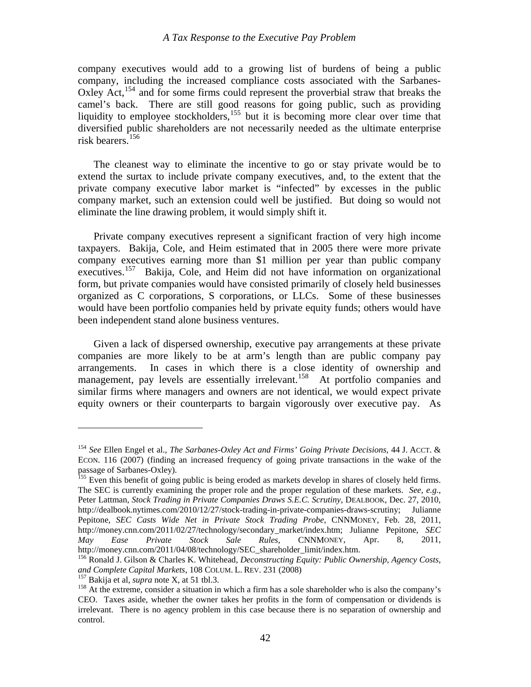company executives would add to a growing list of burdens of being a public company, including the increased compliance costs associated with the Sarbanes-Oxley Act,<sup>[154](#page-43-0)</sup> and for some firms could represent the proverbial straw that breaks the camel's back. There are still good reasons for going public, such as providing liquidity to employee stockholders,<sup>[155](#page-43-1)</sup> but it is becoming more clear over time that diversified public shareholders are not necessarily needed as the ultimate enterprise risk bearers.[156](#page-43-2)

 The cleanest way to eliminate the incentive to go or stay private would be to extend the surtax to include private company executives, and, to the extent that the private company executive labor market is "infected" by excesses in the public company market, such an extension could well be justified. But doing so would not eliminate the line drawing problem, it would simply shift it.

 Private company executives represent a significant fraction of very high income taxpayers. Bakija, Cole, and Heim estimated that in 2005 there were more private company executives earning more than \$1 million per year than public company executives.<sup>[157](#page-43-3)</sup> Bakija, Cole, and Heim did not have information on organizational form, but private companies would have consisted primarily of closely held businesses organized as C corporations, S corporations, or LLCs. Some of these businesses would have been portfolio companies held by private equity funds; others would have been independent stand alone business ventures.

 Given a lack of dispersed ownership, executive pay arrangements at these private companies are more likely to be at arm's length than are public company pay arrangements. In cases in which there is a close identity of ownership and management, pay levels are essentially irrelevant.<sup>[158](#page-43-4)</sup> At portfolio companies and similar firms where managers and owners are not identical, we would expect private equity owners or their counterparts to bargain vigorously over executive pay. As

<u>.</u>

<span id="page-43-0"></span><sup>154</sup> *See* Ellen Engel et al., *The Sarbanes-Oxley Act and Firms' Going Private Decisions*, 44 J. ACCT. & ECON. 116 (2007) (finding an increased frequency of going private transactions in the wake of the passage of Sarbanes-Oxley).

<span id="page-43-1"></span><sup>&</sup>lt;sup>155</sup> Even this benefit of going public is being eroded as markets develop in shares of closely held firms. The SEC is currently examining the proper role and the proper regulation of these markets. *See*, *e.g.*, Peter Lattman, *Stock Trading in Private Companies Draws S.E.C. Scrutiny*, DEALBOOK, Dec. 27, 2010, http://dealbook.nytimes.com/2010/12/27/stock-trading-in-private-companies-draws-scrutiny; Julianne Pepitone, *SEC Casts Wide Net in Private Stock Trading Probe*, CNNMONEY, Feb. 28, 2011, http://money.cnn.com/2011/02/27/technology/secondary\_market/index.htm; Julianne Pepitone, *SEC May Ease Private Stock Sale Rules*, CNNMONEY, Apr. 8, 2011, http://money.cnn.com/2011/04/08/technology/SEC\_shareholder\_limit/index.htm.

<span id="page-43-2"></span><sup>156</sup> Ronald J. Gilson & Charles K. Whitehead, *Deconstructing Equity: Public Ownership, Agency Costs, and Complete Capital Markets*, 108 COLUM. L. REV. 231 (2008)<br><sup>157</sup> Bakija et al, *supra* note X, at 51 tbl.3.<br><sup>158</sup> At the extreme, consider a situation in which a firm has a sole shareholder who is also the company's

<span id="page-43-3"></span>

<span id="page-43-4"></span>CEO. Taxes aside, whether the owner takes her profits in the form of compensation or dividends is irrelevant. There is no agency problem in this case because there is no separation of ownership and control.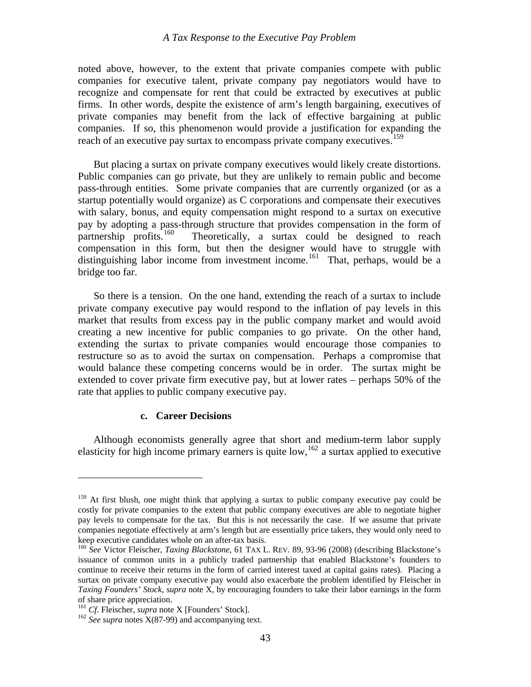<span id="page-44-0"></span>noted above, however, to the extent that private companies compete with public companies for executive talent, private company pay negotiators would have to recognize and compensate for rent that could be extracted by executives at public firms. In other words, despite the existence of arm's length bargaining, executives of private companies may benefit from the lack of effective bargaining at public companies. If so, this phenomenon would provide a justification for expanding the reach of an executive pay surtax to encompass private company executives.<sup>[159](#page-44-1)</sup>

 But placing a surtax on private company executives would likely create distortions. Public companies can go private, but they are unlikely to remain public and become pass-through entities. Some private companies that are currently organized (or as a startup potentially would organize) as C corporations and compensate their executives with salary, bonus, and equity compensation might respond to a surtax on executive pay by adopting a pass-through structure that provides compensation in the form of partnership profits.<sup>160</sup> Theoretically, a surtax could be designed to reach Theoretically, a surtax could be designed to reach compensation in this form, but then the designer would have to struggle with distinguishing labor income from investment income.<sup>[161](#page-44-3)</sup> That, perhaps, would be a bridge too far.

extended to cover private firm executive pay, but at lower rates  $-$  perhaps 50% of the So there is a tension. On the one hand, extending the reach of a surtax to include private company executive pay would respond to the inflation of pay levels in this market that results from excess pay in the public company market and would avoid creating a new incentive for public companies to go private. On the other hand, extending the surtax to private companies would encourage those companies to restructure so as to avoid the surtax on compensation. Perhaps a compromise that would balance these competing concerns would be in order. The surtax might be rate that applies to public company executive pay.

# **c. Career Decisions**

 Although economists generally agree that short and medium-term labor supply elasticity for high income primary earners is quite low,  $162$  a surtax applied to executive

1

<span id="page-44-1"></span><sup>&</sup>lt;sup>159</sup> At first blush, one might think that applying a surtax to public company executive pay could be costly for private companies to the extent that public company executives are able to negotiate higher pay levels to compensate for the tax. But this is not necessarily the case. If we assume that private companies negotiate effectively at arm's length but are essentially price takers, they would only need to keep executive candidates whole on an after-tax basis.<br><sup>160</sup> *See* Victor Fleischer, *Taxing Blackstone*, 61 TAX L. REV. 89, 93-96 (2008) (describing Blackstone's

<span id="page-44-2"></span>issuance of common units in a publicly traded partnership that enabled Blackstone's founders to continue to receive their returns in the form of carried interest taxed at capital gains rates). Placing a surtax on private company executive pay would also exacerbate the problem identified by Fleischer in *Taxing Founders' Stock*, *supra* note X, by encouraging founders to take their labor earnings in the form of share price appreciation.<br><sup>161</sup> *Cf.* Fleischer, *supra* note X [Founders' Stock].

<span id="page-44-4"></span><span id="page-44-3"></span> $^{162}$  *See supra* notes  $\hat{X}(87-99)$  and accompanying text.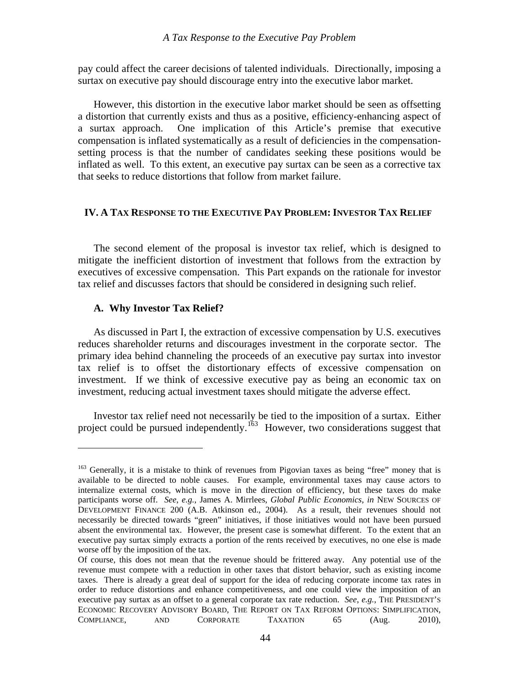<span id="page-45-0"></span>pay could affect the career decisions of talented individuals. Directionally, imposing a surtax on executive pay should discourage entry into the executive labor market.

setting process is that the number of candidates seeking these positions would be inflated as well. To this extent, an executive pay surtax can be seen as a corrective tax that seeks to reduce distortions that follow from market failure. However, this distortion in the executive labor market should be seen as offsetting a distortion that currently exists and thus as a positive, efficiency-enhancing aspect of a surtax approach. One implication of this Article's premise that executive compensation is inflated systematically as a result of deficiencies in the compensation-

#### **IV. A TAX RESPONSE TO THE EXECUTIVE PAY PROBLEM: INVESTOR TAX RELIEF**

mitigate the inefficient distortion of investment that follows from the extraction by executives of excessive compensation. This Part expands on the rationale for investor tax relief and discusses factors that should be considered in designing such relief. The second element of the proposal is investor tax relief, which is designed to

#### **A. Why Investor Tax Relief?**

1

tax relief is to offset the distortionary effects of excessive compensation on investment. If we think of excessive executive pay as being an economic tax on As discussed in Part I, the extraction of excessive compensation by U.S. executives reduces shareholder returns and discourages investment in the corporate sector. The primary idea behind channeling the proceeds of an executive pay surtax into investor investment, reducing actual investment taxes should mitigate the adverse effect.

 Investor tax relief need not necessarily be tied to the imposition of a surtax. Either project could be pursued independently.<sup>163</sup> However, two considerations suggest that

<sup>&</sup>lt;sup>163</sup> Generally, it is a mistake to think of revenues from Pigovian taxes as being "free" money that is available to be directed to noble causes. For example, environmental taxes may cause actors to internalize external costs, which is move in the direction of efficiency, but these taxes do make participants worse off. *See*, *e.g.*, James A. Mirrlees, *Global Public Economics*, *in* NEW SOURCES OF DEVELOPMENT FINANCE 200 (A.B. Atkinson ed., 2004). As a result, their revenues should not necessarily be directed towards "green" initiatives, if those initiatives would not have been pursued absent the environmental tax. However, the present case is somewhat different. To the extent that an executive pay surtax simply extracts a portion of the rents received by executives, no one else is made worse off by the imposition of the tax.

order to reduce distortions and enhance competitiveness, and one could view the imposition of an AND CORPORATE TAXATION 65 (Aug. 2010), Of course, this does not mean that the revenue should be frittered away. Any potential use of the revenue must compete with a reduction in other taxes that distort behavior, such as existing income taxes. There is already a great deal of support for the idea of reducing corporate income tax rates in executive pay surtax as an offset to a general corporate tax rate reduction. *See*, *e.g.*, THE PRESIDENT'S ECONOMIC RECOVERY ADVISORY BOARD, THE REPORT ON TAX REFORM OPTIONS: SIMPLIFICATION, COMPLIANCE,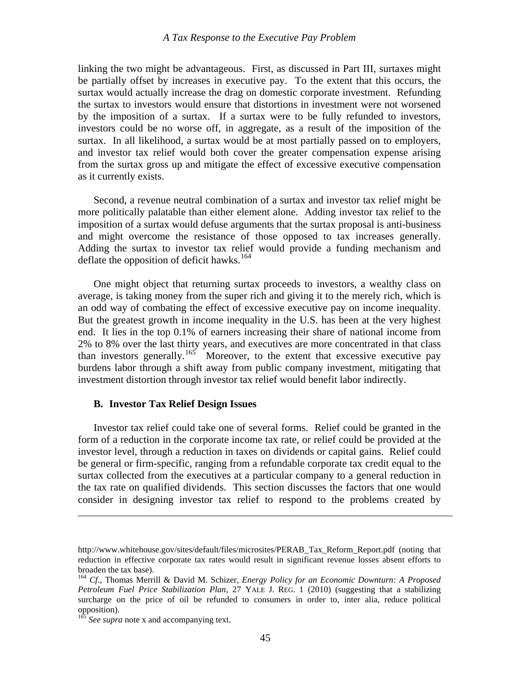<span id="page-46-0"></span>linking the two might be advantageous. First, as discussed in Part III, surtaxes might be partially offset by increases in executive pay. To the extent that this occurs, the surtax would actually increase the drag on domestic corporate investment. Refunding the surtax to investors would ensure that distortions in investment were not worsened by the imposition of a surtax. If a surtax were to be fully refunded to investors, investors could be no worse off, in aggregate, as a result of the imposition of the surtax. In all likelihood, a surtax would be at most partially passed on to employers, and investor tax relief would both cover the greater compensation expense arising from the surtax gross up and mitigate the effect of excessive executive compensation as it currently exists.

 Second, a revenue neutral combination of a surtax and investor tax relief might be more politically palatable than either element alone. Adding investor tax relief to the imposition of a surtax would defuse arguments that the surtax proposal is anti-business and might overcome the resistance of those opposed to tax increases generally. Adding the surtax to investor tax relief would provide a funding mechanism and deflate the opposition of deficit hawks.<sup>[164](#page-46-1)</sup>

 One might object that returning surtax proceeds to investors, a wealthy class on average, is taking money from the super rich and giving it to the merely rich, which is an odd way of combating the effect of excessive executive pay on income inequality. But the greatest growth in income inequality in the U.S. has been at the very highest end. It lies in the top 0.1% of earners increasing their share of national income from 2% to 8% over the last thirty years, and executives are more concentrated in that class than investors generally.<sup>[165](#page-46-2)</sup> Moreover, to the extent that excessive executive pay burdens labor through a shift away from public company investment, mitigating that investment distortion through investor tax relief would benefit labor indirectly.

#### **B. Investor Tax Relief Design Issues**

 Investor tax relief could take one of several forms. Relief could be granted in the form of a reduction in the corporate income tax rate, or relief could be provided at the investor level, through a reduction in taxes on dividends or capital gains. Relief could be general or firm-specific, ranging from a refundable corporate tax credit equal to the surtax collected from the executives at a particular company to a general reduction in the tax rate on qualified dividends. This section discusses the factors that one would consider in designing investor tax relief to respond to the problems created by

http://www.whitehouse.gov/sites/default/files/microsites/PERAB\_Tax\_Reform\_Report.pdf (noting that reduction in effective corporate tax rates would result in significant revenue losses absent efforts to broaden the tax base).

<span id="page-46-1"></span><sup>164</sup> *Cf.*, Thomas Merrill & David M. Schizer, *Energy Policy for an Economic Downturn: A Proposed Petroleum Fuel Price Stabilization Plan*, 27 YALE J. REG. 1 (2010) (suggesting that a stabilizing surcharge on the price of oil be refunded to consumers in order to, inter alia, reduce political opposition).

<span id="page-46-2"></span>See supra note x and accompanying text.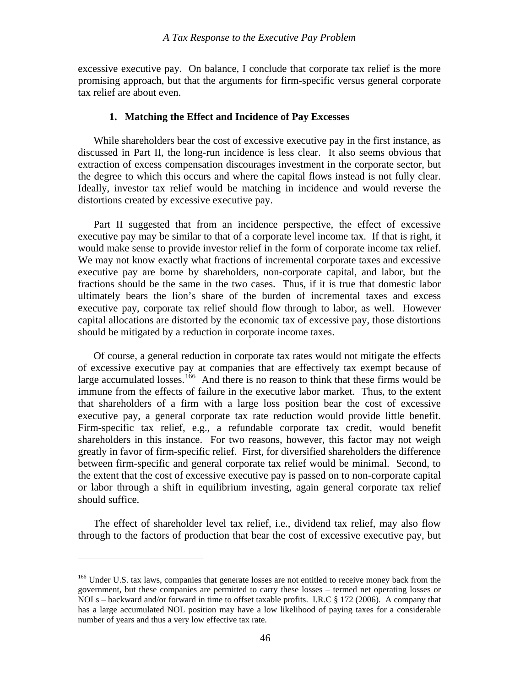<span id="page-47-0"></span>excessive executive pay. On balance, I conclude that corporate tax relief is the more promising approach, but that the arguments for firm-specific versus general corporate tax relief are about even.

#### **1. Matching the Effect and Incidence of Pay Excesses**

extraction of excess compensation discourages investment in the corporate sector, but the degree to which this occurs and where the capital flows instead is not fully clear. While shareholders bear the cost of excessive executive pay in the first instance, as discussed in Part II, the long-run incidence is less clear. It also seems obvious that Ideally, investor tax relief would be matching in incidence and would reverse the distortions created by excessive executive pay.

ultimately bears the lion's share of the burden of incremental taxes and excess executive pay, corporate tax relief should flow through to labor, as well. However Part II suggested that from an incidence perspective, the effect of excessive executive pay may be similar to that of a corporate level income tax. If that is right, it would make sense to provide investor relief in the form of corporate income tax relief. We may not know exactly what fractions of incremental corporate taxes and excessive executive pay are borne by shareholders, non-corporate capital, and labor, but the fractions should be the same in the two cases. Thus, if it is true that domestic labor capital allocations are distorted by the economic tax of excessive pay, those distortions should be mitigated by a reduction in corporate income taxes.

between firm-specific and general corporate tax relief would be minimal. Second, to the extent that the cost of excessive executive pay is passed on to non-corporate capital Of course, a general reduction in corporate tax rates would not mitigate the effects of excessive executive pay at companies that are effectively tax exempt because of large accumulated losses.<sup>[166](#page-47-1)</sup> And there is no reason to think that these firms would be immune from the effects of failure in the executive labor market. Thus, to the extent that shareholders of a firm with a large loss position bear the cost of excessive executive pay, a general corporate tax rate reduction would provide little benefit. Firm-specific tax relief, e.g., a refundable corporate tax credit, would benefit shareholders in this instance. For two reasons, however, this factor may not weigh greatly in favor of firm-specific relief. First, for diversified shareholders the difference or labor through a shift in equilibrium investing, again general corporate tax relief should suffice.

 The effect of shareholder level tax relief, i.e., dividend tax relief, may also flow through to the factors of production that bear the cost of excessive executive pay, but

1

<span id="page-47-1"></span><sup>&</sup>lt;sup>166</sup> Under U.S. tax laws, companies that generate losses are not entitled to receive money back from the government, but these companies are permitted to carry these losses – termed net operating losses or NOLs – backward and/or forward in time to offset taxable profits. I.R.C § 172 (2006). A company that has a large accumulated NOL position may have a low likelihood of paying taxes for a considerable number of years and thus a very low effective tax rate.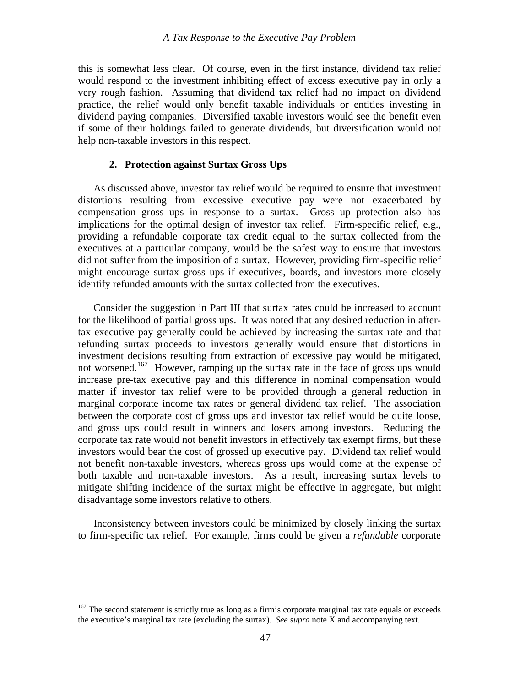<span id="page-48-0"></span>this is somewhat less clear. Of course, even in the first instance, dividend tax relief would respond to the investment inhibiting effect of excess executive pay in only a very rough fashion. Assuming that dividend tax relief had no impact on dividend practice, the relief would only benefit taxable individuals or entities investing in dividend paying companies. Diversified taxable investors would see the benefit even if some of their holdings failed to generate dividends, but diversification would not help non-taxable investors in this respect.

# **2. Protection against Surtax Gross Ups**

executives at a particular company, would be the safest way to ensure that investors did not suffer from the imposition of a surtax. However, providing firm-specific relief might encourage surtax gross ups if executives, boards, and investors more closely As discussed above, investor tax relief would be required to ensure that investment distortions resulting from excessive executive pay were not exacerbated by compensation gross ups in response to a surtax. Gross up protection also has implications for the optimal design of investor tax relief. Firm-specific relief, e.g., providing a refundable corporate tax credit equal to the surtax collected from the identify refunded amounts with the surtax collected from the executives.

not benefit non-taxable investors, whereas gross ups would come at the expense of both taxable and non-taxable investors. As a result, increasing surtax levels to mitigate shifting incidence of the surtax might be effective in aggregate, but might Consider the suggestion in Part III that surtax rates could be increased to account for the likelihood of partial gross ups. It was noted that any desired reduction in aftertax executive pay generally could be achieved by increasing the surtax rate and that refunding surtax proceeds to investors generally would ensure that distortions in investment decisions resulting from extraction of excessive pay would be mitigated, not worsened.<sup>[167](#page-48-1)</sup> However, ramping up the surtax rate in the face of gross ups would increase pre-tax executive pay and this difference in nominal compensation would matter if investor tax relief were to be provided through a general reduction in marginal corporate income tax rates or general dividend tax relief. The association between the corporate cost of gross ups and investor tax relief would be quite loose, and gross ups could result in winners and losers among investors. Reducing the corporate tax rate would not benefit investors in effectively tax exempt firms, but these investors would bear the cost of grossed up executive pay. Dividend tax relief would disadvantage some investors relative to others.

Inconsistency between investors could be minimized by closely linking the surtax to firm-specific tax relief. For example, firms could be given a *refundable* corporate

<span id="page-48-1"></span><sup>&</sup>lt;sup>167</sup> The second statement is strictly true as long as a firm's corporate marginal tax rate equals or exceeds the executive's marginal tax rate (excluding the surtax). *See supra* note X and accompanying text.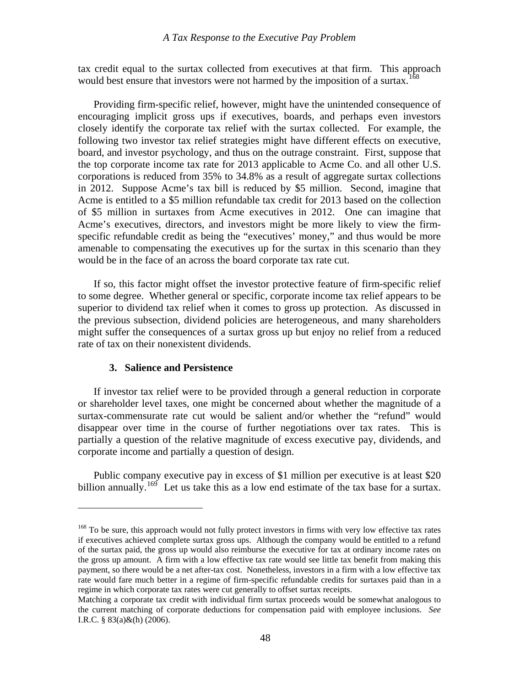<span id="page-49-0"></span>tax credit equal to the surtax collected from executives at that firm. This approach would best ensure that investors were not harmed by the imposition of a surtax.<sup>168</sup>

specific refundable credit as being the "executives' money," and thus would be more menable to compensating the executives up for the surtax in this scenario than they a Providing firm-specific relief, however, might have the unintended consequence of encouraging implicit gross ups if executives, boards, and perhaps even investors closely identify the corporate tax relief with the surtax collected. For example, the following two investor tax relief strategies might have different effects on executive, board, and investor psychology, and thus on the outrage constraint. First, suppose that the top corporate income tax rate for 2013 applicable to Acme Co. and all other U.S. corporations is reduced from 35% to 34.8% as a result of aggregate surtax collections in 2012. Suppose Acme's tax bill is reduced by \$5 million. Second, imagine that Acme is entitled to a \$5 million refundable tax credit for 2013 based on the collection of \$5 million in surtaxes from Acme executives in 2012. One can imagine that Acme's executives, directors, and investors might be more likely to view the firmwould be in the face of an across the board corporate tax rate cut.

the previous subsection, dividend policies are heterogeneous, and many shareholders might suffer the consequences of a surtax gross up but enjoy no relief from a reduced rate of tax on their nonexistent dividends. If so, this factor might offset the investor protective feature of firm-specific relief to some degree. Whether general or specific, corporate income tax relief appears to be superior to dividend tax relief when it comes to gross up protection. As discussed in

# **3. Salience and Persistence**

 $\overline{a}$ 

disappear over time in the course of further negotiations over tax rates. This is partially a question of the relative magnitude of excess executive pay, dividends, and If investor tax relief were to be provided through a general reduction in corporate or shareholder level taxes, one might be concerned about whether the magnitude of a surtax-commensurate rate cut would be salient and/or whether the "refund" would corporate income and partially a question of design.

billion annually.<sup>[169](#page-49-1)</sup> Let us take this as a low end estimate of the tax base for a surtax. Public company executive pay in excess of \$1 million per executive is at least \$20

<span id="page-49-1"></span><sup>&</sup>lt;sup>168</sup> To be sure, this approach would not fully protect investors in firms with very low effective tax rates if executives achieved complete surtax gross ups. Although the company would be entitled to a refund the gross up amount. A firm with a low effective tax rate would see little tax benefit from making this regime in which corporate tax rates were cut generally to offset surtax receipts. of the surtax paid, the gross up would also reimburse the executive for tax at ordinary income rates on payment, so there would be a net after-tax cost. Nonetheless, investors in a firm with a low effective tax rate would fare much better in a regime of firm-specific refundable credits for surtaxes paid than in a

Matching a corporate tax credit with individual firm surtax proceeds would be somewhat analogous to the current matching of corporate deductions for compensation paid with employee inclusions. *See* I.R.C. § 83(a)&(h) (2006).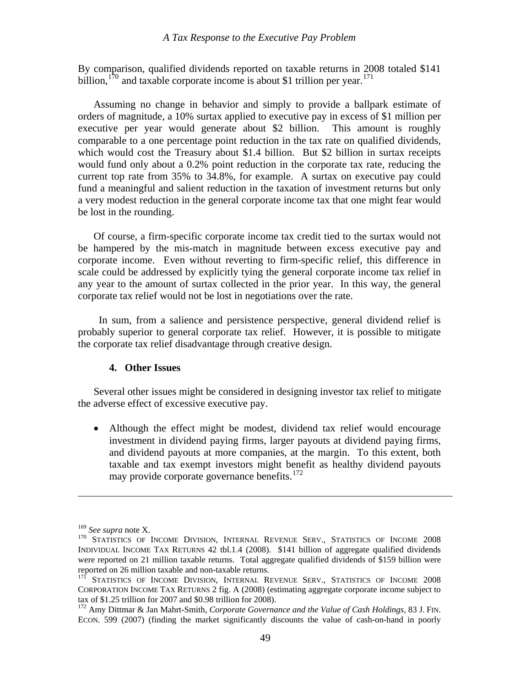<span id="page-50-0"></span>By comparison, qualified dividends reported on taxable returns in 2008 totaled \$141 billion,<sup>170</sup> and taxable corporate income is about \$1 trillion per year.<sup>171</sup>

fund a meaningful and salient reduction in the taxation of investment returns but only a very modest reduction in the general corporate income tax that one might fear would Assuming no change in behavior and simply to provide a ballpark estimate of orders of magnitude, a 10% surtax applied to executive pay in excess of \$1 million per executive per year would generate about \$2 billion. This amount is roughly comparable to a one percentage point reduction in the tax rate on qualified dividends, which would cost the Treasury about \$1.4 billion. But \$2 billion in surtax receipts would fund only about a 0.2% point reduction in the corporate tax rate, reducing the current top rate from 35% to 34.8%, for example. A surtax on executive pay could be lost in the rounding.

scale could be addressed by explicitly tying the general corporate income tax relief in any year to the amount of surtax collected in the prior year. In this way, the general Of course, a firm-specific corporate income tax credit tied to the surtax would not be hampered by the mis-match in magnitude between excess executive pay and corporate income. Even without reverting to firm-specific relief, this difference in corporate tax relief would not be lost in negotiations over the rate.

In sum, from a salience and persistence perspective, general dividend relief is probably superior to general corporate tax relief. However, it is possible to mitigate the corporate tax relief disadvantage through creative design.

# **4. Other Issues**

Several other issues might be considered in designing investor tax relief to mitigate the adverse effect of excessive executive pay.

and dividend payouts at more companies, at the margin. To this extent, both taxable and tax exempt investors might benefit as healthy dividend payouts may provide corporate governance benefits. $172$ • Although the effect might be modest, dividend tax relief would encourage investment in dividend paying firms, larger payouts at dividend paying firms,

 $\overline{a}$ 

<sup>&</sup>lt;sup>169</sup> See supra note X.<br><sup>170</sup> Statistics of Income Division, Internal Revenue Serv., Statistics of Income 2008 INDIVIDUAL INCOME TAX RETURNS 42 tbl.1.4 (2008). \$141 billion of aggregate qualified dividends were reported on 21 million taxable returns. Total aggregate qualified dividends of \$159 billion were reported on 26 million taxable and non-taxable returns.

<sup>&</sup>lt;sup>171</sup> STATISTICS OF INCOME DIVISION, INTERNAL REVENUE SERV., STATISTICS OF INCOME 2008 CORPORATION INCOME TAX RETURNS 2 fig. A (2008) (estimating aggregate corporate income subject to tax of \$1.25 trillion for 2007 and \$0.98 trillion for 2008).

<sup>172</sup> Amy Dittmar & Jan Mahrt-Smith, *Corporate Governance and the Value of Cash Holdings*, 83 J. FIN. ECON. 599 (2007) (finding the market significantly discounts the value of cash-on-hand in poorly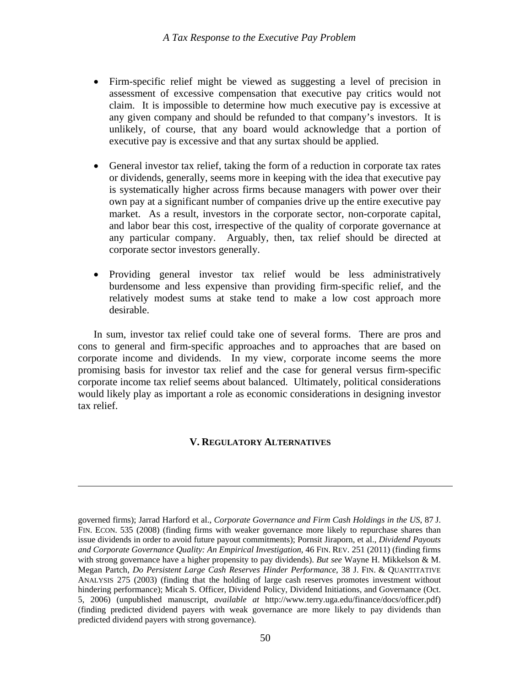- <span id="page-51-0"></span>• Firm-specific relief might be viewed as suggesting a level of precision in assessment of excessive compensation that executive pay critics would not claim. It is impossible to determine how much executive pay is excessive at any given company and should be refunded to that company's investors. It is unlikely, of course, that any board would acknowledge that a portion of executive pay is excessive and that any surtax should be applied.
- General investor tax relief, taking the form of a reduction in corporate tax rates or dividends, generally, seems more in keeping with the idea that executive pay is systematically higher across firms because managers with power over their own pay at a significant number of companies drive up the entire executive pay market. As a result, investors in the corporate sector, non-corporate capital, and labor bear this cost, irrespective of the quality of corporate governance at any particular company. Arguably, then, tax relief should be directed at corporate sector investors generally.
- Providing general investor tax relief would be less administratively burdensome and less expensive than providing firm-specific relief, and the relatively modest sums at stake tend to make a low cost approach more desirable.

 In sum, investor tax relief could take one of several forms. There are pros and cons to general and firm-specific approaches and to approaches that are based on corporate income and dividends. In my view, corporate income seems the more promising basis for investor tax relief and the case for general versus firm-specific corporate income tax relief seems about balanced. Ultimately, political considerations would likely play as important a role as economic considerations in designing investor tax relief.

# **V. REGULATORY ALTERNATIVES**

issue dividends in order to avoid future payout commitments); Pornsit Jiraporn, et al., *Dividend Payouts and Corporate Governance Quality: An Empirical Investigation*, 46 FIN. REV. 251 (2011) (finding firms with strong governance have a higher propensity to pay dividends). *But see* Wayne H. Mikkelson & M. Megan Partch, *Do Persistent Large Cash Reserves Hinder Performance*, 38 J. FIN. & QUANTITATIVE governed firms); Jarrad Harford et al., *Corporate Governance and Firm Cash Holdings in the US*, 87 J. FIN. ECON. 535 (2008) (finding firms with weaker governance more likely to repurchase shares than ANALYSIS 275 (2003) (finding that the holding of large cash reserves promotes investment without hindering performance); Micah S. Officer, Dividend Policy, Dividend Initiations, and Governance (Oct. 5, 2006) (unpublished manuscript, *available at* http://www.terry.uga.edu/finance/docs/officer.pdf) (finding predicted dividend payers with weak governance are more likely to pay dividends than predicted dividend payers with strong governance).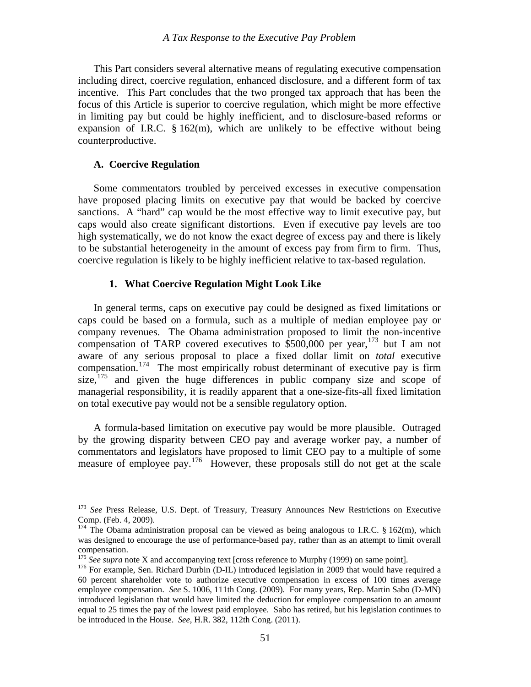<span id="page-52-0"></span> This Part considers several alternative means of regulating executive compensation including direct, coercive regulation, enhanced disclosure, and a different form of tax incentive. This Part concludes that the two pronged tax approach that has been the focus of this Article is superior to coercive regulation, which might be more effective in limiting pay but could be highly inefficient, and to disclosure-based reforms or expansion of I.R.C.  $\S 162(m)$ , which are unlikely to be effective without being counterproductive.

#### **A. Coercive Regulation**

 $\overline{a}$ 

have proposed placing limits on executive pay that would be backed by coercive sanctions. A "hard" cap would be the most effective way to limit executive pay, but caps would also create significant distortions. Even if executive pay levels are too high systematically, we do not know the exact degree of excess pay and there is likely Some commentators troubled by perceived excesses in executive compensation to be substantial heterogeneity in the amount of excess pay from firm to firm. Thus, coercive regulation is likely to be highly inefficient relative to tax-based regulation.

#### **1. What Coercive Regulation Might Look Like**

compensation of TARP covered executives to  $$500,000$  per year, <sup>173</sup> but I am not aware of any serious proposal to place a fixed dollar limit on *total* executive In general terms, caps on executive pay could be designed as fixed limitations or caps could be based on a formula, such as a multiple of median employee pay or company revenues. The Obama administration proposed to limit the non-incentive compensation.<sup>[174](#page-52-1)</sup> The most empirically robust determinant of executive pay is firm size,<sup>[175](#page-53-0)</sup> and given the huge differences in public company size and scope of managerial responsibility, it is readily apparent that a one-size-fits-all fixed limitation on total executive pay would not be a sensible regulatory option.

by the growing disparity between CEO pay and average worker pay, a number of commentators and legislators have proposed to limit CEO pay to a multiple of some measure of employee pay.<sup>176</sup> However, these proposals still do not get at the scale A formula-based limitation on executive pay would be more plausible. Outraged

<sup>173</sup> *See* Press Release, U.S. Dept. of Treasury, Treasury Announces New Restrictions on Executive Comp. (Feb. 4, 2009).

 $174$  The Obama administration proposal can be viewed as being analogous to I.R.C. § 162(m), which was designed to encourage the use of performance-based pay, rather than as an attempt to limit overall compensation.

<sup>&</sup>lt;sup>175</sup> See supra note X and accompanying text [cross reference to Murphy (1999) on same point].<br><sup>176</sup> For example, Sen. Richard Durbin (D-IL) introduced legislation in 2009 that would have required a

<span id="page-52-1"></span><sup>60</sup> percent shareholder vote to authorize executive compensation in excess of 100 times average employee compensation. *See* S. 1006, 111th Cong. (2009). For many years, Rep. Martin Sabo (D-MN) introduced legislation that would have limited the deduction for employee compensation to an amount equal to 25 times the pay of the lowest paid employee. Sabo has retired, but his legislation continues to be introduced in the House. *See*, H.R. 382, 112th Cong. (2011).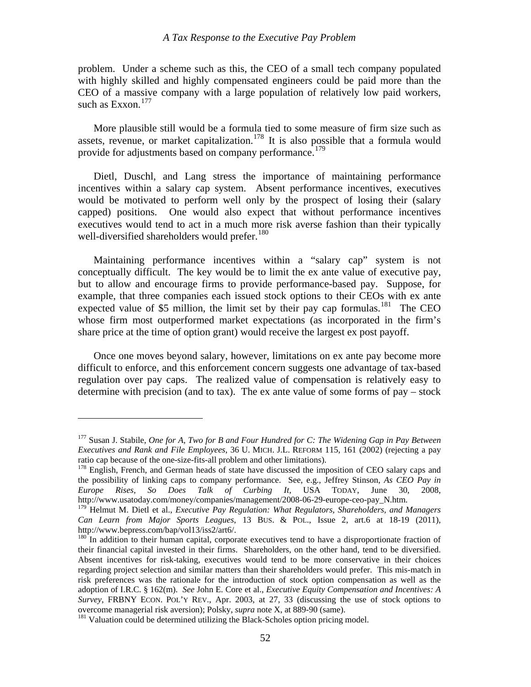problem. Under a scheme such as this, the CEO of a small tech company populated with highly skilled and highly compensated engineers could be paid more than the EO of a massive company with a large population of relatively low paid workers, C [s](#page-53-1)uch as Exxon.<sup>[177](#page-53-1)</sup>

More plausible still would be a formula tied to some measure of firm size such as assets, revenue, or market capitalization.<sup>[178](#page-53-1)</sup> It is also possible that a formula would provide for adjustments based on company performance.<sup>[179](#page-53-2)</sup>

capped) positions. One would also expect that without performance incentives executives would tend to act in a much more risk averse fashion than their typically Dietl, Duschl, and Lang stress the importance of maintaining performance incentives within a salary cap system. Absent performance incentives, executives would be motivated to perform well only by the prospect of losing their (salary [w](#page-53-3)ell-diversified shareholders would prefer.<sup>[180](#page-53-3)</sup>

[expected value of \\$5 million, the limit set by their pay cap formulas.](#page-53-3)<sup>181</sup> The CEO whose firm most outperformed market expectations (as incorporated in the firm's  [Maintaining performance incentives within a "salary cap" system is not](#page-53-3)  [conceptually difficult. The key would be to limit the ex ante value of executive pay,](#page-53-3)  [but to allow and encourage firms to provide performance-based pay. Suppose, for](#page-53-3)  [example, that three companies each issued stock options to their CEOs with ex ante](#page-53-3)  share price at the time of option grant) would receive the largest ex post payoff.

regulation over pay caps. The realized value of compensation is relatively easy to determine with precision (and to tax). The ex ante value of some forms of  $pay - stock$  Once one moves beyond salary, however, limitations on ex ante pay become more difficult to enforce, and this enforcement concern suggests one advantage of tax-based

1

<span id="page-53-0"></span><sup>177</sup> Susan J. Stabile, *One for A, Two for B and Four Hundred for C: The Widening Gap in Pay Between Executives and Rank and File Employees*, 36 U. MICH. J.L. REFORM 115, 161 (2002) (rejecting a pay ratio cap because of the one-size-fits-all problem and other limitations).<br><sup>178</sup> English, French, and German heads of state have discussed the imposition of CEO salary caps and

<span id="page-53-1"></span>the possibility of linking caps to company performance. See, e.g., Jeffrey Stinson, *As CEO Pay in Europe Rises, So Does Talk of Curbing It,* USA TODAY, June 30, 2008, http://www.usatoday.com/money/companies/management/2008-06-29-europe-ceo-pay\_N.htm.

<sup>&</sup>lt;sup>179</sup> Helmut M. Dietl et al., *Executive Pay Regulation: What Regulators, Shareholders, and Managers Can Learn from Major Sports Leagues*, 13 BUS. & POL., Issue 2, art.6 at 18-19 (2011), http://www.bepress.com/bap/vol13/iss2/art6/.

<span id="page-53-2"></span><sup>&</sup>lt;sup>180</sup> In addition to their human capital, corporate executives tend to have a disproportionate fraction of their financial capital invested in their firms. Shareholders, on the other hand, tend to be diversified. Absent incentives for risk-taking, executives would tend to be more conservative in their choices regarding project selection and similar matters than their shareholders would prefer. This mis-match in risk preferences was the rationale for the introduction of stock option compensation as well as the adoption of I.R.C. § 162(m). *See* John E. Core et al., *Executive Equity Compensation and Incentives: A Survey*, FRBNY ECON. POL'Y REV., Apr. 2003, at 27, 33 (discussing the use of stock options to overcome managerial risk aversion); Polsky, *supra* note X, at 889-90 (same). 181 Valuation could be determined utilizing the Black-Scholes option pricing model.

<span id="page-53-3"></span>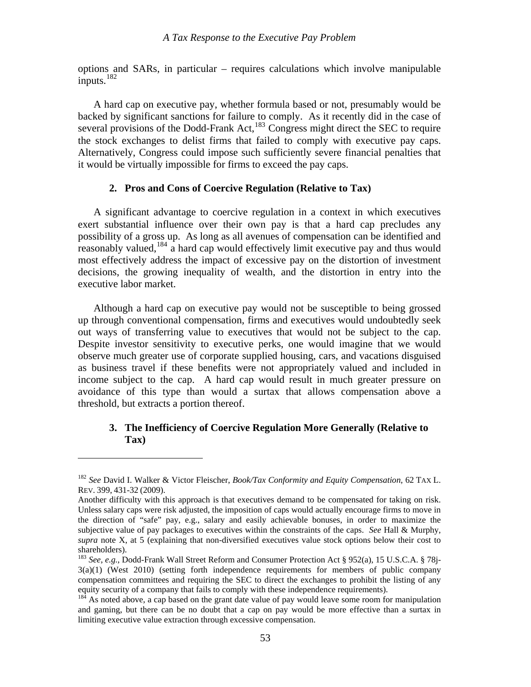<span id="page-54-0"></span>options and SARs, in particular – requires calculations which involve manipulable inputs. $182$ 

 A hard cap on executive pay, whether formula based or not, presumably would be backed by significant sanctions for failure to comply. As it recently did in the case of several provisions of the Dodd-Frank Act, $^{183}$  $^{183}$  $^{183}$  Congress might direct the SEC to require the stock exchanges to delist firms that failed to comply with executive pay caps. Alternatively, Congress could impose such sufficiently severe financial penalties that it would be virtually impossible for firms to exceed the pay caps.

# **2. Pros and Cons of Coercive Regulation (Relative to Tax)**

 A significant advantage to coercive regulation in a context in which executives exert substantial influence over their own pay is that a hard cap precludes any possibility of a gross up. As long as all avenues of compensation can be identified and reasonably valued,[184](#page-54-3) a hard cap would effectively limit executive pay and thus would most effectively address the impact of excessive pay on the distortion of investment decisions, the growing inequality of wealth, and the distortion in entry into the executive labor market.

 Although a hard cap on executive pay would not be susceptible to being grossed up through conventional compensation, firms and executives would undoubtedly seek out ways of transferring value to executives that would not be subject to the cap. Despite investor sensitivity to executive perks, one would imagine that we would observe much greater use of corporate supplied housing, cars, and vacations disguised as business travel if these benefits were not appropriately valued and included in income subject to the cap. A hard cap would result in much greater pressure on avoidance of this type than would a surtax that allows compensation above a threshold, but extracts a portion thereof.

# **3. The Inefficiency of Coercive Regulation More Generally (Relative to Tax)**

<span id="page-54-1"></span><sup>182</sup> *See* David I. Walker & Victor Fleischer, *Book/Tax Conformity and Equity Compensation*, 62 TAX L. REV. 399, 431-32 (2009).

Another difficulty with this approach is that executives demand to be compensated for taking on risk. Unless salary caps were risk adjusted, the imposition of caps would actually encourage firms to move in the direction of "safe" pay, e.g., salary and easily achievable bonuses, in order to maximize the subjective value of pay packages to executives within the constraints of the caps. *See* Hall & Murphy, *supra* note X, at 5 (explaining that non-diversified executives value stock options below their cost to shareholders).

<span id="page-54-2"></span><sup>183</sup> *See*, *e.g.*, Dodd-Frank Wall Street Reform and Consumer Protection Act § 952(a), 15 U.S.C.A. § 78j-3(a)(1) (West 2010) (setting forth independence requirements for members of public company compensation committees and requiring the SEC to direct the exchanges to prohibit the listing of any equity security of a company that fails to comply with these independence requirements).

<span id="page-54-3"></span><sup>&</sup>lt;sup>184</sup> As noted above, a cap based on the grant date value of pay would leave some room for manipulation and gaming, but there can be no doubt that a cap on pay would be more effective than a surtax in limiting executive value extraction through excessive compensation.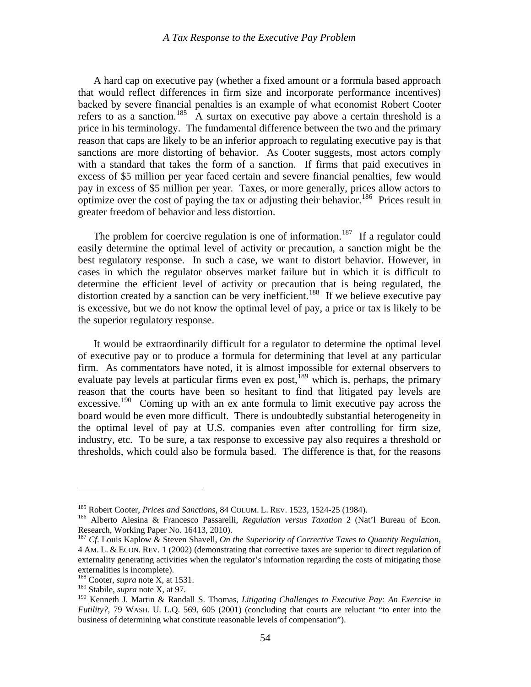A hard cap on executive pay (whether a fixed amount or a formula based approach that would reflect differences in firm size and incorporate performance incentives) backed by severe financial penalties is an example of what economist Robert Cooter refers to as a sanction.<sup>[185](#page-55-0)</sup> A surtax on executive pay above a certain threshold is a price in his terminology. The fundamental difference between the two and the primary reason that caps are likely to be an inferior approach to regulating executive pay is that sanctions are more distorting of behavior. As Cooter suggests, most actors comply with a standard that takes the form of a sanction. If firms that paid executives in excess of \$5 million per year faced certain and severe financial penalties, few would pay in excess of \$5 million per year. Taxes, or more generally, prices allow actors to optimize over the cost of paying the tax or adjusting their behavior.<sup>[186](#page-55-1)</sup> Prices result in greater freedom of behavior and less distortion.

The problem for coercive regulation is one of information.<sup>[187](#page-55-2)</sup> If a regulator could easily determine the optimal level of activity or precaution, a sanction might be the best regulatory response. In such a case, we want to distort behavior. However, in cases in which the regulator observes market failure but in which it is difficult to determine the efficient level of activity or precaution that is being regulated, the distortion created by a sanction can be very inefficient.<sup>[188](#page-55-3)</sup> If we believe executive pay is excessive, but we do not know the optimal level of pay, a price or tax is likely to be the superior regulatory response.

 It would be extraordinarily difficult for a regulator to determine the optimal level of executive pay or to produce a formula for determining that level at any particular firm. As commentators have noted, it is almost impossible for external observers to evaluate pay levels at particular firms even ex post,  $^{189}$  $^{189}$  $^{189}$  which is, perhaps, the primary reason that the courts have been so hesitant to find that litigated pay levels are excessive.<sup>[190](#page-55-5)</sup> Coming up with an ex ante formula to limit executive pay across the board would be even more difficult. There is undoubtedly substantial heterogeneity in the optimal level of pay at U.S. companies even after controlling for firm size, industry, etc. To be sure, a tax response to excessive pay also requires a threshold or thresholds, which could also be formula based. The difference is that, for the reasons

<u>.</u>

<span id="page-55-1"></span><span id="page-55-0"></span><sup>&</sup>lt;sup>185</sup> Robert Cooter, *Prices and Sanctions*, 84 COLUM. L. REV. 1523, 1524-25 (1984).<br><sup>186</sup> Alberto Alesina & Francesco Passarelli, *Regulation versus Taxation* 2 (Nat'l Bureau of Econ. Research, Working Paper No. 16413, 2010).

<span id="page-55-2"></span><sup>187</sup> *Cf*. Louis Kaplow & Steven Shavell, *On the Superiority of Corrective Taxes to Quantity Regulation*, 4 AM. L. & ECON. REV. 1 (2002) (demonstrating that corrective taxes are superior to direct regulation of externality generating activities when the regulator's information regarding the costs of mitigating those externalities is incomplete).

<span id="page-55-3"></span><sup>188</sup> Cooter, *supra* note X, at 1531.

<span id="page-55-4"></span><sup>189</sup> Stabile, *supra* note X, at 97.

<span id="page-55-5"></span><sup>190</sup> Kenneth J. Martin & Randall S. Thomas, *Litigating Challenges to Executive Pay: An Exercise in Futility?*, 79 WASH. U. L.Q. 569, 605 (2001) (concluding that courts are reluctant "to enter into the business of determining what constitute reasonable levels of compensation").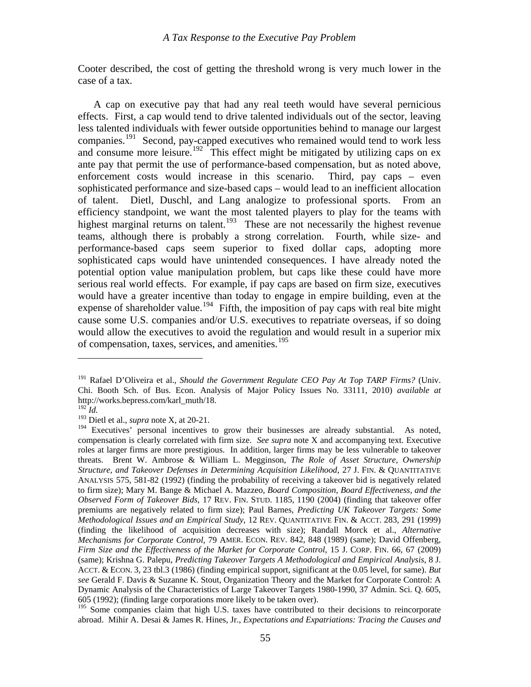Cooter described, the cost of getting the threshold wrong is very much lower in the case of a tax.

 A cap on executive pay that had any real teeth would have several pernicious effects. First, a cap would tend to drive talented individuals out of the sector, leaving less talented individuals with fewer outside opportunities behind to manage our largest companies.[191](#page-56-0) Second, pay-capped executives who remained would tend to work less and consume more leisure.<sup>[192](#page-56-1)</sup> This effect might be mitigated by utilizing caps on ex ante pay that permit the use of performance-based compensation, but as noted above, enforcement costs would increase in this scenario. Third, pay caps – even sophisticated performance and size-based caps – would lead to an inefficient allocation of talent. Dietl, Duschl, and Lang analogize to professional sports. From an efficiency standpoint, we want the most talented players to play for the teams with highest marginal returns on talent.<sup>[193](#page-56-2)</sup> These are not necessarily the highest revenue teams, although there is probably a strong correlation. Fourth, while size- and performance-based caps seem superior to fixed dollar caps, adopting more sophisticated caps would have unintended consequences. I have already noted the potential option value manipulation problem, but caps like these could have more serious real world effects. For example, if pay caps are based on firm size, executives would have a greater incentive than today to engage in empire building, even at the expense of shareholder value.<sup>[194](#page-56-3)</sup> Fifth, the imposition of pay caps with real bite might cause some U.S. companies and/or U.S. executives to repatriate overseas, if so doing would allow the executives to avoid the regulation and would result in a superior mix of compensation, taxes, services, and amenities.<sup>[195](#page-56-4)</sup>

<span id="page-56-0"></span><sup>191</sup> Rafael D'Oliveira et al., *Should the Government Regulate CEO Pay At Top TARP Firms?* (Univ. Chi. Booth Sch. of Bus. Econ. Analysis of Major Policy Issues No. 33111, 2010) *available at* http://works.bepress.com/karl\_muth/18.

<span id="page-56-1"></span> $^{192}$ *Id.* 

<span id="page-56-2"></span><sup>&</sup>lt;sup>193</sup> Dietl et al., *supra* note X, at 20-21.

<span id="page-56-3"></span> $194$  Executives' personal incentives to grow their businesses are already substantial. As noted, compensation is clearly correlated with firm size. *See supra* note X and accompanying text. Executive roles at larger firms are more prestigious. In addition, larger firms may be less vulnerable to takeover threats. Brent W. Ambrose & William L. Megginson, *The Role of Asset Structure, Ownership Structure, and Takeover Defenses in Determining Acquisition Likelihood*, 27 J. FIN. & QUANTITATIVE ANALYSIS 575, 581-82 (1992) (finding the probability of receiving a takeover bid is negatively related to firm size); Mary M. Bange & Michael A. Mazzeo, *Board Composition, Board Effectiveness, and the Observed Form of Takeover Bids*, 17 REV. FIN. STUD. 1185, 1190 (2004) (finding that takeover offer premiums are negatively related to firm size); Paul Barnes, *Predicting UK Takeover Targets: Some Methodological Issues and an Empirical Study*, 12 REV. QUANTITATIVE FIN. & ACCT. 283, 291 (1999) (finding the likelihood of acquisition decreases with size); Randall Morck et al., *Alternative Mechanisms for Corporate Control*, 79 AMER. ECON. REV. 842, 848 (1989) (same); David Offenberg, *Firm Size and the Effectiveness of the Market for Corporate Control*, 15 J. CORP. FIN. 66, 67 (2009) (same); Krishna G. Palepu, *Predicting Takeover Targets A Methodological and Empirical Analysis*, 8 J. ACCT. & ECON. 3, 23 tbl.3 (1986) (finding empirical support, significant at the 0.05 level, for same). *But see* Gerald F. Davis & Suzanne K. Stout, Organization Theory and the Market for Corporate Control: A Dynamic Analysis of the Characteristics of Large Takeover Targets 1980-1990, 37 Admin. Sci. Q. 605, 605 (1992); (finding large corporations more likely to be taken over).

<span id="page-56-4"></span><sup>&</sup>lt;sup>195</sup> Some companies claim that high U.S. taxes have contributed to their decisions to reincorporate abroad. Mihir A. Desai & James R. Hines, Jr., *Expectations and Expatriations: Tracing the Causes and*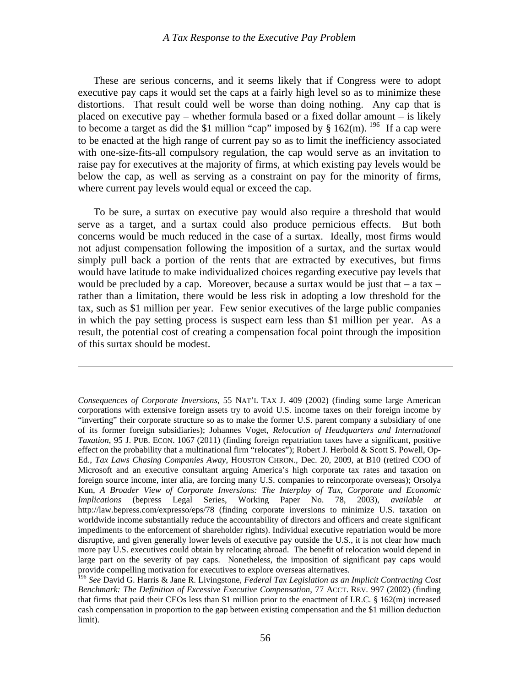These are serious concerns, and it seems likely that if Congress were to adopt executive pay caps it would set the caps at a fairly high level so as to minimize these distortions. That result could well be worse than doing nothing. Any cap that is placed on executive pay – whether formula based or a fixed dollar amount – is likely to become a target as did the \$1 million "cap" imposed by  $§ 162(m)$ . <sup>[196](#page-57-0)</sup> If a cap were to be enacted at the high range of current pay so as to limit the inefficiency associated with one-size-fits-all compulsory regulation, the cap would serve as an invitation to raise pay for executives at the majority of firms, at which existing pay levels would be below the cap, as well as serving as a constraint on pay for the minority of firms, where current pay levels would equal or exceed the cap.

 To be sure, a surtax on executive pay would also require a threshold that would serve as a target, and a surtax could also produce pernicious effects. But both concerns would be much reduced in the case of a surtax. Ideally, most firms would not adjust compensation following the imposition of a surtax, and the surtax would simply pull back a portion of the rents that are extracted by executives, but firms would have latitude to make individualized choices regarding executive pay levels that would be precluded by a cap. Moreover, because a surtax would be just that  $-$  a tax  $$ rather than a limitation, there would be less risk in adopting a low threshold for the tax, such as \$1 million per year. Few senior executives of the large public companies in which the pay setting process is suspect earn less than \$1 million per year. As a result, the potential cost of creating a compensation focal point through the imposition of this surtax should be modest.

*Consequences of Corporate Inversions*, 55 NAT'L TAX J. 409 (2002) (finding some large American corporations with extensive foreign assets try to avoid U.S. income taxes on their foreign income by "inverting" their corporate structure so as to make the former U.S. parent company a subsidiary of one of its former foreign subsidiaries); Johannes Voget, *Relocation of Headquarters and International Taxation*, 95 J. PUB. ECON. 1067 (2011) (finding foreign repatriation taxes have a significant, positive effect on the probability that a multinational firm "relocates"); Robert J. Herbold & Scott S. Powell, Op-Ed., *Tax Laws Chasing Companies Away*, HOUSTON CHRON., Dec. 20, 2009, at B10 (retired COO of Microsoft and an executive consultant arguing America's high corporate tax rates and taxation on foreign source income, inter alia, are forcing many U.S. companies to reincorporate overseas); Orsolya Kun, *A Broader View of Corporate Inversions: The Interplay of Tax, Corporate and Economic Implications* (bepress Legal Series, Working Paper No. 78, 2003), *available at* http://law.bepress.com/expresso/eps/78 (finding corporate inversions to minimize U.S. taxation on worldwide income substantially reduce the accountability of directors and officers and create significant impediments to the enforcement of shareholder rights). Individual executive repatriation would be more disruptive, and given generally lower levels of executive pay outside the U.S., it is not clear how much more pay U.S. executives could obtain by relocating abroad. The benefit of relocation would depend in large part on the severity of pay caps. Nonetheless, the imposition of significant pay caps would provide compelling motivation for executives to explore overseas alternatives.

<span id="page-57-0"></span><sup>196</sup> *See* David G. Harris & Jane R. Livingstone, *Federal Tax Legislation as an Implicit Contracting Cost Benchmark: The Definition of Excessive Executive Compensation*, 77 ACCT. REV. 997 (2002) (finding that firms that paid their CEOs less than \$1 million prior to the enactment of I.R.C. § 162(m) increased cash compensation in proportion to the gap between existing compensation and the \$1 million deduction limit).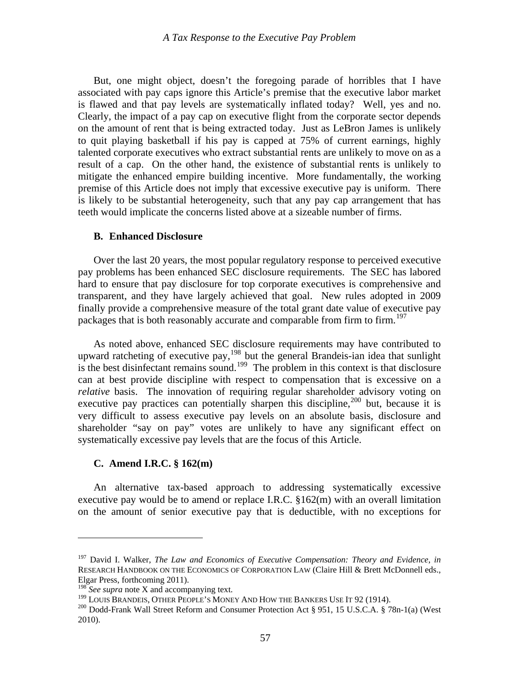<span id="page-58-0"></span> But, one might object, doesn't the foregoing parade of horribles that I have associated with pay caps ignore this Article's premise that the executive labor market is flawed and that pay levels are systematically inflated today? Well, yes and no. Clearly, the impact of a pay cap on executive flight from the corporate sector depends on the amount of rent that is being extracted today. Just as LeBron James is unlikely to quit playing basketball if his pay is capped at 75% of current earnings, highly talented corporate executives who extract substantial rents are unlikely to move on as a result of a cap. On the other hand, the existence of substantial rents is unlikely to mitigate the enhanced empire building incentive. More fundamentally, the working premise of this Article does not imply that excessive executive pay is uniform. There is likely to be substantial heterogeneity, such that any pay cap arrangement that has teeth would implicate the concerns listed above at a sizeable number of firms.

#### **B. Enhanced Disclosure**

 Over the last 20 years, the most popular regulatory response to perceived executive pay problems has been enhanced SEC disclosure requirements. The SEC has labored hard to ensure that pay disclosure for top corporate executives is comprehensive and transparent, and they have largely achieved that goal. New rules adopted in 2009 finally provide a comprehensive measure of the total grant date value of executive pay packages that is both reasonably accurate and comparable from firm to firm.<sup>[197](#page-58-1)</sup>

 As noted above, enhanced SEC disclosure requirements may have contributed to upward ratcheting of executive pay,  $198$  but the general Brandeis-ian idea that sunlight is the best disinfectant remains sound.<sup>[199](#page-58-3)</sup> The problem in this context is that disclosure can at best provide discipline with respect to compensation that is excessive on a *relative* basis. The innovation of requiring regular shareholder advisory voting on executive pay practices can potentially sharpen this discipline,  $200$  but, because it is very difficult to assess executive pay levels on an absolute basis, disclosure and shareholder "say on pay" votes are unlikely to have any significant effect on systematically excessive pay levels that are the focus of this Article.

# **C. Amend I.R.C. § 162(m)**

 An alternative tax-based approach to addressing systematically excessive executive pay would be to amend or replace I.R.C. §162(m) with an overall limitation on the amount of senior executive pay that is deductible, with no exceptions for

<span id="page-58-1"></span><sup>197</sup> David I. Walker, *The Law and Economics of Executive Compensation: Theory and Evidence*, *in* RESEARCH HANDBOOK ON THE ECONOMICS OF CORPORATION LAW (Claire Hill & Brett McDonnell eds., Elgar Press, forthcoming 2011).

<span id="page-58-2"></span><sup>&</sup>lt;sup>198</sup> See supra note X and accompanying text.<br><sup>199</sup> LOUIS BRANDEIS, OTHER PEOPLE'S MONEY AND HOW THE BANKERS USE IT 92 (1914).

<span id="page-58-4"></span><span id="page-58-3"></span><sup>&</sup>lt;sup>200</sup> Dodd-Frank Wall Street Reform and Consumer Protection Act § 951, 15 U.S.C.A. § 78n-1(a) (West 2010).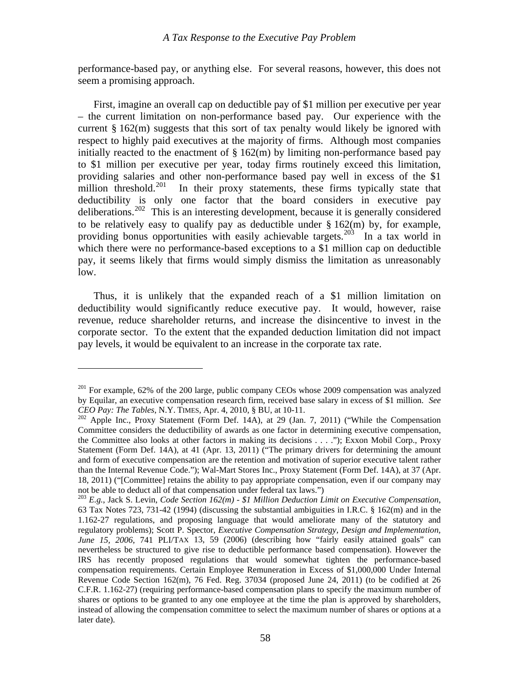performance-based pay, or anything else. For several reasons, however, this does not seem a promising approach.

 First, imagine an overall cap on deductible pay of \$1 million per executive per year – the current limitation on non-performance based pay. Our experience with the current  $\S 162(m)$  suggests that this sort of tax penalty would likely be ignored with respect to highly paid executives at the majority of firms. Although most companies initially reacted to the enactment of  $\S 162(m)$  by limiting non-performance based pay to \$1 million per executive per year, today firms routinely exceed this limitation, providing salaries and other non-performance based pay well in excess of the \$1 million threshold.<sup>201</sup> In their proxy statements, these firms typically state that In their proxy statements, these firms typically state that deductibility is only one factor that the board considers in executive pay deliberations.[202](#page-59-1) This is an interesting development, because it is generally considered to be relatively easy to qualify pay as deductible under  $\S 162$ (m) by, for example, providing bonus opportunities with easily achievable targets.<sup>[203](#page-59-2)</sup> In a tax world in which there were no performance-based exceptions to a \$1 million cap on deductible pay, it seems likely that firms would simply dismiss the limitation as unreasonably low.

 Thus, it is unlikely that the expanded reach of a \$1 million limitation on deductibility would significantly reduce executive pay. It would, however, raise revenue, reduce shareholder returns, and increase the disincentive to invest in the corporate sector. To the extent that the expanded deduction limitation did not impact pay levels, it would be equivalent to an increase in the corporate tax rate.

<span id="page-59-0"></span><sup>&</sup>lt;sup>201</sup> For example, 62% of the 200 large, public company CEOs whose 2009 compensation was analyzed by Equilar, an executive compensation research firm, received base salary in excess of \$1 million. *See*

<span id="page-59-1"></span>*CEO Pay: The Tables*, N.Y. TIMES, Apr. 4, 2010, § BU, at 10-11.<br><sup>202</sup> Apple Inc., Proxy Statement (Form Def. 14A), at 29 (Jan. 7, 2011) ("While the Compensation Committee considers the deductibility of awards as one factor in determining executive compensation, the Committee also looks at other factors in making its decisions . . . ."); Exxon Mobil Corp., Proxy Statement (Form Def. 14A), at 41 (Apr. 13, 2011) ("The primary drivers for determining the amount and form of executive compensation are the retention and motivation of superior executive talent rather than the Internal Revenue Code."); Wal-Mart Stores Inc., Proxy Statement (Form Def. 14A), at 37 (Apr. 18, 2011) ("[Committee] retains the ability to pay appropriate compensation, even if our company may not be able to deduct all of that compensation under federal tax laws.")

<span id="page-59-2"></span><sup>203</sup> *E.g.*, Jack S. Levin, *Code Section 162(m) - \$1 Million Deduction Limit on Executive Compensation*, 63 Tax Notes 723, 731-42 (1994) (discussing the substantial ambiguities in I.R.C. § 162(m) and in the 1.162-27 regulations, and proposing language that would ameliorate many of the statutory and regulatory problems); Scott P. Spector, *Executive Compensation Strategy, Design and Implementation, June 15, 2006*, 741 PLI/TAX 13, 59 (2006) (describing how "fairly easily attained goals" can nevertheless be structured to give rise to deductible performance based compensation). However the IRS has recently proposed regulations that would somewhat tighten the performance-based compensation requirements. Certain Employee Remuneration in Excess of \$1,000,000 Under Internal Revenue Code Section 162(m), 76 Fed. Reg. 37034 (proposed June 24, 2011) (to be codified at 26 C.F.R. 1.162-27) (requiring performance-based compensation plans to specify the maximum number of shares or options to be granted to any one employee at the time the plan is approved by shareholders, instead of allowing the compensation committee to select the maximum number of shares or options at a later date).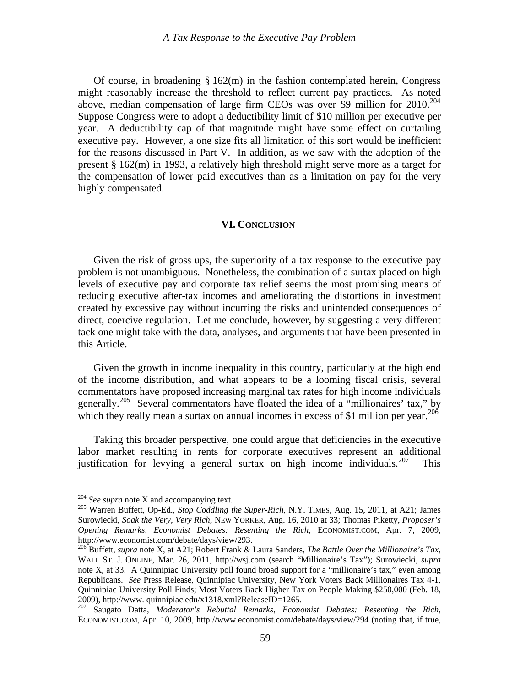<span id="page-60-0"></span> Of course, in broadening § 162(m) in the fashion contemplated herein, Congress might reasonably increase the threshold to reflect current pay practices. As noted above, median compensation of large firm CEOs was over \$9 million for  $2010^{204}$  $2010^{204}$  $2010^{204}$ Suppose Congress were to adopt a deductibility limit of \$10 million per executive per year. A deductibility cap of that magnitude might have some effect on curtailing executive pay. However, a one size fits all limitation of this sort would be inefficient for the reasons discussed in Part V. In addition, as we saw with the adoption of the present § 162(m) in 1993, a relatively high threshold might serve more as a target for the compensation of lower paid executives than as a limitation on pay for the very highly compensated.

#### **VI. CONCLUSION**

 Given the risk of gross ups, the superiority of a tax response to the executive pay problem is not unambiguous. Nonetheless, the combination of a surtax placed on high levels of executive pay and corporate tax relief seems the most promising means of reducing executive after-tax incomes and ameliorating the distortions in investment created by excessive pay without incurring the risks and unintended consequences of direct, coercive regulation. Let me conclude, however, by suggesting a very different tack one might take with the data, analyses, and arguments that have been presented in this Article.

Given the growth in income inequality in this country, particularly at the high end of the income distribution, and what appears to be a looming fiscal crisis, several commentators have proposed increasing marginal tax rates for high income individuals generally.[205](#page-60-2) Several commentators have floated the idea of a "millionaires' tax," by which they really mean a surtax on annual incomes in excess of \$1 million per year.<sup>[206](#page-60-3)</sup>

 Taking this broader perspective, one could argue that deficiencies in the executive labor market resulting in rents for corporate executives represent an additional justification for levying a general surtax on high income individuals.<sup>[207](#page-60-4)</sup> This

<span id="page-60-2"></span><span id="page-60-1"></span><sup>&</sup>lt;sup>204</sup> *See supra* note X and accompanying text.<br><sup>205</sup> Warren Buffett, Op-Ed., *Stop Coddling the Super-Rich*, N.Y. TIMES, Aug. 15, 2011, at A21; James Surowiecki, *Soak the Very, Very Rich*, NEW YORKER, Aug. 16, 2010 at 33; Thomas Piketty, *Proposer's Opening Remarks*, *Economist Debates: Resenting the Rich*, ECONOMIST.COM, Apr. 7, 2009, http://www.economist.com/debate/days/view/293.

<span id="page-60-3"></span><sup>206</sup> Buffett, *supra* note X, at A21; Robert Frank & Laura Sanders, *The Battle Over the Millionaire's Tax*, WALL ST. J. ONLINE, Mar. 26, 2011, http://wsj.com (search "Millionaire's Tax"); Surowiecki, *supra* note X, at 33. A Quinnipiac University poll found broad support for a "millionaire's tax," even among Republicans. *See* Press Release, Quinnipiac University, New York Voters Back Millionaires Tax 4-1, Quinnipiac University Poll Finds; Most Voters Back Higher Tax on People Making \$250,000 (Feb. 18, 2009), http://www. quinnipiac.edu/x1318.xml?ReleaseID=1265.

<span id="page-60-4"></span><sup>207</sup> Saugato Datta, *Moderator's Rebuttal Remarks*, *Economist Debates: Resenting the Rich*, ECONOMIST.COM, Apr. 10, 2009, http://www.economist.com/debate/days/view/294 (noting that, if true,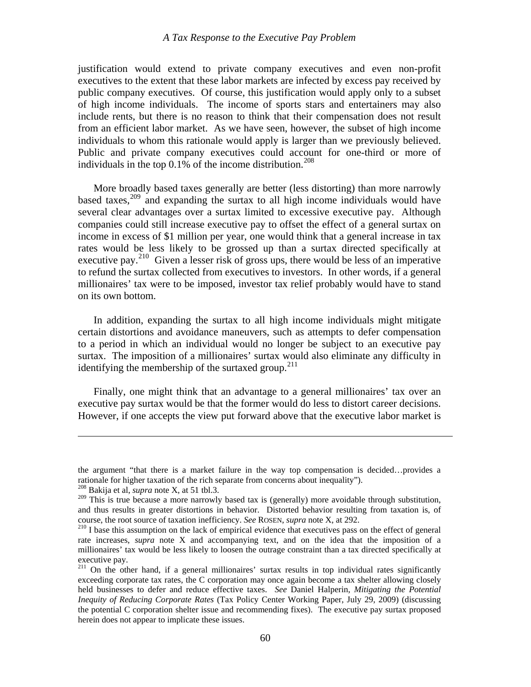justification would extend to private company executives and even non-profit executives to the extent that these labor markets are infected by excess pay received by public company executives. Of course, this justification would apply only to a subset of high income individuals. The income of sports stars and entertainers may also include rents, but there is no reason to think that their compensation does not result from an efficient labor market. As we have seen, however, the subset of high income individuals to whom this rationale would apply is larger than we previously believed. Public and private company executives could account for one-third or more of individuals in the top  $0.1\%$  of the income distribution.<sup>[208](#page-61-0)</sup>

 More broadly based taxes generally are better (less distorting) than more narrowly based taxes, $209$  and expanding the surtax to all high income individuals would have several clear advantages over a surtax limited to excessive executive pay. Although companies could still increase executive pay to offset the effect of a general surtax on income in excess of \$1 million per year, one would think that a general increase in tax rates would be less likely to be grossed up than a surtax directed specifically at executive pay.<sup>[210](#page-61-2)</sup> Given a lesser risk of gross ups, there would be less of an imperative to refund the surtax collected from executives to investors. In other words, if a general millionaires' tax were to be imposed, investor tax relief probably would have to stand on its own bottom.

 In addition, expanding the surtax to all high income individuals might mitigate certain distortions and avoidance maneuvers, such as attempts to defer compensation to a period in which an individual would no longer be subject to an executive pay surtax. The imposition of a millionaires' surtax would also eliminate any difficulty in identifying the membership of the surtaxed group.<sup>[211](#page-61-3)</sup>

 Finally, one might think that an advantage to a general millionaires' tax over an executive pay surtax would be that the former would do less to distort career decisions. However, if one accepts the view put forward above that the executive labor market is

the argument "that there is a market failure in the way top compensation is decided…provides a rationale for higher taxation of the rich separate from concerns about inequality").

<span id="page-61-0"></span><sup>208</sup> Bakija et al, *supra* note X, at 51 tbl.3.

<span id="page-61-1"></span><sup>&</sup>lt;sup>209</sup> This is true because a more narrowly based tax is (generally) more avoidable through substitution, and thus results in greater distortions in behavior. Distorted behavior resulting from taxation is, of course, the root source of taxation inefficiency. *See* ROSEN, *supra* note X, at 292.<br><sup>210</sup> I base this assumption on the lack of empirical evidence that executives pass on the effect of general

<span id="page-61-2"></span>rate increases, *supra* note X and accompanying text, and on the idea that the imposition of a millionaires' tax would be less likely to loosen the outrage constraint than a tax directed specifically at executive pay.

<span id="page-61-3"></span><sup>&</sup>lt;sup>211</sup> On the other hand, if a general millionaires' surtax results in top individual rates significantly exceeding corporate tax rates, the C corporation may once again become a tax shelter allowing closely held businesses to defer and reduce effective taxes. *See* Daniel Halperin, *Mitigating the Potential Inequity of Reducing Corporate Rates* (Tax Policy Center Working Paper, July 29, 2009) (discussing the potential C corporation shelter issue and recommending fixes). The executive pay surtax proposed herein does not appear to implicate these issues.